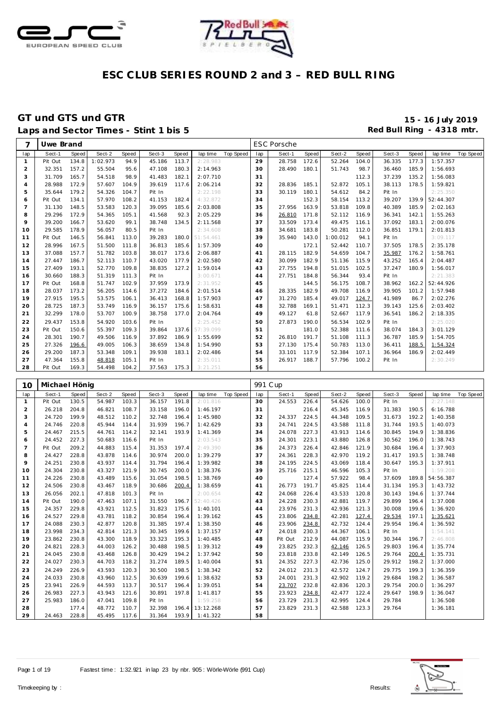



### **GT und GTS und GTR 15 - 16 July 2019** Laps and Sector Times - Stint 1 bis 5 **Red Bull Ring - 4318 mtr.**

| $\overline{7}$ | Uwe Brand |       |          |       |        |       |           |           |     | <b>ESC Porsche</b> |       |          |       |        |       |                 |                  |
|----------------|-----------|-------|----------|-------|--------|-------|-----------|-----------|-----|--------------------|-------|----------|-------|--------|-------|-----------------|------------------|
| lap            | Sect-1    | Speed | Sect-2   | Speed | Sect-3 | Speed | lap time  | Top Speed | lap | Sect-1             | Speed | Sect-2   | Speed | Sect-3 | Speed | lap time        | <b>Top Speed</b> |
| $\mathbf{1}$   | Pit Out   | 134.8 | 1:02.973 | 94.9  | 45.186 | 113.7 | 2:28.983  |           | 29  | 28.758             | 172.6 | 52.264   | 104.0 | 36.335 | 177.3 | 1:57.357        |                  |
| $\overline{2}$ | 32.351    | 157.2 | 55.504   | 95.6  | 47.108 | 180.3 | 2:14.963  |           | 30  | 28.490             | 180.1 | 51.743   | 98.7  | 36.460 | 185.9 | 1:56.693        |                  |
| 3              | 31.709    | 165.7 | 54.518   | 98.9  | 41.483 | 182.1 | 2:07.710  |           | 31  |                    |       |          | 112.3 | 37.239 | 135.2 | 1:56.083        |                  |
| $\overline{4}$ | 28.988    | 172.9 | 57.607   | 104.9 | 39.619 | 117.6 | 2:06.214  |           | 32  | 28.836             | 185.1 | 52.872   | 105.1 | 38.113 | 178.5 | 1:59.821        |                  |
| 5              | 35.644    | 179.2 | 54.326   | 104.7 | Pit In |       | 2:22.198  |           | 33  | 30.119             | 180.1 | 54.612   | 84.2  | Pit In |       | 2:25.350        |                  |
| 6              | Pit Out   | 134.1 | 57.970   | 108.2 | 41.153 | 182.4 | 4:32.872  |           | 34  |                    | 152.3 | 58.154   | 113.2 | 39.207 | 139.9 | 52:44.307       |                  |
| $\overline{7}$ | 31.130    | 148.5 | 53.583   | 120.3 | 39.095 | 185.6 | 2:03.808  |           | 35  | 27.956             | 163.9 | 53.818   | 109.8 | 40.389 | 185.9 | 2:02.163        |                  |
| 8              | 29.296    | 172.9 | 54.365   | 105.1 | 41.568 | 92.3  | 2:05.229  |           | 36  | 26.810             | 171.8 | 52.112   | 116.9 | 36.341 | 142.1 | 1:55.263        |                  |
| 9              | 39.200    | 166.7 | 53.620   | 99.1  | 38.748 | 134.5 | 2:11.568  |           | 37  | 33.509             | 173.4 | 49.475   | 116.1 | 37.092 | 183.1 | 2:00.076        |                  |
| 10             | 29.585    | 178.9 | 56.057   | 80.5  | Pit In |       | 2:34.608  |           | 38  | 34.681             | 183.8 | 50.281   | 112.0 | 36.851 | 179.1 | 2:01.813        |                  |
| 11             | Pit Out   | 146.5 | 56.841   | 113.0 | 39.283 | 180.0 | 51:54.461 |           | 39  | 35.940             | 143.0 | 1:00.012 | 94.1  | Pit In |       | 3:09.117        |                  |
| 12             | 28.996    | 167.5 | 51.500   | 111.8 | 36.813 | 185.6 | 1:57.309  |           | 40  |                    | 172.1 | 52.442   | 110.7 | 37.505 | 178.5 | 2:35.178        |                  |
| 13             | 37.088    | 157.7 | 51.782   | 103.8 | 38.017 | 173.6 | 2:06.887  |           | 41  | 28.115             | 182.9 | 54.659   | 104.7 | 35.987 | 176.2 | 1:58.761        |                  |
| 14             | 27.447    | 186.7 | 52.113   | 110.7 | 43.020 | 177.9 | 2:02.580  |           | 42  | 30.099             | 182.9 | 51.136   | 115.9 | 43.252 | 165.4 | 2:04.487        |                  |
| 15             | 27.409    | 193.1 | 52.770   | 109.8 | 38.835 | 127.2 | 1:59.014  |           | 43  | 27.755             | 194.8 | 51.015   | 102.5 | 37.247 | 180.9 | 1:56.017        |                  |
| 16             | 30.660    | 188.3 | 51.319   | 111.3 | Pit In |       | 3:00.671  |           | 44  | 27.751             | 184.8 | 56.344   | 93.4  | Pit In |       | 2:21.383        |                  |
| 17             | Pit Out   | 168.8 | 51.747   | 102.9 | 37.959 | 173.9 | 2:31.952  |           | 45  |                    | 144.5 | 56.175   | 108.7 | 38.962 |       | 162.2 52:44.926 |                  |
| 18             | 28.037    | 173.2 | 56.205   | 114.6 | 37.272 | 184.6 | 2:01.514  |           | 46  | 28.335             | 182.9 | 49.708   | 116.9 | 39.905 | 101.2 | 1:57.948        |                  |
| 19             | 27.915    | 195.5 | 53.575   | 106.1 | 36.413 | 168.8 | 1:57.903  |           | 47  | 31.270             | 185.4 | 49.017   | 124.7 | 41.989 | 86.7  | 2:02.276        |                  |
| 20             | 28.725    | 187.3 | 53.749   | 116.9 | 36.157 | 175.6 | 1:58.631  |           | 48  | 32.788             | 169.1 | 51.471   | 112.3 | 39.143 | 125.6 | 2:03.402        |                  |
| 21             | 32.299    | 178.0 | 53.707   | 100.9 | 38.758 | 177.0 | 2:04.764  |           | 49  | 49.127             | 61.8  | 52.667   | 117.9 | 36.541 | 186.2 | 2:18.335        |                  |
| 22             | 29.437    | 153.8 | 54.920   | 103.6 | Pit In |       | 2:25.452  |           | 50  | 27.873             | 190.0 | 56.534   | 102.9 | Pit In |       | 2:25.020        |                  |
| 23             | Pit Out   | 150.6 | 55.397   | 109.3 | 39.864 | 137.6 | 57:39.099 |           | 51  |                    | 181.0 | 52.388   | 111.6 | 38.074 | 184.3 | 3:01.129        |                  |
| 24             | 28.301    | 190.7 | 49.506   | 116.9 | 37.892 | 186.9 | 1:55.699  |           | 52  | 26.810             | 191.7 | 51.108   | 111.3 | 36.787 | 185.9 | 1:54.705        |                  |
| 25             | 27.326    | 196.6 | 49.005   | 106.3 | 38.659 | 134.8 | 1:54.990  |           | 53  | 27.130             | 175.4 | 50.783   | 113.0 | 36.411 | 188.5 | 1:54.324        |                  |
| 26             | 29.200    | 187.3 | 53.348   | 109.1 | 39.938 | 183.1 | 2:02.486  |           | 54  | 33.101             | 117.9 | 52.384   | 107.1 | 36.964 | 186.9 | 2:02.449        |                  |
| 27             | 47.364    | 155.8 | 48.818   | 105.1 | Pit In |       | 2:35.011  |           | 55  | 26.917             | 188.7 | 57.796   | 100.2 | Pit In |       | 2:30.249        |                  |
| 28             | Pit Out   | 169.3 | 54.498   | 104.2 | 37.563 | 175.3 | 3:21.251  |           | 56  |                    |       |          |       |        |       |                 |                  |
|                |           |       |          |       |        |       |           |           |     |                    |       |          |       |        |       |                 |                  |

| 10             | Michael Hönig |       |        |       |        |       |                 |           | 991 C up |         |       |        |       |        |       |           |           |
|----------------|---------------|-------|--------|-------|--------|-------|-----------------|-----------|----------|---------|-------|--------|-------|--------|-------|-----------|-----------|
| lap            | Sect-1        | Speed | Sect-2 | Speed | Sect-3 | Speed | lap time        | Top Speed | lap      | Sect-1  | Speed | Sect-2 | Speed | Sect-3 | Speed | lap time  | Top Speed |
| $\mathbf{1}$   | Pit Out       | 130.5 | 54.987 | 103.3 | 36.157 | 191.8 | 2:01.816        |           | 30       | 24.553  | 226.4 | 54.626 | 100.0 | Pit In |       | 2:27.148  |           |
| 2              | 26.218        | 204.8 | 46.821 | 108.7 | 33.158 | 196.0 | 1:46.197        |           | 31       |         | 216.4 | 45.345 | 116.9 | 31.383 | 190.5 | 6:16.788  |           |
| 3              | 24.720        | 199.9 | 48.512 | 110.2 | 32.748 | 196.4 | 1:45.980        |           | 32       | 24.337  | 224.5 | 44.348 | 109.5 | 31.673 | 192.2 | 1:40.358  |           |
| $\overline{4}$ | 24.746        | 220.8 | 45.944 | 114.4 | 31.939 | 196.7 | 1:42.629        |           | 33       | 24.741  | 224.5 | 43.588 | 111.8 | 31.744 | 193.5 | 1:40.073  |           |
| 5              | 24.467        | 215.5 | 44.761 | 114.2 | 32.141 | 193.9 | 1:41.369        |           | 34       | 24.078  | 227.3 | 43.913 | 114.6 | 30.845 | 194.9 | 1:38.836  |           |
| 6              | 24.452        | 227.3 | 50.683 | 116.6 | Pit In |       | 2:03.543        |           | 35       | 24.301  | 223.1 | 43.880 | 126.8 | 30.562 | 196.0 | 1:38.743  |           |
| $\overline{7}$ | Pit Out       | 209.2 | 44.883 | 115.4 | 31.353 | 197.4 | 2:49.390        |           | 36       | 24.373  | 226.4 | 42.846 | 121.9 | 30.684 | 196.4 | 1:37.903  |           |
| 8              | 24.427        | 228.8 | 43.878 | 114.6 | 30.974 | 200.0 | 1:39.279        |           | 37       | 24.361  | 228.3 | 42.970 | 119.2 | 31.417 | 193.5 | 1:38.748  |           |
| 9              | 24.251        | 230.8 | 43.937 | 114.4 | 31.794 | 196.4 | 1:39.982        |           | 38       | 24.195  | 224.5 | 43.069 | 118.4 | 30.647 | 195.3 | 1:37.911  |           |
| 10             | 24.304        | 230.8 | 43.327 | 121.9 | 30.745 | 200.0 | 1:38.376        |           | 39       | 25.716  | 215.1 | 46.596 | 105.3 | Pit In |       | 1:59.208  |           |
| 11             | 24.226        | 230.8 | 43.489 | 115.6 | 31.054 | 198.5 | 1:38.769        |           | 40       |         | 127.4 | 57.922 | 98.4  | 37.609 | 189.8 | 54:56.387 |           |
| 12             | 24.506        | 230.8 | 43.467 | 118.9 | 30.686 | 200.4 | 1:38.659        |           | 41       | 26.773  | 191.7 | 45.825 | 114.4 | 31.134 | 195.3 | 1:43.732  |           |
| 13             | 26.056        | 202.1 | 47.818 | 101.3 | Pit In |       | 2:00.654        |           | 42       | 24.068  | 226.4 | 43.533 | 120.8 | 30.143 | 194.6 | 1:37.744  |           |
| 14             | Pit Out       | 190.0 | 47.463 | 107.1 | 31.550 | 196.7 | 52:40.426       |           | 43       | 24.228  | 230.3 | 42.881 | 119.7 | 29.899 | 196.4 | 1:37.008  |           |
| 15             | 24.357        | 229.8 | 43.921 | 112.5 | 31.823 | 175.6 | 1:40.101        |           | 44       | 23.976  | 231.3 | 42.936 | 121.3 | 30.008 | 199.6 | 1:36.920  |           |
| 16             | 24.527        | 229.8 | 43.781 | 118.2 | 30.854 | 196.4 | 1:39.162        |           | 45       | 23.806  | 234.8 | 42.281 | 127.4 | 29.534 | 197.1 | 1:35.621  |           |
| 17             | 24.088        | 230.3 | 42.877 | 120.8 | 31.385 | 197.4 | 1:38.350        |           | 46       | 23.906  | 234.8 | 42.732 | 124.4 | 29.954 | 196.4 | 1:36.592  |           |
| 18             | 23.998        | 234.3 | 42.814 | 121.3 | 30.345 | 199.6 | 1:37.157        |           | 47       | 24.018  | 230.3 | 44.367 | 106.1 | Pit In |       | 1:54.141  |           |
| 19             | 23.862        | 230.8 | 43.300 | 118.9 | 33.323 | 195.3 | 1:40.485        |           | 48       | Pit Out | 212.9 | 44.087 | 115.9 | 30.344 | 196.7 | 2:46.808  |           |
| 20             | 24.821        | 228.3 | 44.003 | 126.2 | 30.488 | 198.5 | 1:39.312        |           | 49       | 23.825  | 232.3 | 42.146 | 126.5 | 29.803 | 196.4 | 1:35.774  |           |
| 21             | 24.045        | 230.8 | 43.468 | 126.8 | 30.429 | 194.2 | 1:37.942        |           | 50       | 23.818  | 233.8 | 42.149 | 126.5 | 29.764 | 200.4 | 1:35.731  |           |
| 22             | 24.027        | 230.3 | 44.703 | 118.2 | 31.274 | 189.5 | 1:40.004        |           | 51       | 24.352  | 227.3 | 42.736 | 125.0 | 29.912 | 198.2 | 1:37.000  |           |
| 23             | 24.249        | 226.9 | 43.593 | 120.3 | 30.500 | 198.5 | 1:38.342        |           | 52       | 24.012  | 231.3 | 42.572 | 124.7 | 29.775 | 199.3 | 1:36.359  |           |
| 24             | 24.033        | 230.8 | 43.960 | 112.5 | 30.639 | 199.6 | 1:38.632        |           | 53       | 24.001  | 231.3 | 42.902 | 119.2 | 29.684 | 198.2 | 1:36.587  |           |
| 25             | 23.941        | 226.9 | 44.593 | 113.7 | 30.517 | 196.4 | 1:39.051        |           | 54       | 23.707  | 232.8 | 42.836 | 120.3 | 29.754 | 200.0 | 1:36.297  |           |
| 26             | 26.983        | 227.3 | 43.943 | 121.6 | 30.891 | 197.8 | 1:41.817        |           | 55       | 23.923  | 234.8 | 42.477 | 122.4 | 29.647 | 198.9 | 1:36.047  |           |
| 27             | 25.983        | 186.0 | 47.041 | 109.8 | Pit In |       | 1:59.258        |           | 56       | 23.729  | 231.3 | 42.995 | 124.4 | 29.784 |       | 1:36.508  |           |
| 28             |               | 177.4 | 48.772 | 110.7 | 32.398 |       | 196.4 13:12.268 |           | 57       | 23.829  | 231.3 | 42.588 | 123.3 | 29.764 |       | 1:36.181  |           |
| 29             | 24.463        | 228.8 | 45.495 | 117.6 | 31.364 | 193.9 | 1:41.322        |           | 58       |         |       |        |       |        |       |           |           |

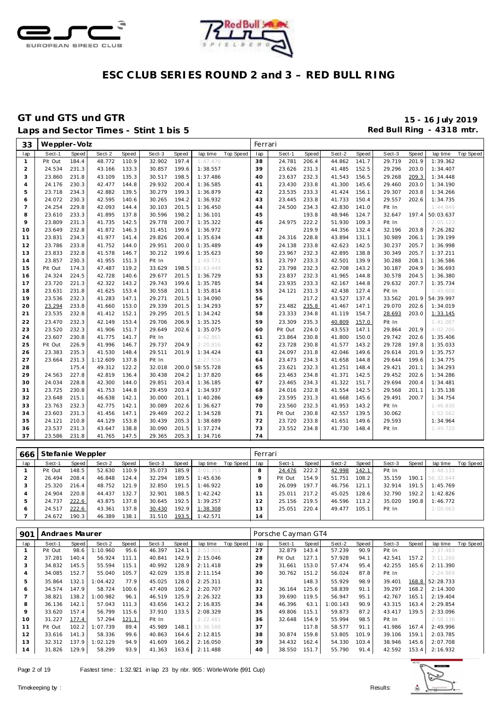



### GT und GTS und GTR<br>
Laps and Sector Times - Stint 1 bis 5<br>
Red Bull Ring - 4318 mtr. Laps and Sector Times - Stint 1 bis 5

| 33             | Weppler-Volz |       |          |       |        |       |           |                    | Ferrari |         |       |        |       |        |              |           |                  |
|----------------|--------------|-------|----------|-------|--------|-------|-----------|--------------------|---------|---------|-------|--------|-------|--------|--------------|-----------|------------------|
| lap            | Sect-1       | Speed | Sect-2   | Speed | Sect-3 | Speed |           | lap time Top Speed | lap     | Sect-1  | Speed | Sect-2 | Speed | Sect-3 | <b>Speed</b> | lap time  | <b>Top Speed</b> |
| $\mathbf{1}$   | Pit Out      | 184.4 | 48.772   | 110.9 | 32.902 | 197.4 | 1:47.470  |                    | 38      | 24.781  | 206.4 | 44.862 | 141.7 | 29.719 | 201.9        | 1:39.362  |                  |
| $\overline{2}$ | 24.534       | 231.3 | 43.166   | 133.3 | 30.857 | 199.6 | 1:38.557  |                    | 39      | 23.626  | 231.3 | 41.485 | 152.5 | 29.296 | 203.0        | 1:34.407  |                  |
| 3              | 23.860       | 231.8 | 43.109   | 135.3 | 30.517 | 198.5 | 1:37.486  |                    | 40      | 23.637  | 232.3 | 41.543 | 156.5 | 29.268 | 209.3        | 1:34.448  |                  |
| $\overline{4}$ | 24.176       | 230.3 | 42.477   | 144.8 | 29.932 | 200.4 | 1:36.585  |                    | 41      | 23.430  | 233.8 | 41.300 | 145.6 | 29.460 | 203.0        | 1:34.190  |                  |
| 5              | 23.718       | 234.3 | 42.882   | 139.5 | 30.279 | 199.3 | 1:36.879  |                    | 42      | 23.535  | 233.3 | 41.424 | 156.1 | 29.307 | 203.8        | 1:34.266  |                  |
| 6              | 24.072       | 230.3 | 42.595   | 140.6 | 30.265 | 194.2 | 1:36.932  |                    | 43      | 23.445  | 233.8 | 41.733 | 150.4 | 29.557 | 202.6        | 1:34.735  |                  |
| $\overline{7}$ | 24.254       | 229.8 | 42.093   | 144.4 | 30.103 | 201.5 | 1:36.450  |                    | 44      | 24.500  | 234.3 | 42.830 | 141.0 | Pit In |              | 1:44.849  |                  |
| 8              | 23.610       | 233.3 | 41.895   | 137.8 | 30.596 | 198.2 | 1:36.101  |                    | 45      |         | 193.8 | 48.946 | 124.7 | 32.647 | 197.4        | 50:03.637 |                  |
| 9              | 23.809       | 231.3 | 41.735   | 142.5 | 29.778 | 200.7 | 1:35.322  |                    | 46      | 24.975  | 222.2 | 51.930 | 109.3 | Pit In |              | 2:05.123  |                  |
| 10             | 23.649       | 232.8 | 41.872   | 146.3 | 31.451 | 199.6 | 1:36.972  |                    | 47      |         | 219.9 | 44.356 | 132.4 | 32.196 | 203.8        | 7:26.282  |                  |
| 11             | 23.831       | 234.3 | 41.977   | 141.4 | 29.826 | 200.4 | 1:35.634  |                    | 48      | 24.316  | 228.8 | 43.894 | 131.1 | 30.989 | 206.1        | 1:39.199  |                  |
| 12             | 23.786       | 233.8 | 41.752   | 144.0 | 29.951 | 200.0 | 1:35.489  |                    | 49      | 24.138  | 233.8 | 42.623 | 142.5 | 30.237 | 205.7        | 1:36.998  |                  |
| 13             | 23.833       | 232.8 | 41.578   | 146.7 | 30.212 | 199.6 | 1:35.623  |                    | 50      | 23.967  | 232.3 | 42.895 | 138.8 | 30.349 | 205.7        | 1:37.211  |                  |
| 14             | 23.857       | 230.3 | 41.955   | 151.3 | Pit In |       | 1:49.771  |                    | 51      | 23.797  | 233.3 | 42.501 | 139.9 | 30.288 | 208.1        | 1:36.586  |                  |
| 15             | Pit Out      | 174.3 | 47.487   | 119.2 | 33.629 | 198.5 | 51:43.449 |                    | 52      | 23.798  | 232.3 | 42.708 | 143.2 | 30.187 | 204.9        | 1:36.693  |                  |
| 16             | 24.324       | 224.5 | 42.728   | 140.6 | 29.677 | 201.5 | 1:36.729  |                    | 53      | 23.837  | 232.3 | 41.965 | 144.8 | 30.578 | 204.5        | 1:36.380  |                  |
| 17             | 23.720       | 221.3 | 42.322   | 143.2 | 29.743 | 199.6 | 1:35.785  |                    | 54      | 23.935  | 233.3 | 42.167 | 144.8 | 29.632 | 207.7        | 1:35.734  |                  |
| 18             | 23.631       | 231.8 | 41.625   | 153.4 | 30.558 | 201.1 | 1:35.814  |                    | 55      | 24.121  | 231.3 | 42.438 | 127.4 | Pit In |              | 1:45.608  |                  |
| 19             | 23.536       | 232.3 | 41.283   | 147.1 | 29.271 | 201.5 | 1:34.090  |                    | 56      |         | 217.2 | 43.527 | 137.4 | 33.562 | 201.9        | 54:39.997 |                  |
| 20             | 23.294       | 233.8 | 41.660   | 153.0 | 29.339 | 201.5 | 1:34.293  |                    | 57      | 23.482  | 235.8 | 41.467 | 147.1 | 29.070 | 202.6        | 1:34.019  |                  |
| 21             | 23.535       | 232.8 | 41.412   | 152.1 | 29.295 | 201.5 | 1:34.242  |                    | 58      | 23.333  | 234.8 | 41.119 | 154.7 | 28.693 | 203.0        | 1:33.145  |                  |
| 22             | 23.470       | 232.3 | 42.149   | 153.4 | 29.706 | 206.9 | 1:35.325  |                    | 59      | 23.309  | 235.3 | 40.809 | 157.0 | Pit In |              | 1:41.087  |                  |
| 23             | 23.520       | 232.3 | 41.906   | 151.7 | 29.649 | 202.6 | 1:35.075  |                    | 60      | Pit Out | 224.0 | 43.553 | 147.1 | 29.864 | 201.9        | 4:02.286  |                  |
| 24             | 23.607       | 230.8 | 41.775   | 141.7 | Pit In |       | 1:42.861  |                    | 61      | 23.864  | 230.8 | 41.800 | 150.0 | 29.742 | 202.6        | 1:35.406  |                  |
| 25             | Pit Out      | 226.9 | 41.996   | 146.7 | 29.737 | 204.9 | 2:20.816  |                    | 62      | 23.728  | 230.8 | 41.577 | 143.2 | 29.728 | 197.8        | 1:35.033  |                  |
| 26             | 23.383       | 235.3 | 41.530   | 148.4 | 29.511 | 201.9 | 1:34.424  |                    | 63      | 24.097  | 231.8 | 42.046 | 149.6 | 29.614 | 201.9        | 1:35.757  |                  |
| 27             | 23.664       | 231.3 | 1:12.609 | 137.8 | Pit In |       | 2:27.558  |                    | 64      | 23.473  | 234.3 | 41.658 | 144.8 | 29.644 | 199.6        | 1:34.775  |                  |
| 28             |              | 175.4 | 49.312   | 122.2 | 32.018 | 200.0 | 58:55.728 |                    | 65      | 23.621  | 232.3 | 41.251 | 148.4 | 29.421 | 201.1        | 1:34.293  |                  |
| 29             | 24.563       | 227.8 | 42.819   | 136.4 | 30.438 | 204.2 | 1:37.820  |                    | 66      | 23.463  | 234.8 | 41.371 | 142.5 | 29.452 | 202.6        | 1:34.286  |                  |
| 30             | 24.034       | 228.8 | 42.300   | 144.0 | 29.851 | 203.4 | 1:36.185  |                    | 67      | 23.465  | 234.3 | 41.322 | 151.7 | 29.694 | 200.4        | 1:34.481  |                  |
| 31             | 23.725       | 230.8 | 41.753   | 144.8 | 29.459 | 203.4 | 1:34.937  |                    | 68      | 24.016  | 232.8 | 41.554 | 142.5 | 29.568 | 201.1        | 1:35.138  |                  |
| 32             | 23.648       | 215.1 | 46.638   | 142.1 | 30.000 | 201.1 | 1:40.286  |                    | 69      | 23.595  | 231.3 | 41.668 | 145.6 | 29.491 | 200.7        | 1:34.754  |                  |
| 33             | 23.763       | 232.3 | 42.775   | 142.1 | 30.089 | 202.6 | 1:36.627  |                    | 70      | 23.560  | 232.3 | 41.953 | 143.2 | Pit In |              | 1:46.830  |                  |
| 34             | 23.603       | 231.3 | 41.456   | 147.1 | 29.469 | 202.2 | 1:34.528  |                    | 71      | Pit Out | 230.8 | 42.557 | 139.5 | 30.062 |              | 1:52.562  |                  |
| 35             | 24.121       | 210.8 | 44.129   | 153.8 | 30.439 | 205.3 | 1:38.689  |                    | 72      | 23.720  | 233.8 | 41.651 | 149.6 | 29.593 |              | 1:34.964  |                  |
| 36             | 23.537       | 231.3 | 43.647   | 138.8 | 30.090 | 201.5 | 1:37.274  |                    | 73      | 23.552  | 234.8 | 41.730 | 148.4 | Pit In |              | 1:49.720  |                  |
| 37             | 23.586       | 231.8 | 41.765   | 147.5 | 29.365 | 205.3 | 1:34.716  |                    | 74      |         |       |        |       |        |              |           |                  |

| 666 | Stefanie Weppler |       |        |       |        |       |          |           | Ferrari       |         |       |        |       |        |       |                 |           |
|-----|------------------|-------|--------|-------|--------|-------|----------|-----------|---------------|---------|-------|--------|-------|--------|-------|-----------------|-----------|
| lap | Sect-1           | Speed | Sect-2 | Speed | Sect-3 | Speed | lap time | Top Speed | lap           | Sect-1  | Speed | Sect-2 | Speed | Sect-3 | Speed | lap time        | Top Speed |
|     | Pit Out          | 148.5 | 52.630 | 110.9 | 35.073 | 185.9 | 2:01.353 |           |               | 24.476  | 222.2 | 42.998 | 142.1 | Pit In |       | 1:48.133        |           |
|     | 26.494           | 208.4 | 46.848 | 124.4 | 32.294 | 189.5 | 1:45.636 |           |               | Pit Out | 154.9 | 51.751 | 108.2 | 35.159 |       | 190.1 56:32.644 |           |
|     | 25.320           | 216.4 | 48.752 | 121.9 | 32.850 | 191.5 | 1:46.922 |           |               | 26.099  | 197.7 | 46.756 | 121.1 | 32.914 | 191.5 | 1:45.769        |           |
| 4   | 24.904           | 220.8 | 44.437 | 132.7 | 32.901 | 188.5 | 1:42.242 |           |               | 25.011  | 217.2 | 45.025 | 128.6 | 32.790 | 192.2 | 1:42.826        |           |
| 5   | 24.737           | 222.6 | 43.875 | 137.8 | 30.645 | 192.5 | 1:39.257 |           | $\mathcal{P}$ | 25.156  | 219.5 | 46.596 | 113.2 | 35.020 | 190.8 | 1:46.772        |           |
| O   | 24.517           | 222.6 | 43.361 | 137.8 | 30.430 | 192.9 | 1:38.308 |           | З             | 25.051  | 220.4 | 49.477 | 105.1 | Pit In |       | 2:00.063        |           |
|     | 24.672           | 190.3 | 46.389 | 138.1 | 31.510 | 193.5 | 1:42.571 |           | 14            |         |       |        |       |        |       |                 |           |

| 901 | Andraes Maurer |       |          |       |        |       |           |           |     | Porsche Cayman GT4 |       |          |       |        |       |                 |           |
|-----|----------------|-------|----------|-------|--------|-------|-----------|-----------|-----|--------------------|-------|----------|-------|--------|-------|-----------------|-----------|
| lap | Sect-1         | Speed | Sect-2   | Speed | Sect-3 | Speed | lap time  | Top Speed | lap | Sect-1             | Speed | Sect-2   | Speed | Sect-3 | Speed | lap time        | Top Speed |
|     | Pit Out        | 98.6  | 1:10.960 | 95.6  | 46.397 | 124.1 | 2:53.001  |           | 27  | 32.879             | 143.4 | 57.239   | 90.9  | Pit In |       | 2:37.483        |           |
|     | 37.281         | 140.4 | 56.924   | 111.1 | 40.841 | 142.9 | 2:15.046  |           | 28  | Pit Out            | 127.1 | 57.928   | 94.1  | 42.541 | 157.2 | 3:11.260        |           |
| 3   | 34.832         | 145.5 | 55.594   | 115.1 | 40.992 | 128.9 | 2:11.418  |           | 29  | 31.661             | 153.0 | 57.474   | 95.4  | 42.255 | 165.6 | 2:11.390        |           |
| 4   | 34.085         | 152.7 | 55.040   | 105.7 | 42.029 | 135.8 | 2:11.154  |           | 30  | 30.762             | 151.2 | 56.024   | 87.8  | Pit In |       | 2:24.969        |           |
| 5   | 35.864         | 132.1 | 1:04.422 | 77.9  | 45.025 | 128.0 | 2:25.311  |           | 31  |                    | 148.3 | 55.929   | 98.9  | 39.401 |       | 168.8 52:28.733 |           |
| 6   | 34.574         | 147.9 | 58.724   | 100.6 | 47.409 | 106.2 | 2:20.707  |           | 32  | 36.164             | 125.6 | 58.839   | 91.1  | 39.297 | 168.2 | 2:14.300        |           |
|     | 38.821         | 138.2 | 1:00.982 | 96.1  | 46.519 | 125.9 | 2:26.322  |           | 33  | 39.690             | 119.5 | 56.947   | 95.1  | 42.767 | 165.1 | 2:19.404        |           |
| 8   | 36.136         | 142.1 | 57.043   | 111.3 | 43.656 | 143.2 | 2:16.835  |           | 34  | 46.396             | 63.1  | 1:00.143 | 90.9  | 43.315 | 163.4 | 2:29.854        |           |
| 9   | 33.620         | 157.4 | 56.799   | 115.6 | 37.910 | 133.5 | 2:08.329  |           | 35  | 49.806             | 115.1 | 59.873   | 87.2  | 43.417 | 139.5 | 2:33.096        |           |
| 10  | 31.227         | 177.4 | 57.294   | 121.1 | Pit In |       | 2:22.481  |           | 36  | 32.648             | 154.9 | 55.994   | 98.5  | Pit In |       | 2:58.136        |           |
| 11  | Pit Out        | 102.2 | 1:07.739 | 89.4  | 45.989 | 148.1 | 53:36.588 |           | 37  |                    | 117.8 | 58.577   | 91.1  | 41.986 | 167.4 | 2:49.996        |           |
| 12  | 33.616         | 141.3 | 58.336   | 99.6  | 40.863 | 164.6 | 2:12.815  |           | 38  | 30.874             | 159.8 | 53.805   | 101.9 | 39.106 | 159.1 | 2:03.785        |           |
| 13  | 32.312         | 137.9 | 1:02.129 | 94.9  | 41.609 | 166.2 | 2:16.050  |           | 39  | 34.432             | 162.4 | 54.330   | 103.4 | 38.946 | 145.6 | 2:07.708        |           |
| 14  | 31.826         | 129.9 | 58.299   | 93.9  | 41.363 | 163.6 | 2:11.488  |           | 40  | 38.550             | 151.7 | 55.790   | 91.4  | 42.592 | 153.4 | 2:16.932        |           |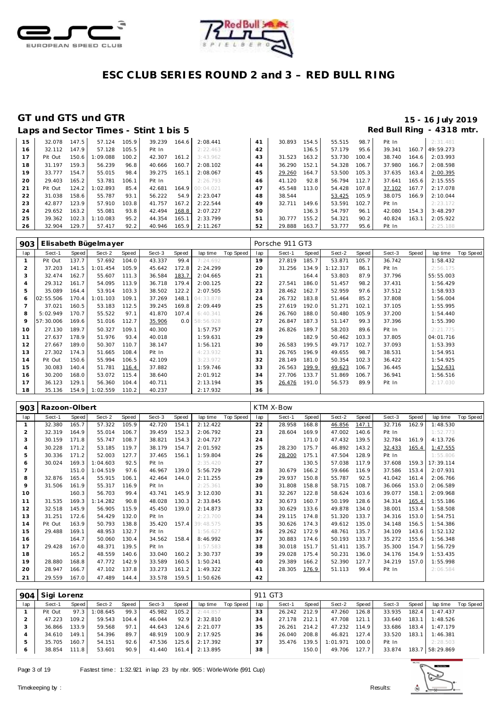



|    | Laps and Sector Times - Stint 1 bis 5 |       |          |       |        |       |                 |    |        |       |        |       |        |       | Red Bull Ring - 4318 mtr. |
|----|---------------------------------------|-------|----------|-------|--------|-------|-----------------|----|--------|-------|--------|-------|--------|-------|---------------------------|
| 15 | 32.078                                | 147.5 | 57.124   | 105.9 | 39.239 | 164.6 | 2:08.441        | 41 | 30.893 | 154.5 | 55.515 | 98.7  | Pit In |       | 2:31.481                  |
| 16 | 32.112                                | 147.9 | 57.128   | 105.5 | Pit In |       | 2:22.463        | 42 |        | 136.5 | 57.179 | 95.6  | 39.341 | 160.7 | 49:59.273                 |
| 17 | Pit Out                               | 150.6 | 1:09.088 | 100.2 | 42.307 | 161.2 | 3:43.962        | 43 | 31.523 | 163.2 | 53.730 | 100.4 | 38.740 | 164.6 | 2:03.993                  |
| 18 | 31.197                                | 159.3 | 56.239   | 96.8  | 40.666 | 160.7 | 2:08.102        | 44 | 36.290 | 152.1 | 54.328 | 106.7 | 37.980 | 166.7 | 2:08.598                  |
| 19 | 33.777                                | 154.7 | 55.015   | 98.4  | 39.275 | 165.1 | 2:08.067        | 45 | 29.260 | 164.7 | 53.500 | 105.3 | 37.635 | 163.4 | 2:00.395                  |
| 20 | 29.403                                | 165.2 | 53.781   | 106.1 | Pit In |       | 2:26.793        | 46 | 41.120 | 92.8  | 56.794 | 112.7 | 37.641 | 165.6 | 2:15.555                  |
| 21 | Pit Out                               | 124.2 | 1:02.893 | 85.4  | 42.681 |       | 164.9 00:04.021 | 47 | 45.548 | 113.0 | 54.428 | 107.8 | 37.102 | 167.7 | 2:17.078                  |
| 22 | 31.038                                | 158.6 | 55.787   | 93.1  | 56.222 | 54.9  | 2:23.047        | 48 | 38.544 |       | 53.425 | 105.9 | 38.075 | 166.9 | 2:10.044                  |
| 23 | 42.877                                | 123.9 | 57.910   | 103.8 | 41.757 | 167.2 | 2:22.544        | 49 | 32.711 | 149.6 | 53.591 | 102.7 | Pit In |       | 2:23.172                  |
| 24 | 29.652                                | 163.2 | 55.081   | 93.8  | 42.494 | 168.8 | 2:07.227        | 50 |        | 136.3 | 54.797 | 96.1  | 42.080 | 154.3 | 3:48.297                  |
| 25 | 39.362                                | 102.3 | 1:10.083 | 95.2  | 44.354 | 165.1 | 2:33.799        | 51 | 30.777 | 155.2 | 54.321 | 90.2  | 40.824 | 163.1 | 2:05.922                  |
| 26 | 32.904                                | 129.7 | 57.417   | 92.2  | 40.946 | 165.9 | 2:11.267        | 52 | 29.888 | 163.7 | 53.777 | 95.6  | Pit In |       | 2:25.188                  |

| 903            |           |       | Elisabeth Bügelmayer |       |        |       |               |           |     | Porsche 911 GT3 |       |          |       |        |       |           |                  |
|----------------|-----------|-------|----------------------|-------|--------|-------|---------------|-----------|-----|-----------------|-------|----------|-------|--------|-------|-----------|------------------|
| lap            | Sect-1    | Speed | Sect-2               | Speed | Sect-3 | Speed | lap time      | Top Speed | lap | Sect-1          | Speed | Sect-2   | Speed | Sect-3 | Speed | lap time  | <b>Top Speed</b> |
|                | Pit Out   | 137.7 | 57.692               | 104.0 | 43.337 | 99.4  | 7:24.692      |           | 19  | 27.819          | 185.7 | 53.871   | 105.7 | 36.742 |       | 1:58.432  |                  |
| 2              | 37.203    | 141.5 | 1:01.454             | 105.9 | 45.642 | 172.8 | 2:24.299      |           | 20  | 31.256          | 134.9 | 1:12.317 | 86.1  | Pit In |       | 2:56.175  |                  |
| 3              | 32.474    | 162.7 | 55.607               | 111.3 | 36.584 | 183.7 | 2:04.665      |           | 21  |                 | 164.4 | 53.803   | 87.9  | 37.796 |       | 55:55.003 |                  |
| $\overline{4}$ | 29.312    | 161.7 | 54.095               | 113.9 | 36.718 | 179.4 | 2:00.125      |           | 22  | 27.541          | 186.0 | 51.457   | 98.2  | 37.431 |       | 1:56.429  |                  |
| 5              | 35.089    | 164.4 | 53.914               | 103.3 | 38.502 | 122.2 | 2:07.505      |           | 23  | 28.462          | 162.7 | 52.959   | 97.6  | 37.512 |       | 1:58.933  |                  |
| 6              | 02:55.506 | 170.4 | 1:01.103             | 109.1 | 37.269 | 148.1 | 04:33.878     |           | 24  | 26.732          | 183.8 | 51.464   | 85.2  | 37.808 |       | 1:56.004  |                  |
|                | 37.021    | 160.5 | 53.183               | 112.5 | 39.245 | 169.8 | 2:09.449      |           | 25  | 27.619          | 192.0 | 51.271   | 102.1 | 37.105 |       | 1:55.995  |                  |
| 8              | 5:02.949  | 170.7 | 55.522               | 97.1  | 41.870 | 107.4 | 6:40.341      |           | 26  | 26.760          | 188.0 | 50.480   | 105.9 | 37.200 |       | 1:54.440  |                  |
| 9              | 57:30.006 | 169.6 | 51.016               | 112.7 | 35.906 |       | 0.0 58:56.928 |           | 27  | 26.847          | 187.3 | 51.147   | 99.3  | 37.396 |       | 1:55.390  |                  |
| 10             | 27.130    | 189.7 | 50.327               | 109.1 | 40.300 |       | 1:57.757      |           | 28  | 26.826          | 189.7 | 58.203   | 89.6  | Pit In |       | 2:21.775  |                  |
| 11             | 27.637    | 178.9 | 51.976               | 93.4  | 40.018 |       | 1:59.631      |           | 29  |                 | 182.9 | 50.462   | 103.3 | 37.805 |       | 04:01.716 |                  |
| 12             | 27.667    | 189.0 | 50.307               | 110.7 | 38.147 |       | 1:56.121      |           | 30  | 26.583          | 199.5 | 49.717   | 102.7 | 37.093 |       | 1:53.393  |                  |
| 13             | 27.302    | 174.3 | 51.665               | 108.4 | Pit In |       | 4:23.932      |           | 31  | 26.765          | 196.9 | 49.655   | 98.7  | 38.531 |       | 1:54.951  |                  |
| 14             | Pit Out   | 150.6 | 55.994               | 106.5 | 42.109 |       | 3:23.972      |           | 32  | 28.149          | 181.0 | 50.354   | 102.3 | 36.422 |       | 1:54.925  |                  |
| 15             | 30.083    | 140.4 | 51.781               | 116.4 | 37.882 |       | 1:59.746      |           | 33  | 26.563          | 199.9 | 49.623   | 106.7 | 36.445 |       | 1:52.631  |                  |
| 16             | 30.200    | 168.0 | 53.072               | 115.4 | 38.640 |       | 2:01.912      |           | 34  | 27.706          | 133.7 | 51.869   | 106.7 | 36.941 |       | 1:56.516  |                  |
| 17             | 36.123    | 129.1 | 56.360               | 104.4 | 40.711 |       | 2:13.194      |           | 35  | 26.476          | 191.0 | 56.573   | 89.9  | Pit In |       | 2:17.030  |                  |
| 18             | 35.136    | 154.9 | 1:02.559             | 110.2 | 40.237 |       | 2:17.932      |           | 36  |                 |       |          |       |        |       |           |                  |

| 903            | Razoon-Olbert |       |          |       |        |       |           |           |     | KTM X-Bow |       |        |       |        |       |           |           |
|----------------|---------------|-------|----------|-------|--------|-------|-----------|-----------|-----|-----------|-------|--------|-------|--------|-------|-----------|-----------|
| lap            | Sect-1        | Speed | Sect-2   | Speed | Sect-3 | Speed | lap time  | Top Speed | lap | Sect-1    | Speed | Sect-2 | Speed | Sect-3 | Speed | lap time  | Top Speed |
|                | 32.380        | 165.7 | 57.322   | 105.9 | 42.720 | 154.1 | 2:12.422  |           | 22  | 28.958    | 168.8 | 46.856 | 147.1 | 32.716 | 162.9 | 1:48.530  |           |
| $\overline{2}$ | 32.319        | 164.9 | 55.014   | 106.7 | 39.459 | 152.3 | 2:06.792  |           | 23  | 28.604    | 169.9 | 47.002 | 140.6 | Pit In |       | 1:52.773  |           |
| 3              | 30.159        | 171.8 | 55.747   | 108.7 | 38.821 | 154.3 | 2:04.727  |           | 24  |           | 171.0 | 47.432 | 139.5 | 32.784 | 161.9 | 4:13.726  |           |
| 4              | 30.228        | 171.2 | 53.185   | 119.7 | 38.179 | 154.7 | 2:01.592  |           | 25  | 28.230    | 175.7 | 46.892 | 143.2 | 32.433 | 165.4 | 1:47.555  |           |
| 5              | 30.336        | 171.2 | 52.003   | 127.7 | 37.465 | 156.1 | 1:59.804  |           | 26  | 28.200    | 175.1 | 47.504 | 128.9 | Pit In |       | 1:55.806  |           |
| 6              | 30.024        | 169.3 | 1:04.603 | 92.5  | Pit In |       | 2:35.420  |           | 27  |           | 130.5 | 57.038 | 117.9 | 37.608 | 159.3 | 17:39.114 |           |
| $\overline{7}$ |               | 151.0 | 1:04.519 | 97.6  | 46.967 | 139.0 | 5:56.729  |           | 28  | 30.679    | 166.2 | 59.666 | 116.9 | 37.586 | 153.4 | 2:07.931  |           |
| 8              | 32.876        | 165.4 | 55.915   | 106.1 | 42.464 | 144.0 | 2:11.255  |           | 29  | 29.937    | 150.8 | 55.787 | 92.5  | 41.042 | 161.4 | 2:06.766  |           |
| 9              | 31.506        | 161.9 | 55.317   | 116.9 | Pit In |       | 2:25.361  |           | 30  | 31.808    | 158.8 | 58.715 | 108.7 | 36.066 | 153.0 | 2:06.589  |           |
| 10             |               | 160.3 | 56.703   | 99.4  | 43.741 | 145.9 | 3:12.030  |           | 31  | 32.267    | 122.8 | 58.624 | 103.6 | 39.077 | 158.1 | 2:09.968  |           |
| 11             | 31.535        | 169.3 | 1:14.282 | 90.8  | 48.028 | 130.3 | 2:33.845  |           | 32  | 30.673    | 160.7 | 50.199 | 128.6 | 34.314 | 165.4 | 1:55.186  |           |
| 12             | 32.518        | 145.9 | 56.905   | 115.9 | 45.450 | 139.0 | 2:14.873  |           | 33  | 30.629    | 133.6 | 49.878 | 134.0 | 38.001 | 153.4 | 1:58.508  |           |
| 13             | 31.251        | 172.6 | 54.429   | 132.0 | Pit In |       | 2:23.700  |           | 34  | 29.115    | 174.8 | 51.320 | 133.7 | 34.316 | 153.0 | 1:54.751  |           |
| 14             | Pit Out       | 163.9 | 50.793   | 138.8 | 35.420 | 157.4 | 39:48.575 |           | 35  | 30.626    | 174.3 | 49.612 | 135.0 | 34.148 | 156.5 | 1:54.386  |           |
| 15             | 29.488        | 169.1 | 48.953   | 132.7 | Pit In |       | 1:56.627  |           | 36  | 29.262    | 172.9 | 48.761 | 135.7 | 34.109 | 143.6 | 1:52.132  |           |
| 16             |               | 164.7 | 50.060   | 130.4 | 34.562 | 158.4 | 8:46.992  |           | 37  | 30.883    | 174.6 | 50.193 | 133.7 | 35.272 | 155.6 | 1:56.348  |           |
| 17             | 29.428        | 167.0 | 48.371   | 139.5 | Pit In |       | 1:57.583  |           | 38  | 30.018    | 151.7 | 51.411 | 135.7 | 35.300 | 154.7 | 1:56.729  |           |
| 18             |               | 165.2 | 48.559   | 140.6 | 33.040 | 160.2 | 3:30.737  |           | 39  | 29.028    | 175.4 | 50.231 | 136.0 | 34.176 | 154.9 | 1:53.435  |           |
| 19             | 28.880        | 168.8 | 47.772   | 142.9 | 33.589 | 160.5 | 1:50.241  |           | 40  | 29.389    | 166.2 | 52.390 | 127.7 | 34.219 | 157.0 | 1:55.998  |           |
| 20             | 28.947        | 166.7 | 47.102   | 137.8 | 33.273 | 161.2 | 1:49.322  |           | 41  | 28.305    | 176.9 | 51.113 | 99.4  | Pit In |       | 2:06.584  |           |
| 21             | 29.559        | 167.0 | 47.489   | 144.4 | 33.578 | 159.5 | 1:50.626  |           | 42  |           |       |        |       |        |       |           |           |

| 904 | Sigi Lorenz |       |          |       |        |       |          |           | 911 GT3 |        |       |          |       |        |       |                 |           |
|-----|-------------|-------|----------|-------|--------|-------|----------|-----------|---------|--------|-------|----------|-------|--------|-------|-----------------|-----------|
| lap | Sect-1      | Speed | Sect-2   | Speed | Sect-3 | Speed | lap time | Top Speed | lap     | Sect-1 | Speed | Sect-2   | Speed | Sect-3 | Speed | lap time        | Top Speed |
|     | Pit Out     | 97.3  | : 08.645 | 99.3  | 45.982 | 105.2 | 2:44.857 |           | 33      | 26.242 | 212.9 | 47.260   | 126.8 | 33.935 | 182.4 | 1:47.437        |           |
|     | 47.223      | 109.2 | 59.543   | 104.4 | 46.044 | 92.9  | 2:32.810 |           | 34      | 27.178 | 212.1 | 47.708   | 121.1 | 33.640 | 183.1 | 1:48.526        |           |
|     | 36.866      | 133.9 | 59.568   | 97.1  | 44.643 | 124.6 | 2:21.077 |           | 35      | 26.261 | 214.2 | 47.232   | 114.9 | 33.686 | 183.4 | 1:47.179        |           |
|     | 34.610      | 149.1 | 54.396   | 89.7  | 48.919 | 100.9 | 2:17.925 |           | 36      | 26.040 | 208.8 | 46.821   | 127.4 | 33.520 | 183.1 | 1:46.381        |           |
|     | 35.705      | 160.7 | 54.151   | 92.6  | 47.536 | 125.6 | 2:17.392 |           | 37      | 35.476 | 139.5 | 1:01.971 | 100.0 | Pit In |       | 2:28.503        |           |
|     | 38.854      | 111.8 | 53.601   | 90.9  | 41.440 | 161.4 | 2:13.895 |           | 38      |        | 150.0 | 49.706   | 127.7 | 33.874 |       | 183.7 58:29.869 |           |

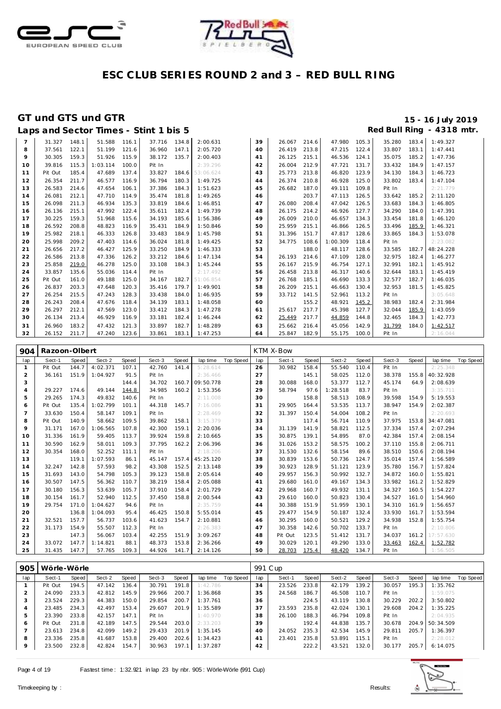



|                |         |       |          |       | Laps and Sector Times - Stint 1 bis 5 |       |           |    |        |       |          |       |        |       | Red Bull Ring - 4318 mtr. |
|----------------|---------|-------|----------|-------|---------------------------------------|-------|-----------|----|--------|-------|----------|-------|--------|-------|---------------------------|
| $\overline{7}$ | 31.327  | 148.1 | 51.588   | 116.1 | 37.716 134.8                          |       | 2:00.631  | 39 | 26.067 | 214.6 | 47.980   | 105.3 | 35.280 | 183.4 | 1:49.327                  |
| 8              | 37.561  | 122.1 | 51.199   | 121.6 | 36.960                                | 147.1 | 2:05.720  | 40 | 26.419 | 213.8 | 47.215   | 122.4 | 33.807 | 183.1 | 1:47.441                  |
| 9              | 30.305  | 159.3 | 51.926   | 115.9 | 38.172                                | 135.7 | 2:00.403  | 41 | 26.125 | 215.1 | 46.536   | 124.1 | 35.075 | 185.2 | 1:47.736                  |
| 10             | 39.816  | 115.3 | 1:03.114 | 100.0 | Pit In                                |       | 2:39.296  | 42 | 26.004 | 212.9 | 47.721   | 131.7 | 33.432 | 184.9 | 1:47.157                  |
| 11             | Pit Out | 185.4 | 47.689   | 137.4 | 33.827                                | 184.6 | 53:06.624 | 43 | 25.773 | 213.8 | 46.820   | 123.9 | 34.130 | 184.3 | 1:46.723                  |
| 12             | 26.354  | 211.7 | 46.577   | 116.9 | 36.794                                | 180.3 | 1:49.725  | 44 | 26.374 | 210.8 | 46.928   | 125.0 | 33.802 | 183.4 | 1:47.104                  |
| 13             | 26.583  | 214.6 | 47.654   | 106.1 | 37.386                                | 184.3 | 1:51.623  | 45 | 26.682 | 187.0 | 49.111   | 109.8 | Pit In |       | 2:21.779                  |
| 14             | 26.081  | 212.1 | 47.710   | 114.9 | 35.474                                | 181.8 | 1:49.265  | 46 |        | 203.7 | 47.113   | 126.5 | 33.642 | 185.2 | 2:11.120                  |
| 15             | 26.098  | 211.3 | 46.934   | 135.3 | 33.819                                | 184.6 | 1:46.851  | 47 | 26.080 | 208.4 | 47.042   | 126.5 | 33.683 | 184.3 | 1:46.805                  |
| 16             | 26.136  | 215.1 | 47.992   | 122.4 | 35.611                                | 182.4 | 1:49.739  | 48 | 26.175 | 214.2 | 46.926   | 127.7 | 34.290 | 184.0 | 1:47.391                  |
| 17             | 30.225  | 159.3 | 51.968   | 115.6 | 34.193                                | 185.6 | 1:56.386  | 49 | 26.009 | 210.0 | 46.657   | 134.3 | 33.454 | 181.8 | 1:46.120                  |
| 18             | 26.592  | 208.8 | 48.823   | 116.9 | 35.431                                | 184.9 | 1:50.846  | 50 | 25.959 | 215.1 | 46.866   | 126.5 | 33.496 | 185.9 | 1:46.321                  |
| 19             | 25.982  | 218.1 | 46.333   | 126.8 | 33.483                                | 184.9 | 1:45.798  | 51 | 31.396 | 151.7 | 47.817   | 128.6 | 33.865 | 184.3 | 1:53.078                  |
| 20             | 25.998  | 209.2 | 47.403   | 114.6 | 36.024                                | 181.8 | 1:49.425  | 52 | 34.775 | 108.6 | 1:00.309 | 118.4 | Pit In |       | 2:23.082                  |
| 21             | 26.656  | 217.2 | 46.427   | 125.9 | 33.250                                | 184.9 | 1:46.333  | 53 |        | 188.0 | 48.117   | 128.6 | 33.585 | 182.7 | 48:24.228                 |
| 22             | 26.586  | 213.8 | 47.336   | 126.2 | 33.212                                | 184.6 | 1:47.134  | 54 | 26.193 | 214.6 | 47.109   | 128.0 | 32.975 | 182.4 | 1:46.277                  |
| 23             | 25.858  | 219.0 | 46.278   | 125.0 | 33.108                                | 184.3 | 1:45.244  | 55 | 26.167 | 215.9 | 46.754   | 127.1 | 32.991 | 182.1 | 1:45.912                  |
| 24             | 33.857  | 135.6 | 55.036   | 114.4 | Pit In                                |       | 2:17.492  | 56 | 26.458 | 213.8 | 46.317   | 140.6 | 32.644 | 183.1 | 1:45.419                  |
| 25             | Pit Out | 161.0 | 49.188   | 125.0 | 34.167                                | 182.7 | 51:06.854 | 57 | 26.768 | 185.1 | 46.690   | 133.3 | 32.577 | 182.7 | 1:46.035                  |
| 26             | 26.837  | 203.3 | 47.648   | 120.3 | 35.416                                | 179.7 | 1:49.901  | 58 | 26.209 | 215.1 | 46.663   | 130.4 | 32.953 | 181.5 | 1:45.825                  |
| 27             | 26.254  | 215.5 | 47.243   | 128.3 | 33.438                                | 184.0 | 1:46.935  | 59 | 33.712 | 141.5 | 52.961   | 113.2 | Pit In |       | 3:05.648                  |
| 28             | 26.243  | 208.4 | 47.676   | 118.4 | 34.139                                | 183.1 | 1:48.058  | 60 |        | 155.2 | 48.921   | 145.2 | 38.983 | 182.4 | 2:31.984                  |
| 29             | 26.297  | 212.1 | 47.569   | 123.0 | 33.412                                | 184.3 | 1:47.278  | 61 | 25.617 | 217.7 | 45.398   | 127.7 | 32.044 | 185.9 | 1:43.059                  |
| 30             | 26.134  | 213.4 | 46.929   | 116.9 | 33.181                                | 182.4 | 1:46.244  | 62 | 25.449 | 217.7 | 44.859   | 144.8 | 32.465 | 184.3 | 1:42.773                  |
| 31             | 26.960  | 183.2 | 47.432   | 121.3 | 33.897                                | 182.7 | 1:48.289  | 63 | 25.662 | 216.4 | 45.056   | 142.9 | 31.799 | 184.0 | 1:42.517                  |
| 32             | 26.152  | 211.7 | 47.240   | 123.6 | 33.861                                | 183.1 | 1:47.253  | 64 | 25.847 | 182.9 | 55.175   | 100.0 | Pit In |       | 2:16.044                  |

| 904 | Razoon-Olbert |              |          |              |        |       |           |                  |     | KTM X-Bow |       |          |       |        |       |           |                  |
|-----|---------------|--------------|----------|--------------|--------|-------|-----------|------------------|-----|-----------|-------|----------|-------|--------|-------|-----------|------------------|
| lap | Sect-1        | <b>Speed</b> | Sect-2   | <b>Speed</b> | Sect-3 | Speed | lap time  | <b>Top Speed</b> | lap | Sect-1    | Speed | Sect-2   | Speed | Sect-3 | Speed | lap time  | <b>Top Speed</b> |
| -1  | Pit Out       | 144.7        | 4:02.371 | 107.1        | 42.760 | 141.4 | 5:28.614  |                  | 26  | 30.982    | 158.4 | 55.540   | 110.4 | Pit In |       | 2:25.348  |                  |
| 2   | 36.161        | 151.9        | 1:04.927 | 91.5         | Pit In |       | 2:36.466  |                  | 27  |           | 145.1 | 58.025   | 112.0 | 38.378 | 155.8 | 40:32.928 |                  |
| 3   |               |              |          | 144.4        | 34.702 | 160.7 | 09:50.778 |                  | 28  | 30.088    | 168.0 | 53.377   | 112.7 | 45.174 | 64.9  | 2:08.639  |                  |
| 4   | 29.227        | 174.6        | 49.144   | 144.8        | 34.985 | 160.2 | 1:53.356  |                  | 29  | 58.794    | 97.6  | 1:28.518 | 83.7  | Pit In |       | 3:35.711  |                  |
| 5   | 29.265        | 174.3        | 49.832   | 140.6        | Pit In |       | 2:11.008  |                  | 30  |           | 158.8 | 58.513   | 108.9 | 39.598 | 154.9 | 5:19.553  |                  |
| 6   | Pit Out       | 135.4        | 1:02.799 | 101.1        | 44.318 | 145.7 | 7:16.086  |                  | 31  | 29.905    | 164.4 | 53.535   | 113.7 | 38.947 | 154.9 | 2:02.387  |                  |
| 7   | 33.630        | 150.4        | 58.147   | 109.1        | Pit In |       | 2:28.469  |                  | 32  | 31.397    | 150.4 | 54.004   | 108.2 | Pit In |       | 2:20.693  |                  |
| 8   | Pit Out       | 140.9        | 58.662   | 109.5        | 39.862 | 158.1 | 3:15.379  |                  | 33  |           | 117.4 | 56.714   | 110.9 | 37.975 | 153.8 | 34:47.081 |                  |
| 9   | 31.171        | 167.0        | 1:06.565 | 107.8        | 42.300 | 159.1 | 2:20.036  |                  | 34  | 31.139    | 141.9 | 58.821   | 112.5 | 37.334 | 157.4 | 2:07.294  |                  |
| 10  | 31.336        | 161.9        | 59.405   | 113.7        | 39.924 | 159.8 | 2:10.665  |                  | 35  | 30.875    | 139.1 | 54.895   | 87.0  | 42.384 | 157.4 | 2:08.154  |                  |
| 11  | 30.590        | 162.9        | 58.011   | 109.3        | 37.795 | 162.2 | 2:06.396  |                  | 36  | 31.026    | 153.2 | 58.575   | 100.2 | 37.110 | 155.8 | 2:06.711  |                  |
| 12  | 30.354        | 168.0        | 52.252   | 111.1        | Pit In |       | 2:18.206  |                  | 37  | 31.530    | 132.6 | 58.154   | 89.6  | 38.510 | 150.6 | 2:08.194  |                  |
| 13  |               | 119.1        | 1:07.593 | 86.1         | 45.147 | 157.4 | 45:25.120 |                  | 38  | 30.839    | 153.6 | 50.736   | 124.7 | 35.014 | 157.4 | 1:56.589  |                  |
| 14  | 32.247        | 142.8        | 57.593   | 98.2         | 43.308 | 152.5 | 2:13.148  |                  | 39  | 30.923    | 128.9 | 51.121   | 123.9 | 35.780 | 156.7 | 1:57.824  |                  |
| 15  | 31.693        | 143.0        | 54.798   | 105.3        | 39.123 | 158.8 | 2:05.614  |                  | 40  | 29.957    | 156.3 | 50.992   | 132.7 | 34.872 | 160.0 | 1:55.821  |                  |
| 16  | 30.507        | 147.5        | 56.362   | 110.7        | 38.219 | 158.4 | 2:05.088  |                  | 41  | 29.680    | 161.0 | 49.167   | 134.3 | 33.982 | 161.2 | 1:52.829  |                  |
| 17  | 30.180        | 156.3        | 53.639   | 105.7        | 37.910 | 158.4 | 2:01.729  |                  | 42  | 29.968    | 160.7 | 49.932   | 131.1 | 34.327 | 160.5 | 1:54.227  |                  |
| 18  | 30.154        | 161.7        | 52.940   | 112.5        | 37.450 | 158.8 | 2:00.544  |                  | 43  | 29.610    | 160.0 | 50.823   | 130.4 | 34.527 | 161.0 | 1:54.960  |                  |
| 19  | 29.754        | 171.0        | 1:04.627 | 94.6         | Pit In |       | 2:35.759  |                  | 44  | 30.388    | 151.9 | 51.959   | 130.1 | 34.310 | 161.9 | 1:56.657  |                  |
| 20  |               | 136.8        | 1:04.093 | 95.4         | 46.425 | 150.8 | 5:55.014  |                  | 45  | 29.477    | 154.9 | 50.187   | 132.4 | 33.930 | 161.7 | 1:53.594  |                  |
| 21  | 32.521        | 157.7        | 56.737   | 103.6        | 41.623 | 154.7 | 2:10.881  |                  | 46  | 30.295    | 160.0 | 50.521   | 129.2 | 34.938 | 152.8 | 1:55.754  |                  |
| 22  | 31.173        | 154.9        | 55.507   | 112.3        | Pit In |       | 2:26.383  |                  | 47  | 30.358    | 142.6 | 50.702   | 133.7 | Pit In |       | 2:10.806  |                  |
| 23  |               | 147.3        | 56.067   | 103.4        | 42.255 | 151.9 | 3:09.267  |                  | 48  | Pit Out   | 123.5 | 51.412   | 131.7 | 34.037 | 161.2 | 17:57.630 |                  |
| 24  | 33.072        | 147.7        | 1:14.821 | 88.1         | 48.373 | 153.8 | 2:36.266  |                  | 49  | 30.029    | 120.1 | 49.290   | 133.0 | 33.463 | 162.4 | 1:52.782  |                  |
| 25  | 31.435        | 147.7        | 57.765   | 109.3        | 44.926 | 141.7 | 2:14.126  |                  | 50  | 28.703    | 175.4 | 48.420   | 134.7 | Pit In |       | 1:56.505  |                  |

| 905 | Wörle-Wörle |       |        |       |        |       |          |           |     | 991 C up |       |        |       |        |       |                 |           |
|-----|-------------|-------|--------|-------|--------|-------|----------|-----------|-----|----------|-------|--------|-------|--------|-------|-----------------|-----------|
| lap | Sect-1      | Speed | Sect-2 | Speed | Sect-3 | Speed | lap time | Top Speed | lap | Sect-1   | Speed | Sect-2 | Speed | Sect-3 | Speed | lap time        | Top Speed |
|     | Pit Out     | 194.5 | 47.142 | 136.4 | 30.791 | 191.8 | 1:42.786 |           | 34  | 23.526   | 233.8 | 42.179 | 139.2 | 30.057 | 195.3 | 1:35.762        |           |
|     | 24.090      | 233.3 | 42.812 | 145.9 | 29.966 | 200.7 | 1:36.868 |           | 35  | 24.568   | 186.7 | 46.508 | 110.7 | Pit In |       | 1:59.075        |           |
|     | 23.524      | 229.3 | 44.383 | 150.0 | 29.854 | 200.7 | 1:37.761 |           | 36  |          | 224.5 | 43.119 | 130.8 | 30.229 | 202.2 | 3:50.802        |           |
| 4   | 23.485      | 234.3 | 42.497 | 153.4 | 29.607 | 201.9 | 1:35.589 |           | 37  | 23.593   | 235.8 | 42.024 | 130.1 | 29.608 | 204.2 | 1:35.225        |           |
| 5   | 23.390      | 233.8 | 42.157 | 147.1 | Pit In |       | 1:40.970 |           | 38  | 26.100   | 188.3 | 46.794 | 109.8 | Pit In |       | 2:04.935        |           |
| 6   | Pit Out     | 231.8 | 42.189 | 147.5 | 29.544 | 203.0 | 2:33.203 |           | 39  |          | 192.4 | 44.838 | 135.7 | 30.678 |       | 204.9 50:34.509 |           |
|     | 23.613      | 234.8 | 42.099 | 149.2 | 29.433 | 201.9 | 1:35.145 |           | 40  | 24.052   | 235.3 | 42.534 | 145.9 | 29.811 | 205.7 | 1:36.397        |           |
| 8   | 23.336      | 235.8 | 41.687 | 153.8 | 29.400 | 202.6 | 1:34.423 |           | 41  | 23.401   | 235.8 | 53.891 | 115.1 | Pit In |       | 2:28.012        |           |
| 9   | 23.500      | 232.8 | 42.824 | 154.7 | 30.963 | 197.1 | 1:37.287 |           | 42  |          | 222.2 | 43.521 | 132.0 | 30.177 | 205.7 | 6:14.075        |           |
|     |             |       |        |       |        |       |          |           |     |          |       |        |       |        |       |                 |           |

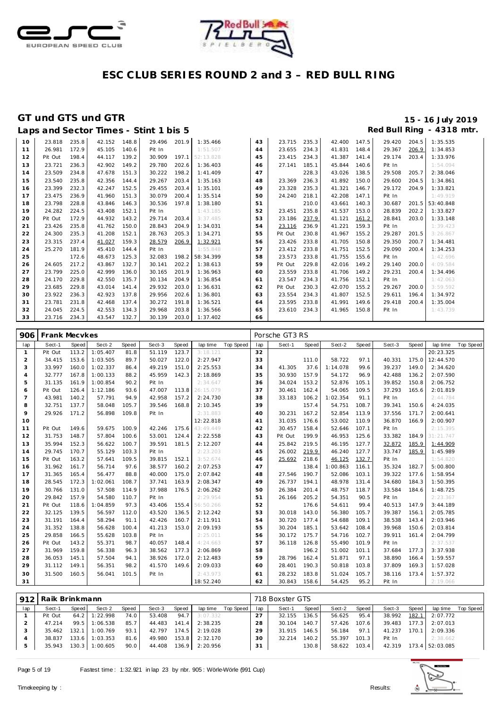



|    |         |       | Laps and Sector Times - Stint 1 bis 5 |       |        |       |           |    |         |       |        |       |        |       | Red Bull Ring - 4318 mtr. |
|----|---------|-------|---------------------------------------|-------|--------|-------|-----------|----|---------|-------|--------|-------|--------|-------|---------------------------|
| 10 | 23.818  | 235.8 | 42.152                                | 148.8 | 29.496 | 201.9 | 1:35.466  | 43 | 23.715  | 235.3 | 42.400 | 147.5 | 29.420 | 204.5 | 1:35.535                  |
| 11 | 26.981  | 172.9 | 45.105                                | 140.6 | Pit In |       | 1:51.507  | 44 | 23.655  | 234.3 | 41.831 | 148.4 | 29.367 | 206.9 | 1:34.853                  |
| 12 | Pit Out | 198.4 | 44.117                                | 139.2 | 30.909 | 197.1 | 52:13.828 | 45 | 23.415  | 234.3 | 41.387 | 141.4 | 29.174 | 203.4 | 1:33.976                  |
| 13 | 23.721  | 236.3 | 42.902                                | 149.2 | 29.780 | 202.6 | 1:36.403  | 46 | 27.141  | 185.1 | 45.844 | 140.6 | Pit In |       | 1:54.094                  |
| 14 | 23.509  | 234.8 | 47.678                                | 151.3 | 30.222 | 198.2 | 1:41.409  | 47 |         | 228.3 | 43.026 | 138.5 | 29.508 | 205.7 | 2:38.046                  |
| 15 | 23.540  | 235.8 | 42.356                                | 144.4 | 29.267 | 203.4 | 1:35.163  | 48 | 23.369  | 236.3 | 41.892 | 150.0 | 29.600 | 204.5 | 1:34.861                  |
| 16 | 23.399  | 232.3 | 42.247                                | 152.5 | 29.455 | 203.4 | 1:35.101  | 49 | 23.328  | 235.3 | 41.321 | 146.7 | 29.172 | 204.9 | 1:33.821                  |
| 17 | 23.475  | 236.9 | 41.960                                | 151.3 | 30.079 | 200.4 | 1:35.514  | 50 | 24.240  | 218.1 | 42.208 | 147.1 | Pit In |       | 1:49.919                  |
| 18 | 23.798  | 228.8 | 43.846                                | 146.3 | 30.536 | 197.8 | 1:38.180  | 51 |         | 210.0 | 43.661 | 140.3 | 30.687 |       | 201.5 53:40.848           |
| 19 | 24.282  | 224.5 | 43.408                                | 152.1 | Pit In |       | 1:43.185  | 52 | 23.451  | 235.8 | 41.537 | 153.0 | 28.839 | 202.2 | 1:33.827                  |
| 20 | Pit Out | 172.9 | 44.932                                | 143.2 | 29.714 | 203.4 | 3:37.485  | 53 | 23.186  | 237.9 | 41.121 | 161.2 | 28.841 | 203.0 | 1:33.148                  |
| 21 | 23.426  | 235.8 | 41.762                                | 150.0 | 28.843 | 204.9 | 1:34.031  | 54 | 23.116  | 236.9 | 41.221 | 159.3 | Pit In |       | 1:39.423                  |
| 22 | 24.300  | 235.3 | 41.208                                | 152.1 | 28.763 | 205.3 | 1:34.271  | 55 | Pit Out | 230.8 | 41.967 | 155.2 | 29.287 | 201.5 | 3:26.867                  |
| 23 | 23.315  | 237.4 | 41.027                                | 159.3 | 28.579 | 206.9 | 1:32.921  | 56 | 23.426  | 233.8 | 41.705 | 150.8 | 29.350 | 200.7 | 1:34.481                  |
| 24 | 25.270  | 181.9 | 45.410                                | 144.4 | Pit In |       | 1:55.848  | 57 | 23.412  | 233.8 | 41.751 | 152.5 | 29.090 | 200.4 | 1:34.253                  |
| 25 |         | 172.6 | 48.673                                | 125.3 | 32.083 | 198.2 | 58:34.399 | 58 | 23.573  | 233.8 | 41.755 | 155.6 | Pit In |       | 1:42.696                  |
| 26 | 24.605  | 217.2 | 43.867                                | 132.7 | 30.141 | 202.2 | 1:38.613  | 59 | Pit Out | 229.8 | 42.016 | 149.2 | 29.140 | 200.0 | 4:09.584                  |
| 27 | 23.799  | 225.0 | 42.999                                | 136.0 | 30.165 | 201.9 | 1:36.963  | 60 | 23.559  | 233.8 | 41.706 | 149.2 | 29.231 | 200.4 | 1:34.496                  |
| 28 | 24.170  | 229.8 | 42.550                                | 135.7 | 30.134 | 204.9 | 1:36.854  | 61 | 23.547  | 234.3 | 41.756 | 152.1 | Pit In |       | 1:42.063                  |
| 29 | 23.685  | 229.8 | 43.014                                | 141.4 | 29.932 | 203.0 | 1:36.631  | 62 | Pit Out | 230.3 | 42.070 | 155.2 | 29.267 | 200.0 | 3:59.592                  |
| 30 | 23.922  | 236.3 | 42.923                                | 137.8 | 29.956 | 202.6 | 1:36.801  | 63 | 23.554  | 234.3 | 41.807 | 152.5 | 29.611 | 196.4 | 1:34.972                  |
| 31 | 23.781  | 231.8 | 42.468                                | 137.4 | 30.272 | 191.8 | 1:36.521  | 64 | 23.595  | 233.8 | 41.991 | 149.6 | 29.418 | 200.4 | 1:35.004                  |
| 32 | 24.045  | 224.5 | 42.553                                | 134.3 | 29.968 | 203.8 | 1:36.566  | 65 | 23.610  | 234.3 | 41.965 | 150.8 | Pit In |       | 1:43.739                  |
| 33 | 23.716  | 234.3 | 43.547                                | 132.7 | 30.139 | 203.0 | 1:37.402  | 66 |         |       |        |       |        |       |                           |

| 906            | <b>Frank Mecvkes</b> |       |          |       |        |       |                 |           |     | Porsche GT3 RS |       |          |       |        |       |           |           |
|----------------|----------------------|-------|----------|-------|--------|-------|-----------------|-----------|-----|----------------|-------|----------|-------|--------|-------|-----------|-----------|
| lap            | Sect-1               | Speed | Sect-2   | Speed | Sect-3 | Speed | lap time        | Top Speed | lap | Sect-1         | Speed | Sect-2   | Speed | Sect-3 | Speed | lap time  | Top Speed |
| $\overline{1}$ | Pit Out              | 113.2 | 1:05.407 | 81.8  | 51.119 | 123.7 | 3:18.121        |           | 32  |                |       |          |       |        |       | 20:23.325 |           |
| 2              | 34.415               | 153.6 | 1:03.505 | 89.7  | 50.027 | 122.0 | 2:27.947        |           | 33  |                | 111.0 | 58.722   | 97.1  | 40.331 | 175.0 | 12:44.570 |           |
| 3              | 33.997               | 160.0 | 1:02.337 | 86.4  | 49.219 | 151.0 | 2:25.553        |           | 34  | 41.305         | 37.6  | 1:14.078 | 99.6  | 39.237 | 149.0 | 2:34.620  |           |
| $\overline{4}$ | 32.777               | 167.8 | 1:00.133 | 88.2  | 45.959 | 142.3 | 2:18.869        |           | 35  | 30.930         | 157.9 | 54.172   | 96.9  | 42.488 | 136.2 | 2:07.590  |           |
| 5              | 31.135               | 161.9 | 1:00.854 | 90.2  | Pit In |       | 2:34.647        |           | 36  | 34.024         | 153.2 | 52.876   | 105.1 | 39.852 | 150.8 | 2:06.752  |           |
| 6              | Pit Out              | 126.4 | 1:12.186 | 93.6  | 47.007 | 113.8 | 26:15.079       |           | 37  | 30.461         | 162.4 | 54.065   | 109.5 | 37.293 | 165.6 | 2:01.819  |           |
| $\overline{7}$ | 43.981               | 140.2 | 57.791   | 94.9  | 42.958 | 157.2 | 2:24.730        |           | 38  | 33.183         | 106.2 | 1:02.354 | 91.1  | Pit In |       | 2:44.784  |           |
| 8              | 32.751               | 137.7 | 58.048   | 105.7 | 39.546 | 168.8 | 2:10.345        |           | 39  |                | 157.4 | 54.751   | 108.7 | 39.341 | 150.6 | 4:24.035  |           |
| $\circ$        | 29.926               | 171.2 | 56.898   | 109.8 | Pit In |       | 2:31.883        |           | 40  | 30.231         | 167.2 | 52.854   | 113.9 | 37.556 | 171.7 | 2:00.641  |           |
| 10             |                      |       |          |       |        |       | 12:22.818       |           | 41  | 31.035         | 176.6 | 53.002   | 110.9 | 36.870 | 166.9 | 2:00.907  |           |
| 11             | Pit Out              | 149.6 | 59.675   | 100.9 | 42.246 |       | 175.6 43:49.449 |           | 42  | 30.457         | 158.4 | 52.646   | 107.1 | Pit In |       | 2:15.395  |           |
| 12             | 31.753               | 148.7 | 57.804   | 100.6 | 53.001 | 124.4 | 2:22.558        |           | 43  | Pit Out        | 199.9 | 46.953   | 125.6 | 33.382 | 184.9 | 31:21.747 |           |
| 13             | 35.994               | 152.3 | 56.622   | 100.7 | 39.591 | 181.5 | 2:12.207        |           | 44  | 25.842         | 219.5 | 46.195   | 127.7 | 32.872 | 185.9 | 1:44.909  |           |
| 14             | 29.745               | 170.7 | 55.129   | 103.3 | Pit In |       | 2:23.203        |           | 45  | 26.002         | 219.9 | 46.240   | 127.7 | 33.747 | 185.9 | 1:45.989  |           |
| 15             | Pit Out              | 163.2 | 57.641   | 109.5 | 39.815 | 152.1 | 3:52.674        |           | 46  | 25.692         | 218.6 | 46.125   | 132.7 | Pit In |       | 1:54.820  |           |
| 16             | 31.962               | 161.7 | 56.714   | 97.6  | 38.577 | 160.2 | 2:07.253        |           | 47  |                | 138.4 | 1:00.863 | 116.1 | 35.324 | 182.7 | 5:00.800  |           |
| 17             | 31.365               | 165.4 | 56.477   | 88.8  | 40.000 | 175.0 | 2:07.842        |           | 48  | 27.546         | 190.7 | 52.086   | 103.1 | 39.322 | 177.6 | 1:58.954  |           |
| 18             | 28.545               | 172.3 | 1:02.061 | 108.7 | 37.741 | 163.9 | 2:08.347        |           | 49  | 26.737         | 194.1 | 48.978   | 131.4 | 34.680 | 184.3 | 1:50.395  |           |
| 19             | 30.766               | 131.0 | 57.508   | 114.9 | 37.988 | 176.5 | 2:06.262        |           | 50  | 26.384         | 201.4 | 48.757   | 118.7 | 33.584 | 184.6 | 1:48.725  |           |
| 20             | 29.842               | 157.9 | 54.580   | 110.7 | Pit In |       | 2:29.954        |           | 51  | 26.166         | 205.2 | 54.351   | 90.5  | Pit In |       | 2:23.367  |           |
| 21             | Pit Out              | 118.6 | 1:04.859 | 97.3  | 43.406 | 155.4 | 56:50.266       |           | 52  |                | 176.6 | 54.611   | 99.4  | 40.513 | 147.9 | 3:44.189  |           |
| 22             | 32.125               | 139.5 | 56.597   | 112.0 | 43.520 | 136.5 | 2:12.242        |           | 53  | 30.018         | 143.0 | 56.380   | 105.7 | 39.387 | 156.1 | 2:05.785  |           |
| 23             | 31.191               | 164.4 | 58.294   | 91.1  | 42.426 | 160.7 | 2:11.911        |           | 54  | 30.720         | 177.4 | 54.688   | 109.1 | 38.538 | 143.4 | 2:03.946  |           |
| 24             | 31.352               | 138.8 | 56.628   | 100.4 | 41.213 | 153.0 | 2:09.193        |           | 55  | 30.204         | 185.1 | 53.642   | 108.4 | 39.968 | 150.6 | 2:03.814  |           |
| 25             | 29.858               | 166.5 | 55.628   | 103.8 | Pit In |       | 2:25.011        |           | 56  | 30.172         | 175.7 | 54.716   | 102.7 | 39.911 | 161.4 | 2:04.799  |           |
| 26             | Pit Out              | 143.2 | 55.371   | 98.7  | 40.057 | 148.4 | 4:24.663        |           | 57  | 36.118         | 126.8 | 55.490   | 101.9 | Pit In |       | 2:37.537  |           |
| 27             | 31.969               | 159.8 | 56.338   | 96.3  | 38.562 | 177.3 | 2:06.869        |           | 58  |                | 196.2 | 51.002   | 101.1 | 37.684 | 177.3 | 3:37.938  |           |
| 28             | 36.053               | 145.1 | 57.504   | 94.1  | 38.926 | 172.0 | 2:12.483        |           | 59  | 28.796         | 162.4 | 51.871   | 97.1  | 38.890 | 166.4 | 1:59.557  |           |
| 29             | 31.112               | 149.1 | 56.351   | 98.2  | 41.570 | 149.6 | 2:09.033        |           | 60  | 28.401         | 190.3 | 50.818   | 103.8 | 37.809 | 169.3 | 1:57.028  |           |
| 30             | 31.500               | 160.5 | 56.041   | 101.5 | Pit In |       | 2:43.973        |           | 61  | 28.232         | 183.8 | 51.024   | 105.7 | 38.116 | 173.4 | 1:57.372  |           |
| 31             |                      |       |          |       |        |       | 18:52.240       |           | 62  | 30.843         | 158.6 | 54.425   | 95.2  | Pit In |       | 2:19.066  |           |

|     | 912 Raik Brinkmann |       |               |       |        |       |          |                    |     | 718 Boxster GTS |       |        |       |        |       |                 |           |
|-----|--------------------|-------|---------------|-------|--------|-------|----------|--------------------|-----|-----------------|-------|--------|-------|--------|-------|-----------------|-----------|
| lap | Sect-1             | Speed | Sect-2        | Speed | Sect-3 | Speed |          | lap time Top Speed | lap | Sect-1          | Speed | Sect-2 | Speed | Sect-3 | Speed | lap time        | Top Speed |
|     | Pit Out            | 64.2  | 1:22.998      | 74.0  | 53.408 | 94.7  | 3:07.332 |                    | 27  | 32.155          | 136.5 | 56.625 | 95.4  | 38.992 | 182.1 | 2:07.772        |           |
|     | 47.214             |       | 99.5 1:06.538 | 85.7  | 44.483 | 141.4 | 2:38.235 |                    | 28  | 30.104          | 140.7 | 57.426 | 107.6 | 39.483 | 177.3 | 2:07.013        |           |
|     | 35.462             | 132.1 | 1:00.769      | 93.1  | 42.797 | 174.5 | 2:19.028 |                    | 29  | 31.915          | 146.5 | 56.184 | 97.1  | 41.237 | 170.1 | 2:09.336        |           |
|     | 38.837             | 133.6 | 1:03.353      | 81.6  | 49.980 | 153.8 | 2:32.170 |                    | 30  | 32.214          | 140.2 | 55.397 | 101.3 | Pit In |       | 2:38.662        |           |
|     | 35.943             | 130.3 | 1:00.605      | 90.0  | 44.408 | 136.9 | 2:20.956 |                    | 31  |                 | 130.8 | 58.622 | 103.4 | 42.319 |       | 173.4 52:03.085 |           |

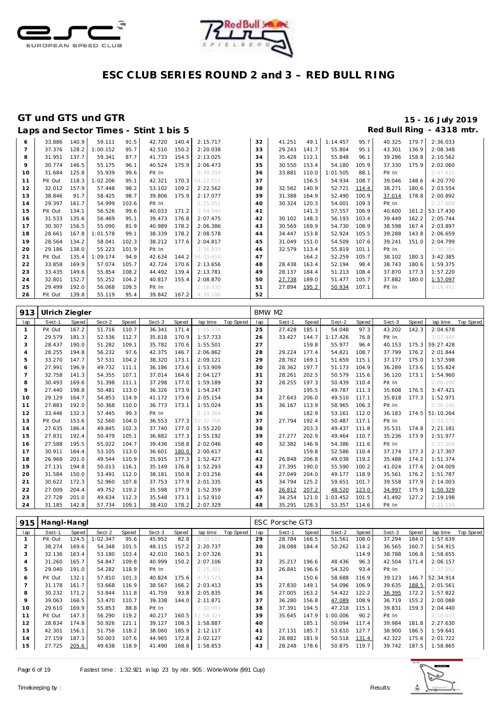



|    | Laps and Sector Times - Stint 1 bis 5 |       |          |       |        |       |           |    |        |       |          |       |        |       | Red Bull Ring - 4318 mtr. |
|----|---------------------------------------|-------|----------|-------|--------|-------|-----------|----|--------|-------|----------|-------|--------|-------|---------------------------|
| 6  | 33.886                                | 140.9 | 59.111   | 91.5  | 42.720 | 140.4 | 2:15.717  | 32 | 41.251 | 49.1  | 1:14.457 | 95.7  | 40.325 | 179.7 | 2:36.033                  |
|    | 37.376                                | 128.2 | 1:00.152 | 95.7  | 42.510 | 150.2 | 2:20.038  | 33 | 29.243 | 141.7 | 55.804   | 95.1  | 43.301 | 136.9 | 2:08.348                  |
| 8  | 31.951                                | 137.7 | 59.341   | 87.7  | 41.733 | 154.5 | 2:13.025  | 34 | 35.428 | 112.1 | 55.848   | 96.1  | 39.286 | 158.8 | 2:10.562                  |
| 9  | 30.774                                | 146.5 | 55.175   | 96.1  | 40.524 | 175.9 | 2:06.473  | 35 | 30.550 | 153.4 | 54.180   | 105.9 | 37.330 | 175.9 | 2:02.060                  |
| 10 | 31.684                                | 125.8 | 55.939   | 99.6  | Pit In |       | 2:39.294  | 36 | 33.881 | 110.0 | 1:01.505 | 88.1  | Pit In |       | 2:47.615                  |
| 11 | Pit Out                               | 118.3 | 1:02.206 | 95.1  | 42.321 | 170.3 | 54:22.515 | 37 |        | 156.5 | 54.934   | 108.7 | 39.046 | 148.6 | 4:20.770                  |
| 12 | 32.012                                | 157.9 | 57.448   | 98.2  | 53.102 | 109.2 | 2:22.562  | 38 | 32.562 | 140.9 | 52.721   | 114.4 | 38.271 | 180.6 | 2:03.554                  |
| 13 | 38.846                                | 91.7  | 58.425   | 98.7  | 39.806 | 175.9 | 2:17.077  | 39 | 31.388 | 164.9 | 52.490   | 100.9 | 37.014 | 178.8 | 2:00.892                  |
| 14 | 29.397                                | 161.7 | 54.999   | 103.6 | Pit In |       | 2:25.051  | 40 | 30.324 | 120.3 | 54.001   | 109.3 | Pit In |       | 2:27.868                  |
| 15 | Pit Out                               | 134.1 | 56.526   | 99.6  | 40.033 | 171.2 | 3:54.340  | 41 |        | 141.3 | 57.557   | 106.9 | 40.600 | 161.2 | 53:17.430                 |
| 16 | 31.533                                | 135.6 | 56.469   | 95.1  | 39.473 | 176.8 | 2:07.475  | 42 | 30.102 | 148.3 | 56.193   | 103.4 | 39.449 | 162.2 | 2:05.744                  |
| 17 | 30.307                                | 156.5 | 55.090   | 81.9  | 40.989 | 178.2 | 2:06.386  | 43 | 30.569 | 169.9 | 54.730   | 108.9 | 38.598 | 167.4 | 2:03.897                  |
| 18 | 28.661                                | 167.8 | 1:01.578 | 99.1  | 38.339 | 178.2 | 2:08.578  | 44 | 34.447 | 153.8 | 52.924   | 105.5 | 39.288 | 143.8 | 2:06.659                  |
| 19 | 28.564                                | 134.2 | 58.041   | 102.3 | 38.212 | 177.6 | 2:04.817  | 45 | 31.049 | 151.0 | 54.509   | 107.6 | 39.241 | 151.0 | 2:04.799                  |
| 20 | 29.186                                | 138.0 | 55.223   | 101.9 | Pit In |       | 2:36.839  | 46 | 32.579 | 113.4 | 55.819   | 101.1 | Pit In |       | 2:30.384                  |
| 21 | Pit Out                               | 135.4 | 1:09.174 | 94.9  | 42.634 | 144.2 | 56:33.658 | 47 |        | 164.2 | 52.259   | 105.7 | 38.102 | 180.3 | 3:42.385                  |
| 22 | 33.858                                | 169.9 | 57.074   | 105.7 | 42.724 | 170.6 | 2:13.656  | 48 | 28.438 | 163.4 | 52.194   | 98.4  | 38.743 | 180.6 | 1:59.375                  |
| 23 | 33.435                                | 149.6 | 55.854   | 108.2 | 44.492 | 139.4 | 2:13.781  | 49 | 28.137 | 184.4 | 51.213   | 108.4 | 37.870 | 177.3 | 1:57.220                  |
| 24 | 32.801                                | 152.7 | 55.252   | 104.2 | 40.817 | 155.4 | 2:08.870  | 50 | 27.738 | 189.0 | 51.477   | 105.7 | 37.882 | 180.0 | 1:57.097                  |
| 25 | 29.499                                | 192.0 | 56.068   | 109.5 | Pit In |       | 2:16.330  | 51 | 27.894 | 195.2 | 50.934   | 107.1 | Pit In |       | 2:16.491                  |
| 26 | Pit Out                               | 139.8 | 55.119   | 95.4  | 39.842 | 167.2 | 4:39.186  | 52 |        |       |          |       |        |       |                           |

| 913            | Ulrich Ziegler |       |        |       |        |       |           |           | BMW M2 |        |       |          |       |        |       |           |           |
|----------------|----------------|-------|--------|-------|--------|-------|-----------|-----------|--------|--------|-------|----------|-------|--------|-------|-----------|-----------|
| lap            | Sect-1         | Speed | Sect-2 | Speed | Sect-3 | Speed | lap time  | Top Speed | lap    | Sect-1 | Speed | Sect-2   | Speed | Sect-3 | Speed | lap time  | Top Speed |
| $\mathbf{1}$   | Pit Out        | 167.2 | 51.716 | 110.7 | 36.341 | 171.4 | 1:55.338  |           | 25     | 27.428 | 185.1 | 54.048   | 97.3  | 43.202 | 142.3 | 2:04.678  |           |
| 2              | 29.579         | 181.3 | 52.536 | 112.7 | 35.618 | 170.9 | 1:57.733  |           | 26     | 33.427 | 144.7 | 1:17.426 | 76.8  | Pit In |       | 3:07.449  |           |
| 3              | 28.437         | 190.0 | 51.282 | 109.1 | 35.782 | 170.6 | 1:55.501  |           | 27     |        | 159.8 | 55.977   | 96.4  | 40.153 | 175.3 | 59:27.428 |           |
| 4              | 28.255         | 194.8 | 56.232 | 97.6  | 42.375 | 146.7 | 2:06.862  |           | 28     | 29.224 | 177.4 | 54.821   | 108.7 | 37.799 | 176.2 | 2:01.844  |           |
| 5              | 33.270         | 147.7 | 57.531 | 104.2 | 38.320 | 173.1 | 2:09.121  |           | 29     | 28.762 | 169.1 | 51.659   | 115.1 | 37.177 | 175.0 | 1:57.598  |           |
| 6              | 27.991         | 196.9 | 49.732 | 111.1 | 36.186 | 173.6 | 1:53.909  |           | 30     | 28.362 | 197.7 | 51.173   | 104.9 | 36.289 | 173.6 | 1:55.824  |           |
| $\overline{7}$ | 32.758         | 141.3 | 54.355 | 107.1 | 37.014 | 164.6 | 2:04.127  |           | 31     | 28.261 | 202.5 | 50.579   | 115.6 | 36.120 | 173.1 | 1:54.960  |           |
| 8              | 30.493         | 169.6 | 51.398 | 111.1 | 37.298 | 177.0 | 1:59.189  |           | 32     | 28.255 | 197.3 | 50.439   | 110.4 | Pit In |       | 2:06.196  |           |
| 9              | 27.440         | 198.8 | 50.481 | 113.0 | 36.326 | 173.9 | 1:54.247  |           | 33     |        | 195.5 | 49.787   | 111.3 | 35.608 | 176.5 | 3:47.421  |           |
| 10             | 29.129         | 164.7 | 54.853 | 114.9 | 41.172 | 173.6 | 2:05.154  |           | 34     | 27.643 | 206.0 | 49.510   | 117.1 | 35.818 | 177.3 | 1:52.971  |           |
| 11             | 27.883         | 192.0 | 50.368 | 110.0 | 36.773 | 173.1 | 1:55.024  |           | 35     | 36.167 | 113.9 | 58.965   | 106.3 | Pit In |       | 2:26.246  |           |
| 12             | 33.446         | 132.3 | 57.445 | 99.3  | Pit In |       | 2:23.364  |           | 36     |        | 182.9 | 53.161   | 112.0 | 36.183 | 174.5 | 51:10.264 |           |
| 13             | Pit Out        | 153.6 | 52.560 | 104.0 | 36.553 | 177.3 | 52:32.766 |           | 37     | 27.794 | 192.4 | 50.487   | 117.1 | Pit In |       | 2:03.171  |           |
| 14             | 27.635         | 186.4 | 49.845 | 102.3 | 37.740 | 177.0 | 1:55.220  |           | 38     |        | 203.3 | 49.437   | 111.8 | 35.531 | 174.8 | 2:21.181  |           |
| 15             | 27.831         | 192.4 | 50.479 | 105.1 | 36.882 | 177.3 | 1:55.192  |           | 39     | 27.277 | 202.9 | 49.464   | 110.7 | 35.236 | 173.9 | 1:51.977  |           |
| 16             | 27.588         | 195.5 | 55.022 | 104.7 | 39.436 | 158.8 | 2:02.046  |           | 40     | 32.382 | 146.9 | 54.386   | 111.6 | Pit In |       | 2:37.268  |           |
| 17             | 30.911         | 164.4 | 53.105 | 113.0 | 36.601 | 180.0 | 2:00.617  |           | 41     |        | 159.8 | 52.586   | 110.4 | 37.174 | 177.3 | 2:17.307  |           |
| 18             | 26.968         | 201.0 | 49.544 | 110.9 | 35.915 | 177.3 | 1:52.427  |           | 42     | 26.848 | 206.8 | 49.038   | 119.2 | 35.488 | 174.2 | 1:51.374  |           |
| 19             | 27.131         | 194.8 | 50.013 | 116.1 | 35.149 | 176.8 | 1:52.293  |           | 43     | 27.395 | 190.0 | 55.590   | 100.2 | 41.024 | 177.6 | 2:04.009  |           |
| 20             | 31.584         | 150.0 | 53.491 | 112.0 | 38.181 | 150.8 | 2:03.256  |           | 44     | 27.049 | 204.0 | 49.177   | 118.9 | 35.561 | 176.2 | 1:51.787  |           |
| 21             | 30.622         | 172.3 | 52.960 | 107.8 | 37.753 | 177.9 | 2:01.335  |           | 45     | 34.794 | 125.2 | 59.651   | 101.7 | 39.558 | 177.9 | 2:14.003  |           |
| 22             | 27.009         | 204.4 | 49.752 | 119.2 | 35.598 | 177.9 | 1:52.359  |           | 46     | 26.812 | 207.2 | 48.520   | 123.0 | 34.997 | 175.9 | 1:50.329  |           |
| 23             | 27.728         | 201.0 | 49.634 | 112.3 | 35.548 | 173.1 | 1:52.910  |           | 47     | 34.254 | 121.0 | 1:03.452 | 101.5 | 41.492 | 127.2 | 2:19.198  |           |
| 24             | 31.185         | 142.8 | 57.734 | 109.1 | 38.410 | 178.2 | 2:07.329  |           | 48     | 35.291 | 128.3 | 53.357   | 114.6 | Pit In |       | 2:21.159  |           |

| 915            | Hangl-Hangl |       |          |       |        |       |           |           |     | ESC Porsche GT3 |       |          |       |        |       |           |           |
|----------------|-------------|-------|----------|-------|--------|-------|-----------|-----------|-----|-----------------|-------|----------|-------|--------|-------|-----------|-----------|
| lap            | Sect-1      | Speed | Sect-2   | Speed | Sect-3 | Speed | lap time  | Top Speed | lap | Sect-1          | Speed | Sect-2   | Speed | Sect-3 | Speed | lap time  | Top Speed |
|                | Pit Out     | 124.5 | 1:02.347 | 95.6  | 45.952 | 82.8  | 2:30.151  |           | 29  | 28.784          | 168.5 | 51.561   | 108.0 | 37.294 | 184.0 | 1:57.639  |           |
| $\overline{2}$ | 38.274      | 169.6 | 54.348   | 101.5 | 48.115 | 157.2 | 2:20.737  |           | 30  | 28.088          | 184.4 | 50.262   | 114.2 | 36.565 | 160.7 | 1:54.915  |           |
| 3              | 32.136      | 163.4 | 53.180   | 103.4 | 42.010 | 160.5 | 2:07.326  |           | 31  |                 |       |          | 114.9 | 38.788 | 106.8 | 1:58.655  |           |
| 4              | 31.260      | 165.7 | 54.847   | 109.8 | 40.999 | 150.2 | 2:07.106  |           | 32  | 35.217          | 196.6 | 48.436   | 96.3  | 42.504 | 171.4 | 2:06.157  |           |
| 5              | 29.040      | 191.0 | 54.282   | 118.9 | Pit In |       | 2:15.301  |           | 33  | 26.841          | 196.6 | 54.320   | 93.4  | Pit In |       | 2:27.052  |           |
| 6              | Pit Out     | 132.1 | 57.810   | 101.3 | 40.824 | 175.6 | 4:33.525  |           | 34  |                 | 150.6 | 58.688   | 116.9 | 39.123 | 146.7 | 52:34.914 |           |
|                | 31.178      | 161.7 | 53.668   | 116.9 | 38.567 | 166.2 | 2:03.413  |           | 35  | 27.830          | 149.1 | 54.096   | 106.9 | 39.635 | 188.5 | 2:01.561  |           |
| 8              | 30.232      | 171.2 | 53.844   | 111.8 | 41.759 | 93.8  | 2:05.835  |           | 36  | 27.005          | 163.2 | 54.422   | 122.2 | 36.395 | 172.2 | 1:57.822  |           |
| 9              | 39.063      | 166.5 | 53.470   | 110.7 | 39.338 | 144.0 | 2:11.871  |           | 37  | 36.280          | 156.8 | 47.089   | 108.9 | 36.719 | 155.2 | 2:00.088  |           |
| 10             | 29.610      | 169.9 | 55.853   | 88.8  | Pit In |       | 2:30.993  |           | 38  | 37.391          | 194.5 | 47.218   | 115.1 | 39.831 | 159.3 | 2:04.440  |           |
| 11             | Pit Out     | 147.3 | 56.290   | 119.2 | 40.217 | 160.5 | 51:58.324 |           | 39  | 35.645          | 147.9 | 1:00.006 | 90.2  | Pit In |       | 3:18.017  |           |
| 12             | 28.834      | 174.8 | 50.926   | 121.1 | 39.127 | 108.3 | 1:58.887  |           | 40  |                 | 185.1 | 50.094   | 117.4 | 39.984 | 181.8 | 2:27.630  |           |
| 13             | 42.301      | 156.1 | 51.756   | 118.2 | 38.060 | 185.9 | 2:12.117  |           | 41  | 27.131          | 185.7 | 53.610   | 127.7 | 38.900 | 186.5 | 1:59.641  |           |
| 14             | 27.159      | 187.3 | 50.003   | 107.6 | 44.965 | 172.8 | 2:02.127  |           | 42  | 28.882          | 181.9 | 50.518   | 131.4 | 42.322 | 175.6 | 2:01.722  |           |
| 15             | 27.725      | 205.6 | 49.638   | 118.9 | 41.490 | 168.8 | 1:58.853  |           | 43  | 28.248          | 178.6 | 50.875   | 119.7 | 39.742 | 187.5 | 1:58.865  |           |

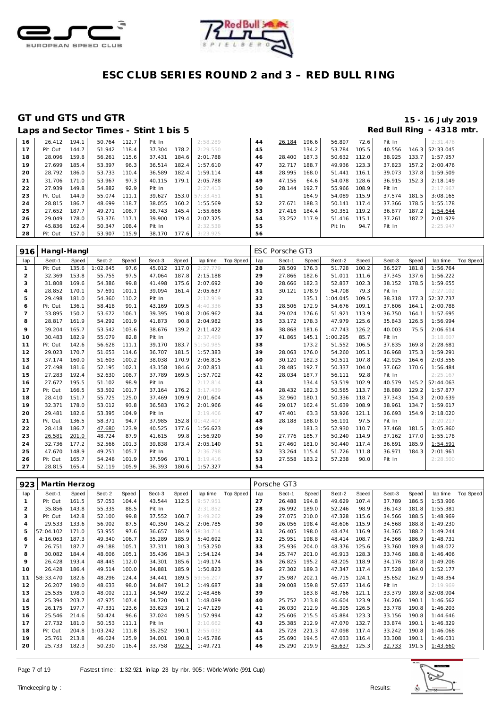



|    | Laps and Sector Times - Stint 1 bis 5 |       |        |       |        |       |           |    |        |       |        |       |        |       | Red Bull Ring - 4318 mtr. |
|----|---------------------------------------|-------|--------|-------|--------|-------|-----------|----|--------|-------|--------|-------|--------|-------|---------------------------|
| 16 | 26.412                                | 194.1 | 50.764 | 112.7 | Pit In |       | 2:58.289  | 44 | 26.184 | 196.6 | 56.897 | 72.6  | Pit In |       | 2:31.476                  |
| 17 | Pit Out                               | 144.7 | 51.942 | 118.4 | 37.304 | 178.2 | 2:29.550  | 45 |        | 134.2 | 53.784 | 105.5 | 40.556 |       | 146.3 52:33.045           |
| 18 | 28.096                                | 159.8 | 56.261 | 115.6 | 37.431 | 184.6 | 2:01.788  | 46 | 28.400 | 187.3 | 50.632 | 112.0 | 38.925 | 133.7 | 1:57.957                  |
| 19 | 27.699                                | 185.4 | 53.397 | 96.3  | 36.514 | 182.4 | 1:57.610  | 47 | 32.717 | 188.7 | 49.936 | 123.3 | 37.823 | 157.2 | 2:00.476                  |
| 20 | 28.792                                | 186.0 | 53.733 | 110.4 | 36.589 | 182.4 | 1:59.114  | 48 | 28.995 | 168.0 | 51.441 | 116.1 | 39.073 | 137.8 | 1:59.509                  |
| 21 | 31.706                                | 171.0 | 53.967 | 97.3  | 40.115 | 179.1 | 2:05.788  | 49 | 47.156 | 64.6  | 54.078 | 128.6 | 36.915 | 152.3 | 2:18.149                  |
| 22 | 27.939                                | 149.8 | 54.882 | 92.9  | Pit In |       | 2: 27.413 | 50 | 28.144 | 192.7 | 55.966 | 108.9 | Pit In |       | 2:17.967                  |
| 23 | Pit Out                               | 144.9 | 55.074 | 111.1 | 39.627 | 153.0 | 57:33.451 | 51 |        | 164.9 | 54.089 | 115.9 | 37.574 | 181.5 | 3:08.165                  |
| 24 | 28.815                                | 186.7 | 48.699 | 118.7 | 38.055 | 160.2 | 1:55.569  | 52 | 27.671 | 188.3 | 50.141 | 117.4 | 37.366 | 178.5 | 1:55.178                  |
| 25 | 27.652                                | 187.7 | 49.271 | 108.7 | 38.743 | 145.4 | 1:55.666  | 53 | 27.416 | 184.4 | 50.351 | 119.2 | 36.877 | 187.2 | 1:54.644                  |
| 26 | 29.049                                | 178.0 | 53.376 | 117.1 | 39.900 | 179.4 | 2:02.325  | 54 | 33.252 | 117.9 | 51.416 | 115.1 | 37.261 | 187.2 | 2:01.929                  |
| 27 | 45.836                                | 162.4 | 50.347 | 108.4 | Pit In |       | 2:32.538  | 55 |        |       | Pit In | 94.7  | Pit In |       | 2:25.947                  |
| 28 | Pit Out                               | 157.0 | 53.907 | 115.9 | 38.170 | 177.6 | 3:23.925  | 56 |        |       |        |       |        |       |                           |

| 916            | Hangl-Hangl |       |          |       |        |       |           |                  |     | ESC Porsche GT3 |       |          |       |        |       |                 |                  |
|----------------|-------------|-------|----------|-------|--------|-------|-----------|------------------|-----|-----------------|-------|----------|-------|--------|-------|-----------------|------------------|
| lap            | Sect-1      | Speed | Sect-2   | Speed | Sect-3 | Speed | lap time  | <b>Top Speed</b> | lap | Sect-1          | Speed | Sect-2   | Speed | Sect-3 | Speed | lap time        | <b>Top Speed</b> |
| 1              | Pit Out     | 135.6 | 1:02.845 | 97.6  | 45.012 | 117.0 | 2:27.779  |                  | 28  | 28.509          | 176.3 | 51.728   | 100.2 | 36.527 | 181.8 | 1:56.764        |                  |
| $\overline{2}$ | 32.369      | 153.8 | 55.755   | 97.5  | 47.064 | 187.8 | 2:15.188  |                  | 29  | 27.866          | 182.6 | 51.011   | 111.6 | 37.345 | 137.6 | 1:56.222        |                  |
| 3              | 31.808      | 169.6 | 54.386   | 99.8  | 41.498 | 175.6 | 2:07.692  |                  | 30  | 28.666          | 182.3 | 52.837   | 102.3 | 38.152 | 178.5 | 1:59.655        |                  |
| $\overline{4}$ | 28.852      | 170.1 | 57.691   | 101.1 | 39.094 | 161.4 | 2:05.637  |                  | 31  | 30.121          | 178.9 | 54.708   | 79.3  | Pit In |       | 2:27.102        |                  |
| 5              | 29.498      | 181.0 | 54.360   | 110.2 | Pit In |       | 2:12.919  |                  | 32  |                 | 135.1 | 1:04.045 | 109.5 | 38.318 |       | 177.3 52:37.737 |                  |
| 6              | Pit Out     | 136.1 | 58.418   | 99.1  | 43.169 | 109.5 | 4:40.336  |                  | 33  | 28.506          | 172.9 | 54.676   | 109.1 | 37.606 | 164.1 | 2:00.788        |                  |
| $\overline{7}$ | 33.895      | 150.2 | 53.672   | 106.1 | 39.395 | 190.8 | 2:06.962  |                  | 34  | 29.024          | 176.6 | 51.921   | 113.9 | 36.750 | 164.1 | 1:57.695        |                  |
| 8              | 28.817      | 161.9 | 54.292   | 101.9 | 41.873 | 90.8  | 2:04.982  |                  | 35  | 33.172          | 178.3 | 47.979   | 125.6 | 35.843 | 126.5 | 1:56.994        |                  |
| 9              | 39.204      | 165.7 | 53.542   | 103.6 | 38.676 | 139.2 | 2:11.422  |                  | 36  | 38.868          | 181.6 | 47.743   | 126.2 | 40.003 | 75.5  | 2:06.614        |                  |
| 10             | 30.483      | 182.9 | 55.079   | 82.8  | Pit In |       | 2:37.469  |                  | 37  | 41.865          | 145.1 | 1:00.295 | 85.7  | Pit In |       | 3:18.607        |                  |
| 11             | Pit Out     | 142.6 | 56.628   | 111.1 | 39.170 | 183.7 | 51:50.985 |                  | 38  |                 | 173.2 | 51.552   | 106.5 | 37.835 | 169.8 | 2:28.681        |                  |
| 12             | 29.023      | 170.7 | 51.653   | 114.6 | 36.707 | 181.5 | 1:57.383  |                  | 39  | 28.063          | 176.0 | 54.260   | 105.1 | 36.968 | 175.3 | 1:59.291        |                  |
| 13             | 37.174      | 160.0 | 51.603   | 100.2 | 38.038 | 170.9 | 2:06.815  |                  | 40  | 30.120          | 182.3 | 50.511   | 107.8 | 42.925 | 164.6 | 2:03.556        |                  |
| 14             | 27.498      | 181.6 | 52.195   | 102.1 | 43.158 | 184.6 | 2:02.851  |                  | 41  | 28.485          | 192.7 | 50.337   | 104.0 | 37.662 | 170.6 | 1:56.484        |                  |
| 15             | 27.283      | 192.4 | 52.630   | 108.7 | 37.789 | 169.5 | 1:57.702  |                  | 42  | 28.034          | 187.7 | 56.111   | 92.8  | Pit In |       | 2:25.167        |                  |
| 16             | 27.672      | 195.5 | 51.102   | 98.9  | Pit In |       | 2:12.814  |                  | 43  |                 | 134.4 | 53.519   | 102.9 | 40.579 | 145.2 | 52:44.063       |                  |
| 17             | Pit Out     | 166.5 | 53.502   | 101.7 | 37.164 | 176.2 | 3:17.439  |                  | 44  | 28.432          | 182.3 | 50.565   | 113.7 | 38.880 | 129.2 | 1:57.877        |                  |
| 18             | 28.410      | 151.7 | 55.725   | 125.0 | 37.469 | 109.9 | 2:01.604  |                  | 45  | 32.960          | 180.1 | 50.336   | 118.7 | 37.343 | 154.3 | 2:00.639        |                  |
| 19             | 32.371      | 178.0 | 53.012   | 93.8  | 36.583 | 176.2 | 2:01.966  |                  | 46  | 29.017          | 162.4 | 51.639   | 108.9 | 38.961 | 134.7 | 1:59.617        |                  |
| 20             | 29.481      | 182.6 | 53.395   | 104.9 | Pit In |       | 2:19.406  |                  | 47  | 47.401          | 63.3  | 53.926   | 121.1 | 36.693 | 154.9 | 2:18.020        |                  |
| 21             | Pit Out     | 136.5 | 58.371   | 94.7  | 37.985 | 152.8 | 01:42.407 |                  | 48  | 28.188          | 188.0 | 56.191   | 97.5  | Pit In |       | 2:20.217        |                  |
| 22             | 28.418      | 186.7 | 47.680   | 123.9 | 40.525 | 177.6 | 1:56.623  |                  | 49  |                 | 181.3 | 52.930   | 110.7 | 37.468 | 181.5 | 3:05.860        |                  |
| 23             | 26.581      | 201.0 | 48.724   | 87.9  | 41.615 | 99.8  | 1:56.920  |                  | 50  | 27.776          | 185.7 | 50.240   | 114.9 | 37.162 | 177.0 | 1:55.178        |                  |
| 24             | 32.736      | 177.2 | 52.566   | 101.3 | 39.838 | 173.4 | 2:05.140  |                  | 51  | 27.460          | 181.0 | 50.440   | 117.4 | 36.691 | 185.9 | 1:54.591        |                  |
| 25             | 47.670      | 148.9 | 49.251   | 105.7 | Pit In |       | 2:36.798  |                  | 52  | 33.264          | 115.4 | 51.726   | 111.8 | 36.971 | 184.3 | 2:01.961        |                  |
| 26             | Pit Out     | 165.7 | 54.248   | 101.9 | 37.596 | 170.1 | 3:19.416  |                  | 53  | 27.558          | 183.2 | 57.238   | 90.0  | Pit In |       | 2:28.500        |                  |
| 27             | 28.815      | 165.4 | 52.119   | 105.9 | 36.393 | 180.6 | 1:57.327  |                  | 54  |                 |       |          |       |        |       |                 |                  |

| 923            | Martin Herzog |       |          |       |        |       |            |           |     | Porsche GT3 |       |        |       |        |       |                 |           |
|----------------|---------------|-------|----------|-------|--------|-------|------------|-----------|-----|-------------|-------|--------|-------|--------|-------|-----------------|-----------|
| lap            | Sect-1        | Speed | Sect-2   | Speed | Sect-3 | Speed | lap time   | Top Speed | lap | Sect-1      | Speed | Sect-2 | Speed | Sect-3 | Speed | lap time        | Top Speed |
| $\mathbf{1}$   | Pit Out       | 161.5 | 57.053   | 104.4 | 43.544 | 112.5 | 9:57.951   |           | 27  | 26.488      | 194.8 | 49.629 | 107.4 | 37.789 | 186.5 | 1:53.906        |           |
| $\overline{2}$ | 35.856        | 143.8 | 55.335   | 88.5  | Pit In |       | 2:31.852   |           | 28  | 26.992      | 189.0 | 52.246 | 98.9  | 36.143 | 181.8 | 1:55.381        |           |
| 3              | Pit Out       | 142.8 | 52.100   | 99.8  | 37.552 | 160.7 | 3:49.262   |           | 29  | 27.075      | 210.0 | 47.328 | 115.6 | 34.566 | 188.5 | 1:48.969        |           |
| $\overline{4}$ | 29.533        | 133.6 | 56.902   | 87.5  | 40.350 | 145.2 | 2:06.785   |           | 30  | 26.056      | 198.4 | 48.606 | 115.9 | 34.568 | 188.8 | 1:49.230        |           |
| 5              | 57:04.102     | 171.0 | 53.955   | 97.6  | 36.657 | 184.9 | 58: 34.714 |           | 31  | 26.405      | 198.0 | 48.474 | 116.9 | 34.365 | 188.2 | 1:49.244        |           |
| 6              | 4:16.063      | 187.3 | 49.340   | 106.7 | 35.289 | 185.9 | 5:40.692   |           | 32  | 25.951      | 198.8 | 48.414 | 108.7 | 34.366 | 186.9 | 1:48.731        |           |
|                | 26.751        | 187.7 | 49.188   | 105.1 | 37.311 | 180.3 | 1:53.250   |           | 33  | 25.936      | 204.0 | 48.376 | 125.6 | 33.760 | 189.8 | 1:48.072        |           |
| 8              | 30.082        | 184.4 | 48.606   | 105.1 | 35.436 | 184.3 | 1:54.124   |           | 34  | 25.747      | 201.0 | 46.913 | 128.3 | 33.746 | 188.8 | 1:46.406        |           |
| $\circ$        | 26.428        | 193.4 | 48.445   | 112.0 | 34.301 | 185.6 | 1:49.174   |           | 35  | 26.825      | 195.2 | 48.205 | 118.9 | 34.176 | 187.8 | 1:49.206        |           |
| 10             | 26.428        | 186.4 | 49.514   | 100.0 | 34.881 | 185.9 | 1:50.823   |           | 36  | 27.302      | 189.3 | 47.347 | 117.4 | 37.528 | 184.0 | 1:52.177        |           |
| 11             | 58:33.470     | 182.6 | 48.296   | 124.4 | 34.441 | 189.5 | 59:56.207  |           | 37  | 25.987      | 202.1 | 46.715 | 124.1 | 35.652 | 162.9 | 1:48.354        |           |
| 12             | 26.207        | 190.0 | 48.633   | 98.0  | 34.847 | 191.2 | 1:49.687   |           | 38  | 29.008      | 159.8 | 57.637 | 114.6 | Pit In |       | 2:19.969        |           |
| 13             | 25.535        | 198.0 | 48.002   | 111.1 | 34.949 | 192.2 | 1:48.486   |           | 39  |             | 183.8 | 48.766 | 121.1 | 33.379 |       | 189.8 52:08.904 |           |
| 14             | 25.394        | 203.7 | 47.975   | 107.4 | 34.720 | 190.1 | 1:48.089   |           | 40  | 25.752      | 213.8 | 46.604 | 123.9 | 34.206 | 190.1 | 1:46.562        |           |
| 15             | 26.175        | 197.7 | 47.331   | 123.6 | 33.623 | 191.2 | 1:47.129   |           | 41  | 26.030      | 212.9 | 46.395 | 126.5 | 33.778 | 190.8 | 1:46.203        |           |
| 16             | 25.546        | 214.6 | 50.424   | 96.6  | 37.024 | 189.5 | 1:52.994   |           | 42  | 25.606      | 215.5 | 45.884 | 123.3 | 33.156 | 190.8 | 1:44.646        |           |
| 17             | 27.732        | 181.0 | 50.153   | 111.1 | Pit In |       | 2:10.662   |           | 43  | 25.385      | 212.9 | 47.070 | 132.7 | 33.874 | 190.1 | 1:46.329        |           |
| 18             | Pit Out       | 204.8 | 1:03.242 | 111.8 | 35.252 | 190.1 | 2:55.032   |           | 44  | 25.728      | 221.3 | 47.098 | 117.4 | 33.242 | 190.8 | 1:46.068        |           |
| 19             | 25.761        | 213.8 | 46.024   | 125.9 | 34.001 | 190.8 | 1:45.786   |           | 45  | 25.690      | 194.5 | 47.033 | 116.4 | 33.308 | 190.1 | 1:46.031        |           |
| 20             | 25.733        | 182.3 | 50.230   | 116.4 | 33.758 | 192.5 | 1:49.721   |           | 46  | 25.290      | 219.9 | 45.637 | 125.3 | 32.733 | 191.5 | 1:43.660        |           |

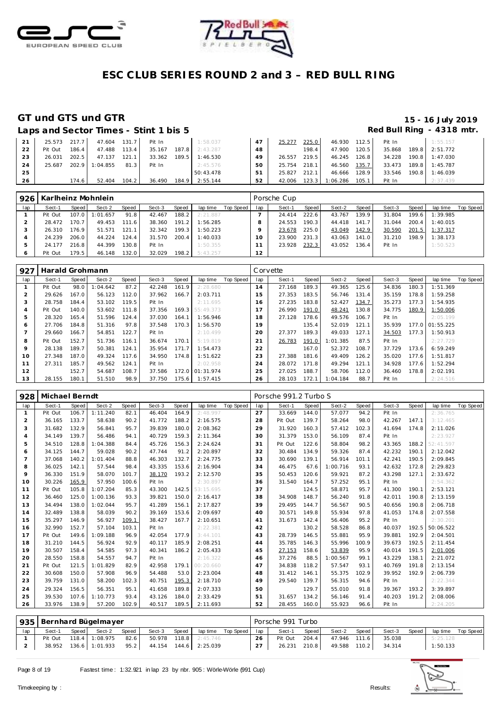



### **GT und GTS und GTR 15 - 16 July 2019**

### Laps and Sector Times - Stint 1 bis 5 **Red Bull Ring - 4318 mtr.**

| 21 | 25.573 217.7 |         | 47.604 131.7 Pit In        |       |        | 1:58.037              | 47 | 25.277       | 225.0 | 46.930 112.5 Pit In  |                                    | 1:55.157              |
|----|--------------|---------|----------------------------|-------|--------|-----------------------|----|--------------|-------|----------------------|------------------------------------|-----------------------|
| 22 | Pit Out      | $186.4$ | 47.488                     | 113.4 | 35.167 | 187.8 2:43.287        | 48 |              | 198.4 | 47.900 120.5         |                                    | 35.868 189.8 2:51.772 |
| 23 | 26.031       | 202.5   | 47.137                     | 121.1 |        | 33.362 189.5 1:46.530 | 49 | 26.557       | 219.5 | 46.245 126.8         |                                    | 34.228 190.8 1:47.030 |
| 24 |              |         | 25.687 202.9 1:04.855 81.3 |       | Pit In | 2:45.576              | 50 | 25.754 218.1 |       |                      | 46.560 135.7 33.473 189.8 1:45.787 |                       |
| 25 |              |         |                            |       |        | 50:43.478             | 51 | 25.827       | 212.1 | 46.666 128.9         |                                    | 33.546 190.8 1:46.039 |
| 26 |              | 174.6   | 52.404                     | 104.2 |        | 36.490 184.9 2:55.144 | 52 | 42.006       |       | 123.3 1:06.286 105.1 | Pit In                             | 2:37.439              |

|     | 926   Karlheinz Mohnlein |       |          |       |        |       |          |           |     | Porsche Cup |       |        |       |        |       |          |           |
|-----|--------------------------|-------|----------|-------|--------|-------|----------|-----------|-----|-------------|-------|--------|-------|--------|-------|----------|-----------|
| lap | Sect-1                   | Speed | Sect-2   | Speed | Sect-3 | Speed | lap time | Top Speed | lap | Sect-1      | Speed | Sect-2 | Speed | Sect-3 | Speed | lap time | Top Speed |
|     | Pit Out                  | 107.0 | 1:01.657 | 91.8  | 42.467 | 188.2 | 2:21.887 |           |     | 24.414      | 222.6 | 43.767 | 139.9 | 31.804 | 199.6 | 1:39.985 |           |
|     | 28.472                   | 170.7 | 49.453   | 111.6 | 38.360 | 191.2 | 1:56.285 |           |     | 24.553      | 190.3 | 44.418 | 141.7 | 31.044 | 200.4 | 1:40.015 |           |
|     | 26.310                   | 176.9 | 51.571   | 121.1 | 32.342 | 199.3 | 1:50.223 |           |     | 23.678      | 225.0 | 43.049 | 142.9 | 30.590 | 201.5 | 1:37.317 |           |
|     | 24.239                   | 206.0 | 44.224   | 124.4 | 31.570 | 200.4 | 1:40.033 |           | 10  | 23.900      | 231.3 | 43.063 | 141.0 | 31.210 | 198.9 | 1:38.173 |           |
|     | 24.177                   | 216.8 | 44.399   | 130.8 | Pit In |       | 1:50.355 |           |     | 23.928      | 232.3 | 43.052 | 136.4 | Pit In |       | 1:50.523 |           |
|     | Pit Out                  | 179.5 | 46.148   | 132.0 | 32.029 | 198.2 | 5:43.257 |           | 12  |             |       |        |       |        |       |          |           |

| 927 | Harald Grohmann |       |          |       |        |       |                 |           |     | Corvette |       |          |       |        |       |                 |           |
|-----|-----------------|-------|----------|-------|--------|-------|-----------------|-----------|-----|----------|-------|----------|-------|--------|-------|-----------------|-----------|
| lap | Sect-1          | Speed | Sect-2   | Speed | Sect-3 | Speed | lap time        | Top Speed | lap | Sect-1   | Speed | Sect-2   | Speed | Sect-3 | Speed | lap time        | Top Speed |
| -1  | Pit Out         | 98.0  | 1:04.642 | 87.2  | 42.248 | 161.9 | 2:28.680        |           | 14  | 27.168   | 189.3 | 49.365   | 125.6 | 34.836 | 180.3 | 1:51.369        |           |
|     | 29.626          | 167.0 | 56.123   | 112.0 | 37.962 | 166.7 | 2:03.711        |           | 15  | 27.353   | 183.5 | 56.746   | 131.4 | 35.159 | 178.8 | 1:59.258        |           |
| 3   | 28.758          | 184.4 | 53.102   | 119.5 | Pit In |       | 2:11.695        |           | 16  | 27.235   | 183.8 | 52.427   | 134.7 | 35.273 | 177.3 | 1:54.935        |           |
| 4   | Pit Out         | 140.0 | 53.602   | 111.8 | 37.356 | 169.3 | 55:49.373       |           | 17  | 26.990   | 191.0 | 48.241   | 130.8 | 34.775 | 180.9 | 1:50.006        |           |
| 5   | 28.320          | 165.4 | 51.596   | 124.4 | 37.030 | 164.1 | 1:56.946        |           | 18  | 27.128   | 178.6 | 49.576   | 106.7 | Pit In |       | 2:05.199        |           |
| 6   | 27.706          | 184.8 | 51.316   | 97.8  | 37.548 | 170.3 | 1:56.570        |           | 19  |          | 135.4 | 52.019   | 121.1 | 35.939 |       | 177.0 01:55.225 |           |
|     | 29.660          | 166.7 | 54.851   | 122.7 | Pit In |       | 2:10.499        |           | 20  | 27.377   | 189.3 | 49.033   | 127.1 | 34.503 | 177.3 | 1:50.913        |           |
| 8   | Pit Out         | 152.7 | 51.736   | 116.1 | 36.674 | 170.1 | 5:19.819        |           | 21  | 26.783   | 191.0 | 1:01.385 | 87.5  | Pit In |       | 2:27.729        |           |
| 9   | 28.138          | 189.7 | 50.381   | 124.1 | 35.954 | 171.7 | 1:54.473        |           | 22  |          | 167.0 | 52.372   | 108.7 | 37.729 | 173.6 | 6:59.249        |           |
| 10  | 27.348          | 187.0 | 49.324   | 117.6 | 34.950 | 174.8 | 1:51.622        |           | 23  | 27.388   | 181.6 | 49.409   | 126.2 | 35.020 | 177.6 | 1:51.817        |           |
| 11  | 27.311          | 185.7 | 49.562   | 124.1 | Pit In |       | 2:02.958        |           | 24  | 28.072   | 171.8 | 49.294   | 121.1 | 34.928 | 177.6 | 1:52.294        |           |
| 12  |                 | 152.7 | 54.687   | 108.7 | 37.586 |       | 172.0 01:31.974 |           | 25  | 27.025   | 188.7 | 58.706   | 112.0 | 36.460 | 178.8 | 2:02.191        |           |
| 13  | 28.155          | 180.1 | 51.510   | 98.9  | 37.750 | 175.6 | 1:57.415        |           | 26  | 28.103   | 172.1 | 1:04.184 | 88.7  | Pit In |       | 2:24.516        |           |

| 928            | Michael Berndt |       |          |       |        |       |           |           |     | Porsche 991.2 Turbo S |       |          |       |        |       |           |                  |
|----------------|----------------|-------|----------|-------|--------|-------|-----------|-----------|-----|-----------------------|-------|----------|-------|--------|-------|-----------|------------------|
| lap            | Sect-1         | Speed | Sect-2   | Speed | Sect-3 | Speed | lap time  | Top Speed | lap | Sect-1                | Speed | Sect-2   | Speed | Sect-3 | Speed | lap time  | <b>Top Speed</b> |
| $\mathbf{1}$   | Pit Out        | 106.7 | 1:11.240 | 82.1  | 46.404 | 164.9 | 2:48.997  |           | 27  | 33.669                | 144.0 | 57.077   | 94.2  | Pit In |       | 2:36.765  |                  |
| $\overline{2}$ | 36.165         | 133.7 | 58.638   | 90.2  | 41.772 | 188.2 | 2:16.575  |           | 28  | Pit Out               | 139.7 | 58.264   | 98.0  | 42.267 | 147.1 | 3:12.465  |                  |
| 3              | 31.682         | 132.9 | 56.841   | 95.7  | 39.839 | 180.0 | 2:08.362  |           | 29  | 31.920                | 160.3 | 57.412   | 102.3 | 41.694 | 174.8 | 2:11.026  |                  |
| 4              | 34.149         | 139.7 | 56.486   | 94.1  | 40.729 | 159.3 | 2:11.364  |           | 30  | 31.379                | 153.0 | 56.109   | 87.4  | Pit In |       | 2:23.927  |                  |
| 5              | 34.510         | 128.8 | 1:04.388 | 84.4  | 45.726 | 156.3 | 2:24.624  |           | 31  | Pit Out               | 122.6 | 58.804   | 98.2  | 43.365 | 188.2 | 52:41.597 |                  |
| 6              | 34.125         | 144.7 | 59.028   | 90.2  | 47.744 | 91.2  | 2:20.897  |           | 32  | 30.484                | 134.9 | 59.326   | 87.4  | 42.232 | 190.1 | 2:12.042  |                  |
| $\overline{7}$ | 37.068         | 140.2 | 1:01.404 | 88.8  | 46.303 | 132.7 | 2:24.775  |           | 33  | 30.690                | 139.1 | 56.914   | 101.1 | 42.241 | 190.5 | 2:09.845  |                  |
| 8              | 36.025         | 142.1 | 57.544   | 98.4  | 43.335 | 153.6 | 2:16.904  |           | 34  | 46.475                | 67.6  | 1:00.716 | 93.1  | 42.632 | 172.8 | 2:29.823  |                  |
| 9              | 36.330         | 151.9 | 58.070   | 101.7 | 38.170 | 193.2 | 2:12.570  |           | 35  | 50.453                | 120.6 | 59.921   | 87.2  | 43.298 | 127.1 | 2:33.672  |                  |
| 10             | 30.226         | 165.9 | 57.950   | 100.6 | Pit In |       | 2:30.897  |           | 36  | 31.540                | 164.7 | 57.252   | 95.1  | Pit In |       | 2:54.362  |                  |
| 11             | Pit Out        | 105.8 | 1:07.204 | 85.3  | 43.300 | 142.5 | 53:15.695 |           | 37  |                       | 124.5 | 58.871   | 95.7  | 41.300 | 190.1 | 2:53.121  |                  |
| 12             | 36.460         | 125.0 | 1:00.136 | 93.3  | 39.821 | 150.0 | 2:16.417  |           | 38  | 34.908                | 148.7 | 56.240   | 91.8  | 42.011 | 190.8 | 2:13.159  |                  |
| 13             | 34.494         | 138.0 | 1:02.044 | 95.7  | 41.289 | 156.1 | 2:17.827  |           | 39  | 29.495                | 144.7 | 56.567   | 90.5  | 40.656 | 190.8 | 2:06.718  |                  |
| 14             | 32.489         | 138.8 | 58.039   | 90.2  | 39.169 | 153.6 | 2:09.697  |           | 40  | 30.571                | 149.8 | 55.934   | 97.8  | 41.053 | 174.8 | 2:07.558  |                  |
| 15             | 35.297         | 146.9 | 56.927   | 109.1 | 38.427 | 167.7 | 2:10.651  |           | 41  | 31.673                | 142.4 | 56.406   | 95.2  | Pit In |       | 2:30.201  |                  |
| 16             | 32.990         | 152.7 | 57.104   | 103.1 | Pit In |       | 2:22.381  |           | 42  |                       | 130.2 | 58.528   | 86.8  | 40.037 | 192.5 | 50:06.522 |                  |
| 17             | Pit Out        | 149.6 | 1:09.188 | 96.9  | 42.054 | 177.9 | 3:44.101  |           | 43  | 28.739                | 146.5 | 55.881   | 95.9  | 39.881 | 192.9 | 2:04.501  |                  |
| 18             | 31.210         | 144.5 | 56.924   | 92.9  | 40.117 | 185.9 | 2:08.251  |           | 44  | 35.785                | 146.3 | 55.996   | 100.9 | 39.673 | 192.5 | 2:11.454  |                  |
| 19             | 30.507         | 158.4 | 54.585   | 97.3  | 40.341 | 186.2 | 2:05.433  |           | 45  | 27.153                | 158.6 | 53.839   | 95.9  | 40.014 | 191.5 | 2:01.006  |                  |
| 20             | 28.550         | 158.8 | 54.557   | 94.7  | Pit In |       | 2:16.322  |           | 46  | 37.276                | 88.5  | 1:00.567 | 99.1  | 43.229 | 138.1 | 2:21.072  |                  |
| 21             | Pit Out        | 121.5 | 1:01.829 | 82.9  | 42.958 | 179.1 | 00:20.660 |           | 47  | 34.838                | 118.2 | 57.547   | 93.1  | 40.769 | 191.8 | 2:13.154  |                  |
| 22             | 30.608         | 150.0 | 57.908   | 96.9  | 54.488 | 53.0  | 2:23.004  |           | 48  | 31.412                | 146.1 | 55.375   | 102.9 | 39.952 | 192.9 | 2:06.739  |                  |
| 23             | 39.759         | 131.0 | 58.200   | 102.3 | 40.751 | 195.3 | 2:18.710  |           | 49  | 29.540                | 139.7 | 56.315   | 94.6  | Pit In |       | 2:22.344  |                  |
| 24             | 29.324         | 156.5 | 56.351   | 95.1  | 41.658 | 189.8 | 2:07.333  |           | 50  |                       | 129.7 | 55.010   | 91.8  | 39.367 | 193.2 | 3:39.897  |                  |
| 25             | 39.530         | 107.6 | 1:10.773 | 93.4  | 43.126 | 184.0 | 2:33.429  |           | 51  | 31.657                | 134.2 | 56.146   | 91.4  | 40.203 | 191.2 | 2:08.006  |                  |
| 26             | 33.976         | 138.9 | 57.200   | 102.9 | 40.517 | 189.5 | 2:11.693  |           | 52  | 28.455                | 160.0 | 55.923   | 96.6  | Pit In |       | 2:24.205  |                  |
|                |                |       |          |       |        |       |           |           |     |                       |       |          |       |        |       |           |                  |

|     | l 935   Bernhard Bügelmayer |       |                |        |                       |       |                       |                    |     | Porsche 991 Turbo |       |              |       |        |       |          |           |
|-----|-----------------------------|-------|----------------|--------|-----------------------|-------|-----------------------|--------------------|-----|-------------------|-------|--------------|-------|--------|-------|----------|-----------|
| lap | Sect-1                      | Speed | Sect-2         | Speed  | Sect-3                | Speed |                       | lap time Top Speed | lap | Sect-1            | Speed | Sect-2       | Speed | Sect-3 | Speed | lap time | Top Speed |
|     | Pit Out                     |       | 118.4 1:08.975 | 82.6   |                       |       | 50.978 118.8 2:45.746 |                    | 26  | Pit Out           | 204.4 | 47.946 111.6 |       | 35.038 |       | 5:25.128 |           |
|     | 38.952                      |       | 136.6 1:01.933 | $95.2$ | 44.154 144.6 2:25.039 |       |                       |                    | 27  | 26.231            | 210.8 | 49.588 110.2 |       | 34.314 |       | 1:50.133 |           |

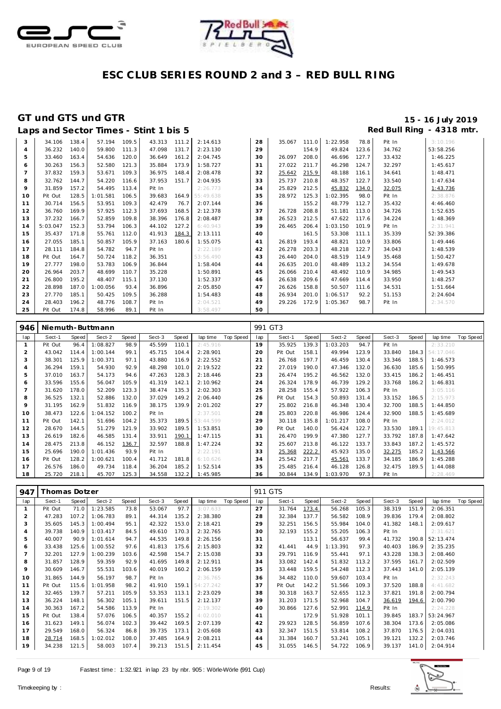



|                | Laps and Sector Times - Stint 1 bis 5 |       |          |       |              |       |           |    |        |       |          |       |        | Red Bull Ring - 4318 mtr. |
|----------------|---------------------------------------|-------|----------|-------|--------------|-------|-----------|----|--------|-------|----------|-------|--------|---------------------------|
| 3              | 34.106                                | 138.4 | 57.194   | 109.5 | 43.313 111.2 |       | 2:14.613  | 28 | 35.067 | 111.0 | 1:22.958 | 78.8  | Pit In | 3:10.196                  |
| $\overline{4}$ | 36.232                                | 140.0 | 59.800   | 111.3 | 47.098       | 131.7 | 2:23.130  | 29 |        | 154.9 | 49.824   | 123.6 | 34.762 | 53:58.256                 |
| 5              | 33.460                                | 163.4 | 54.636   | 120.0 | 36.649       | 161.2 | 2:04.745  | 30 | 26.097 | 208.0 | 46.696   | 127.7 | 33.432 | 1:46.225                  |
| 6              | 30.263                                | 156.3 | 52.580   | 121.3 | 35.884       | 173.9 | 1:58.727  | 31 | 27.022 | 211.7 | 46.298   | 124.7 | 32.297 | 1:45.617                  |
|                | 37.832                                | 159.3 | 53.671   | 109.3 | 36.975       | 148.4 | 2:08.478  | 32 | 25.642 | 215.9 | 48.188   | 116.1 | 34.641 | 1:48.471                  |
| 8              | 32.762                                | 144.7 | 54.220   | 116.6 | 37.953       | 151.7 | 2:04.935  | 33 | 25.737 | 210.8 | 48.357   | 122.7 | 33.540 | 1:47.634                  |
| 9              | 31.859                                | 157.2 | 54.495   | 113.4 | Pit In       |       | 2:26.773  | 34 | 25.829 | 212.5 | 45.832   | 134.0 | 32.075 | 1:43.736                  |
| 10             | Pit Out                               | 128.5 | 1:01.581 | 106.5 | 39.683       | 164.9 | 55:49.638 | 35 | 28.972 | 125.3 | 1:02.395 | 98.0  | Pit In | 2:38.876                  |
| 11             | 30.714                                | 156.5 | 53.951   | 109.3 | 42.479       | 76.7  | 2:07.144  | 36 |        | 155.2 | 48.779   | 112.7 | 35.432 | 4:46.460                  |
| 12             | 36.760                                | 169.9 | 57.925   | 112.3 | 37.693       | 168.5 | 2:12.378  | 37 | 26.728 | 208.8 | 51.181   | 113.0 | 34.726 | 1:52.635                  |
| 13             | 37.232                                | 166.7 | 52.859   | 109.8 | 38.396       | 176.8 | 2:08.487  | 38 | 26.523 | 212.5 | 47.622   | 117.6 | 34.224 | 1:48.369                  |
| 14             | 5:03.047                              | 152.3 | 53.794   | 106.3 | 44.102       | 127.2 | 6:40.943  | 39 | 26.465 | 206.4 | 1:03.150 | 101.9 | Pit In | 2:31.941                  |
| 15             | 35.437                                | 171.8 | 55.761   | 112.0 | 41.913       | 184.3 | 2:13.111  | 40 |        | 161.5 | 53.308   | 111.1 | 35.339 | 52:39.386                 |
| 16             | 27.055                                | 185.1 | 50.857   | 105.9 | 37.163       | 180.6 | 1:55.075  | 41 | 26.819 | 193.4 | 48.821   | 110.9 | 33.806 | 1:49.446                  |
| 17             | 28.111                                | 184.8 | 54.782   | 94.7  | Pit In       |       | 2:22.189  | 42 | 26.278 | 203.3 | 48.218   | 122.7 | 34.043 | 1:48.539                  |
| 18             | Pit Out                               | 164.7 | 50.724   | 118.2 | 36.351       |       | 53:56.490 | 43 | 26.440 | 204.0 | 48.519   | 114.9 | 35.468 | 1:50.427                  |
| 19             | 27.777                                | 198.0 | 53.783   | 106.9 | 36.844       |       | 1:58.404  | 44 | 26.635 | 201.0 | 48.489   | 113.2 | 34.554 | 1:49.678                  |
| 20             | 26.964                                | 203.7 | 48.699   | 110.7 | 35.228       |       | 1:50.891  | 45 | 26.066 | 210.4 | 48.492   | 110.9 | 34.985 | 1:49.543                  |
| 21             | 26.800                                | 195.2 | 48.407   | 115.1 | 37.130       |       | 1:52.337  | 46 | 26.638 | 209.6 | 47.669   | 114.4 | 33.950 | 1:48.257                  |
| 22             | 28.898                                | 187.0 | 1:00.056 | 93.4  | 36.896       |       | 2:05.850  | 47 | 26.626 | 158.8 | 50.507   | 111.6 | 34.531 | 1:51.664                  |
| 23             | 27.770                                | 185.1 | 50.425   | 109.5 | 36.288       |       | 1:54.483  | 48 | 26.934 | 201.0 | 1:06.517 | 92.2  | 51.153 | 2:24.604                  |
| 24             | 28.403                                | 196.2 | 48.776   | 108.7 | Pit In       |       | 2:04.521  | 49 | 29.226 | 172.9 | 1:05.367 | 98.7  | Pit In | 2:34.570                  |
| 25             | Pit Out                               | 174.8 | 58.996   | 89.1  | Pit In       |       | 3:58.497  | 50 |        |       |          |       |        |                           |

| 946 |         |       | Niemuth-Buttmann |       |        |       |           |           |     | 991 GT3 |       |          |       |        |       |           |           |
|-----|---------|-------|------------------|-------|--------|-------|-----------|-----------|-----|---------|-------|----------|-------|--------|-------|-----------|-----------|
| lap | Sect-1  | Speed | Sect-2           | Speed | Sect-3 | Speed | lap time  | Top Speed | lap | Sect-1  | Speed | Sect-2   | Speed | Sect-3 | Speed | lap time  | Top Speed |
|     | Pit Out | 96.4  | 1:08.827         | 98.9  | 45.599 | 110.1 | 2:45.916  |           | 19  | 35.925  | 139.3 | 1:03.203 | 94.7  | Pit In |       | 2:33.210  |           |
|     | 43.042  | 114.4 | 1:00.144         | 99.1  | 45.715 | 104.4 | 2:28.901  |           | 20  | Pit Out | 158.1 | 49.994   | 123.9 | 33.840 | 184.3 | 54:17.046 |           |
| 3   | 38.301  | 125.9 | 1:00.371         | 97.1  | 43.880 | 116.9 | 2:22.552  |           | 21  | 26.768  | 197.7 | 46.459   | 130.4 | 33.346 | 188.5 | 1:46.573  |           |
| 4   | 36.294  | 159.1 | 54.930           | 92.9  | 48.298 | 101.0 | 2:19.522  |           | 22  | 27.019  | 190.0 | 47.346   | 132.0 | 36.630 | 185.6 | 1:50.995  |           |
| 5   | 37.010  | 163.7 | 54.173           | 94.6  | 47.263 | 128.3 | 2:18.446  |           | 23  | 26.474  | 195.2 | 46.562   | 132.0 | 33.415 | 186.2 | 1:46.451  |           |
| 6   | 33.596  | 155.6 | 56.047           | 105.9 | 41.319 | 142.1 | 2:10.962  |           | 24  | 26.324  | 178.9 | 46.739   | 129.2 | 33.768 | 186.2 | 1:46.831  |           |
|     | 31.620  | 178.0 | 52.209           | 123.3 | 38.474 | 135.3 | 2:02.303  |           | 25  | 28.258  | 155.4 | 57.922   | 106.3 | Pit In |       | 3:05.116  |           |
| 8   | 36.525  | 132.1 | 52.886           | 132.0 | 37.029 | 149.2 | 2:06.440  |           | 26  | Pit Out | 154.3 | 50.893   | 131.4 | 33.152 | 186.5 | 2:15.973  |           |
| 9   | 31.195  | 162.9 | 51.832           | 116.9 | 38.175 | 139.9 | 2:01.202  |           | 27  | 25.802  | 216.8 | 46.348   | 130.4 | 32.700 | 188.5 | 1:44.850  |           |
| 10  | 38.473  | 122.6 | 1:04.152         | 100.2 | Pit In |       | 2:37.501  |           | 28  | 25.803  | 220.8 | 46.986   | 124.4 | 32.900 | 188.5 | 1:45.689  |           |
| 11  | Pit Out | 142.1 | 51.696           | 104.2 | 35.373 | 189.5 | 53:44.599 |           | 29  | 30.118  | 135.8 | 1:01.217 | 108.0 | Pit In |       | 2:24.012  |           |
| 12  | 28.670  | 144.5 | 51.279           | 121.9 | 33.902 | 189.5 | 1:53.851  |           | 30  | Pit Out | 140.0 | 56.424   | 122.7 | 33.530 | 189.1 | 19:45.813 |           |
| 13  | 26.619  | 182.6 | 46.585           | 131.4 | 33.911 | 190.1 | 1:47.115  |           | 31  | 26.470  | 199.9 | 47.380   | 127.7 | 33.792 | 187.8 | 1:47.642  |           |
| 14  | 28.475  | 213.8 | 46.152           | 136.7 | 32.597 | 188.8 | 1:47.224  |           | 32  | 25.607  | 213.8 | 46.122   | 133.7 | 33.843 | 187.2 | 1:45.572  |           |
| 15  | 25.696  | 190.0 | 1:01.436         | 93.9  | Pit In |       | 2:22.191  |           | 33  | 25.368  | 222.2 | 45.923   | 135.0 | 32.275 | 185.2 | 1:43.566  |           |
| 16  | Pit Out | 128.2 | 1:00.621         | 100.4 | 41.712 | 181.8 | 6:10.626  |           | 34  | 25.542  | 217.7 | 45.561   | 133.7 | 34.185 | 186.9 | 1:45.288  |           |
| 17  | 26.576  | 186.0 | 49.734           | 118.4 | 36.204 | 185.2 | 1:52.514  |           | 35  | 25.485  | 216.4 | 46.128   | 126.8 | 32.475 | 189.5 | 1:44.088  |           |
| 18  | 25.720  | 218.1 | 45.707           | 125.3 | 34.558 | 132.2 | 1:45.985  |           | 36  | 30.844  | 134.9 | 1:03.970 | 97.3  | Pit In |       | 2:28.469  |           |

| 947            | Thomas Dotzer |       |          |       |        |       |           |           | 911 GTS |         |       |          |       |        |       |           |           |
|----------------|---------------|-------|----------|-------|--------|-------|-----------|-----------|---------|---------|-------|----------|-------|--------|-------|-----------|-----------|
| lap            | Sect-1        | Speed | Sect-2   | Speed | Sect-3 | Speed | lap time  | Top Speed | lap     | Sect-1  | Speed | Sect-2   | Speed | Sect-3 | Speed | lap time  | Top Speed |
|                | Pit Out       | 71.0  | 1:23.585 | 73.8  | 53.067 | 97.7  | 3:07.633  |           | 27      | 31.764  | 173.4 | 56.268   | 105.3 | 38.319 | 151.9 | 2:06.351  |           |
| $\overline{c}$ | 47.283        | 107.2 | 1:06.783 | 89.1  | 44.314 | 135.2 | 2:38.380  |           | 28      | 32.384  | 137.7 | 56.582   | 108.9 | 39.836 | 179.4 | 2:08.802  |           |
| 3              | 35.605        | 145.3 | 1:00.494 | 95.1  | 42.322 | 153.0 | 2:18.421  |           | 29      | 32.251  | 156.5 | 55.984   | 104.0 | 41.382 | 148.1 | 2:09.617  |           |
| $\overline{4}$ | 39.738        | 140.9 | 1:03.417 | 84.5  | 49.610 | 170.3 | 2:32.765  |           | 30      | 32.193  | 155.2 | 55.205   | 106.3 | Pit In |       | 2:31.621  |           |
| 5              | 40.007        | 90.9  | 1:01.614 | 94.7  | 44.535 | 149.8 | 2:26.156  |           | 31      |         | 113.1 | 56.637   | 99.4  | 41.732 | 190.8 | 52:13.474 |           |
| 6              | 33.438        | 125.6 | 1:00.552 | 97.6  | 41.813 | 175.6 | 2:15.803  |           | 32      | 41.441  | 44.9  | 1:13.391 | 97.3  | 40.403 | 186.9 | 2:35.235  |           |
|                | 32.201        | 127.9 | : 00.239 | 103.6 | 42.598 | 154.7 | 2:15.038  |           | 33      | 29.791  | 116.9 | 55.441   | 97.1  | 43.228 | 138.3 | 2:08.460  |           |
| 8              | 31.857        | 128.9 | 59.359   | 92.9  | 41.695 | 149.8 | 2:12.911  |           | 34      | 33.082  | 142.4 | 51.832   | 113.2 | 37.595 | 161.7 | 2:02.509  |           |
| 9              | 30.609        | 146.7 | 55.531   | 103.6 | 40.019 | 160.2 | 2:06.159  |           | 35      | 33.448  | 159.5 | 54.248   | 112.3 | 37.443 | 141.0 | 2:05.139  |           |
| 10             | 31.865        | 144.9 | 56.197   | 98.7  | Pit In |       | 2:36.765  |           | 36      | 34.482  | 110.0 | 59.607   | 103.4 | Pit In |       | 2:32.243  |           |
| 11             | Pit Out       | 115.6 | :01.958  | 98.2  | 41.910 | 159.1 | 54:27.242 |           | 37      | Pit Out | 142.2 | 51.566   | 109.3 | 37.520 | 188.8 | 4:41.682  |           |
| 12             | 32.465        | 139.7 | 57.211   | 105.9 | 53.353 | 113.1 | 2:23.029  |           | 38      | 30.318  | 163.7 | 52.655   | 112.3 | 37.821 | 191.8 | 2:00.794  |           |
| 13             | 36.224        | 148.1 | 56.302   | 105.1 | 39.611 | 151.5 | 2:12.137  |           | 39      | 31.203  | 171.5 | 52.968   | 104.7 | 36.619 | 194.6 | 2:00.790  |           |
| 14             | 30.363        | 167.2 | 54.586   | 113.9 | Pit In |       | 2:19.302  |           | 40      | 30.866  | 127.6 | 52.991   | 114.9 | Pit In |       | 2:24.228  |           |
| 15             | Pit Out       | 138.4 | 57.076   | 106.5 | 40.357 | 155.2 | 4:02.010  |           | 41      |         | 172.9 | 51.928   | 101.1 | 39.845 | 183.7 | 53:24.967 |           |
| 16             | 31.623        | 149.1 | 56.074   | 102.3 | 39.442 | 169.5 | 2:07.139  |           | 42      | 29.923  | 128.5 | 56.859   | 107.6 | 38.304 | 173.6 | 2:05.086  |           |
| 17             | 29.549        | 168.0 | 56.324   | 86.8  | 39.735 | 173.1 | 2:05.608  |           | 43      | 32.347  | 151.5 | 53.814   | 108.2 | 37.870 | 176.5 | 2:04.031  |           |
| 18             | 28.714        | 168.5 | :02.012  | 108.0 | 37.485 | 164.9 | 2:08.211  |           | 44      | 31.384  | 160.7 | 53.241   | 105.1 | 39.121 | 132.2 | 2:03.746  |           |
| 19             | 34.238        | 121.5 | 58.003   | 107.4 | 39.213 | 151.5 | 2:11.454  |           | 45      | 31.055  | 146.5 | 54.722   | 106.9 | 39.137 | 141.0 | 2:04.914  |           |

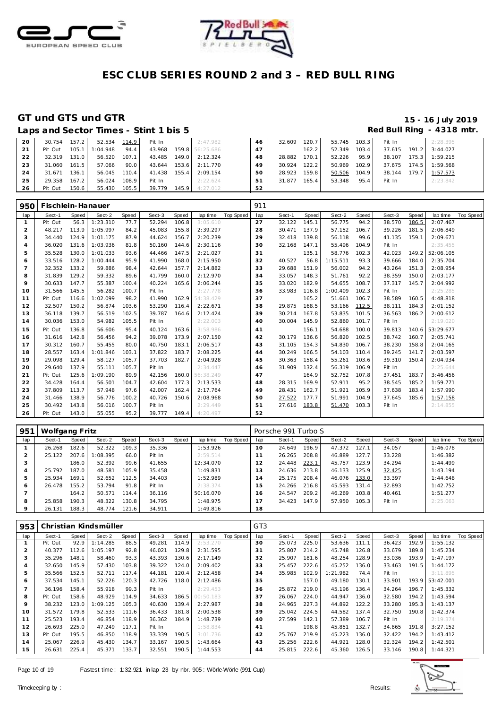



### **GT und GTS und GTR 15 - 16 July 2019**

# Red Bull Ring - 4318 mtr.

| Laps and Sector Times - Stint 1 bis 5 |  |
|---------------------------------------|--|

| 20           | 30.754  | 157.2 | 52.534 114.9   |       | Pit In       | 2:47.982              | 46 | 32.609 | 120.7   | 55.745 103.3 |       | Pit In | 2:28.395              |
|--------------|---------|-------|----------------|-------|--------------|-----------------------|----|--------|---------|--------------|-------|--------|-----------------------|
| 21           | Pit Out |       | 105.1 1:04.948 | 94.4  | 43.968       | 159.8 56:25.686       | 47 |        | $162.2$ | 52.349       | 103.4 |        | 37.615 191.2 3:44.027 |
| $22^{\circ}$ | 32.319  | 131.0 | 56.520         | 107.1 |              | 43.485 149.0 2:12.324 | 48 | 28.882 | 170.1   | 52.226       | 95.9  |        | 38.107 175.3 1:59.215 |
| 23           | 31.060  | 161.5 | 57.066         | 90.0  |              | 43.644 153.6 2:11.770 | 49 | 30.924 | 122.2   | 50.969       | 102.9 |        | 37.675 174.5 1:59.568 |
| 24           | 31.671  | 136.1 | 56.045         | 110.4 | 41.438 155.4 | 2:09.154              | 50 | 28.923 | 159.8   | 50.506       | 104.9 |        | 38.144 179.7 1:57.573 |
| 25           | 29.358  | 167.2 | 56.024         | 108.9 | Pit In       | 2:22.624              | 51 | 31.877 | 165.4   | 53.348       | 95.4  | Pit In | 2:23.842              |
| 26           | Pit Out | 150.6 | 55.430         | 105.5 |              | 39.779 145.9 4:27.012 | 52 |        |         |              |       |        |                       |

| 950            | Fischlein-Hanauer |       |          |       |        |       |           |           | 911 |        |       |          |       |        |              |           |           |
|----------------|-------------------|-------|----------|-------|--------|-------|-----------|-----------|-----|--------|-------|----------|-------|--------|--------------|-----------|-----------|
| lap            | Sect-1            | Speed | Sect-2   | Speed | Sect-3 | Speed | lap time  | Top Speed | lap | Sect-1 | Speed | Sect-2   | Speed | Sect-3 | <b>Speed</b> | lap time  | Top Speed |
| $\mathbf{1}$   | Pit Out           | 56.3  | 1:23.310 | 77.7  | 52.294 | 106.8 | 3:05.610  |           | 27  | 32.122 | 145.1 | 56.775   | 94.2  | 38.570 | 186.5        | 2:07.467  |           |
| $\overline{2}$ | 48.217            | 113.9 | 1:05.997 | 84.2  | 45.083 | 155.8 | 2:39.297  |           | 28  | 30.471 | 137.9 | 57.152   | 106.7 | 39.226 | 181.5        | 2:06.849  |           |
| 3              | 34.440            | 124.9 | 1:01.175 | 87.9  | 44.624 | 156.7 | 2:20.239  |           | 29  | 32.418 | 139.8 | 56.118   | 99.6  | 41.135 | 159.1        | 2:09.671  |           |
| $\overline{A}$ | 36.020            | 131.6 | 1:03.936 | 81.8  | 50.160 | 144.6 | 2:30.116  |           | 30  | 32.168 | 147.1 | 55.496   | 104.9 | Pit In |              | 2:35.455  |           |
| 5              | 35.528            | 130.0 | 1:01.033 | 93.6  | 44.466 | 147.5 | 2:21.027  |           | 31  |        | 135.1 | 58.776   | 102.3 | 42.023 | 149.2        | 52:06.105 |           |
| 6              | 33.516            | 128.2 | 1:00.444 | 95.9  | 41.990 | 168.0 | 2:15.950  |           | 32  | 40.527 | 56.8  | 1:15.511 | 93.3  | 39.666 | 184.0        | 2:35.704  |           |
| $\overline{7}$ | 32.352            | 133.2 | 59.886   | 98.4  | 42.644 | 157.7 | 2:14.882  |           | 33  | 29.688 | 151.9 | 56.002   | 94.2  | 43.264 | 151.3        | 2:08.954  |           |
| 8              | 31.839            | 129.2 | 59.332   | 89.6  | 41.799 | 160.0 | 2:12.970  |           | 34  | 33.057 | 148.3 | 51.761   | 92.2  | 38.359 | 150.0        | 2:03.177  |           |
| 9              | 30.633            | 147.7 | 55.387   | 100.4 | 40.224 | 165.6 | 2:06.244  |           | 35  | 33.020 | 182.9 | 54.655   | 108.7 | 37.317 | 145.7        | 2:04.992  |           |
| 10             | 31.566            | 145.5 | 56.282   | 100.7 | Pit In |       | 2:27.778  |           | 36  | 33.983 | 116.8 | 1:00.409 | 102.3 | Pit In |              | 2:25.285  |           |
| 11             | Pit Out           | 116.6 | :02.099  | 98.2  | 41.990 | 162.9 | 54:38.429 |           | 37  |        | 165.2 | 51.661   | 106.7 | 38.589 | 160.5        | 4:48.818  |           |
| 12             | 32.507            | 150.2 | 56.874   | 103.6 | 53.290 | 116.4 | 2:22.671  |           | 38  | 29.875 | 168.5 | 53.166   | 112.5 | 38.111 | 184.3        | 2:01.152  |           |
| 13             | 36.118            | 139.7 | 56.519   | 102.5 | 39.787 | 164.6 | 2:12.424  |           | 39  | 30.214 | 167.8 | 53.835   | 101.5 | 36.563 | 186.2        | 2:00.612  |           |
| 14             | 30.036            | 153.0 | 54.982   | 105.5 | Pit In |       | 2:22.003  |           | 40  | 30.004 | 145.9 | 52.860   | 101.7 | Pit In |              | 2:19.020  |           |
| 15             | Pit Out           | 136.8 | 56.606   | 95.4  | 40.124 | 163.6 | 3:58.986  |           | 41  |        | 156.1 | 54.688   | 100.0 | 39.813 | 140.6        | 53:29.677 |           |
| 16             | 31.616            | 142.8 | 56.456   | 94.2  | 39.078 | 173.9 | 2:07.150  |           | 42  | 30.179 | 136.6 | 56.820   | 102.5 | 38.742 | 160.7        | 2:05.741  |           |
| 17             | 30.312            | 160.7 | 55.455   | 80.0  | 40.750 | 183.1 | 2:06.517  |           | 43  | 31.105 | 154.3 | 54.830   | 106.7 | 38.230 | 158.8        | 2:04.165  |           |
| 18             | 28.557            | 163.4 | 1:01.846 | 103.1 | 37.822 | 183.7 | 2:08.225  |           | 44  | 30.249 | 166.5 | 54.103   | 110.4 | 39.245 | 141.7        | 2:03.597  |           |
| 19             | 29.098            | 129.4 | 58.127   | 105.7 | 37.703 | 182.7 | 2:04.928  |           | 45  | 30.363 | 158.4 | 55.261   | 103.6 | 39.310 | 150.4        | 2:04.934  |           |
| 20             | 29.640            | 137.9 | 55.111   | 105.7 | Pit In |       | 2:34.447  |           | 46  | 31.909 | 132.4 | 56.319   | 106.9 | Pit In |              | 2:25.644  |           |
| 21             | Pit Out           | 125.6 | 1:09.190 | 89.9  | 42.156 | 160.0 | 56:38.249 |           | 47  |        | 164.9 | 52.752   | 107.8 | 37.451 | 183.7        | 3:46.456  |           |
| 22             | 34.428            | 164.4 | 56.501   | 104.7 | 42.604 | 177.3 | 2:13.533  |           | 48  | 28.315 | 169.9 | 52.911   | 95.2  | 38.545 | 185.2        | 1:59.771  |           |
| 23             | 37.809            | 113.7 | 57.948   | 97.6  | 42.007 | 162.4 | 2:17.764  |           | 49  | 28.431 | 162.7 | 51.921   | 105.9 | 37.638 | 183.4        | 1:57.990  |           |
| 24             | 31.466            | 138.9 | 56.776   | 100.2 | 40.726 | 150.6 | 2:08.968  |           | 50  | 27.522 | 177.7 | 51.991   | 104.9 | 37.645 | 185.6        | 1:57.158  |           |
| 25             | 30.492            | 143.8 | 56.016   | 100.7 | Pit In |       | 2:29.449  |           | 51  | 27.616 | 183.8 | 51.470   | 103.3 | Pit In |              | 2:14.855  |           |
| 26             | Pit Out           | 143.0 | 55.055   | 95.2  | 39.777 | 149.4 | 4:20.497  |           | 52  |        |       |          |       |        |              |           |           |

| 951 | Wolfgang Fritz |       |          |       |        |       |           |           |     | Porsche 991 Turbo S |       |        |       |        |       |          |           |
|-----|----------------|-------|----------|-------|--------|-------|-----------|-----------|-----|---------------------|-------|--------|-------|--------|-------|----------|-----------|
| lap | Sect-1         | Speed | Sect-2   | Speed | Sect-3 | Speed | lap time  | Top Speed | lap | Sect-1              | Speed | Sect-2 | Speed | Sect-3 | Speed | lap time | Top Speed |
|     | 26.268         | 182.6 | 52.322   | 109.3 | 35.336 |       | 1:53.926  |           | 10  | 24.649              | 196.9 | 47.372 | 127.1 | 34.057 |       | 1:46.078 |           |
|     | 25.122         | 207.6 | 1:08.395 | 66.0  | Pit In |       | 2:59.514  |           |     | 26.265              | 208.8 | 46.889 | 127.7 | 33.228 |       | 1:46.382 |           |
|     |                | 186.0 | 52.392   | 99.6  | 41.655 |       | 12:34.070 |           |     | 24.448              | 223.1 | 45.757 | 123.9 | 34.294 |       | 1:44.499 |           |
|     | 25.792         | 187.0 | 48.581   | 105.9 | 35.458 |       | 1:49.831  |           | 3   | 24.636              | 213.8 | 46.133 | 125.9 | 32.425 |       | 1:43.194 |           |
|     | 25.934         | 169.1 | 52.652   | 112.5 | 34.403 |       | 1:52.989  |           | l 4 | 25.175              | 208.4 | 46.076 | 133.0 | 33.397 |       | 1:44.648 |           |
| O   | 26.478         | 155.2 | 53.794   | 91.8  | Pit In |       | 2:38.374  |           | 15  | 24.266              | 216.8 | 45.593 | 131.4 | 32.893 |       | 1:42.752 |           |
|     |                | 164.2 | 50.571   | 114.4 | 36.116 |       | 50:16.070 |           | 6   | 24.547              | 209.2 | 46.269 | 103.8 | 40.461 |       | 1:51.277 |           |
| 8   | 25.858         | 190.3 | 48.322   | 130.8 | 34.795 |       | 1:48.975  |           |     | 34.423              | 147.9 | 57.950 | 105.3 | Pit In |       | 2:25.063 |           |
|     | 26.131         | 188.3 | 48.774   | 121.6 | 34.911 |       | 1:49.816  |           | 18  |                     |       |        |       |        |       |          |           |

| 953 |         |       | Christian Kindsmüller |       |        |       |           |           | GT <sub>3</sub> |        |              |          |       |        |       |                 |           |
|-----|---------|-------|-----------------------|-------|--------|-------|-----------|-----------|-----------------|--------|--------------|----------|-------|--------|-------|-----------------|-----------|
| lap | Sect-1  | Speed | Sect-2                | Speed | Sect-3 | Speed | lap time  | Top Speed | lap             | Sect-1 | <b>Speed</b> | Sect-2   | Speed | Sect-3 | Speed | lap time        | Top Speed |
|     | Pit Out | 92.9  | 1:14.285              | 88.5  | 49.281 | 114.9 | 2:53.270  |           | 30              | 25.073 | 225.0        | 53.636   | 111.1 | 36.423 | 192.9 | 1:55.132        |           |
|     | 40.377  | 112.6 | 1:05.197              | 92.8  | 46.021 | 129.8 | 2:31.595  |           | 31              | 25.807 | 214.2        | 45.748   | 126.8 | 33.679 | 189.8 | 1:45.234        |           |
| 3   | 35.296  | 148.1 | 58.460                | 93.3  | 43.393 | 130.6 | 2:17.149  |           | 32              | 25.907 | 181.6        | 48.254   | 128.9 | 33.036 | 193.9 | 1:47.197        |           |
| 4   | 32.650  | 145.9 | 57.430                | 103.8 | 39.322 | 124.0 | 2:09.402  |           | 33              | 25.457 | 222.6        | 45.252   | 136.0 | 33.463 | 191.5 | 1:44.172        |           |
| 5   | 35.566  | 152.5 | 52.711                | 117.4 | 44.181 | 120.4 | 2:12.458  |           | 34              | 35.985 | 102.9        | 1:21.982 | 74.4  | Pit In |       | 3:11.895        |           |
| 6   | 37.534  | 145.1 | 52.226                | 120.3 | 42.726 | 118.0 | 2:12.486  |           | 35              |        | 157.0        | 49.180   | 130.1 | 33.901 |       | 193.9 53:42.001 |           |
|     | 36.196  | 158.4 | 55.918                | 99.3  | Pit In |       | 2:29.453  |           | 36              | 25.872 | 219.0        | 45.196   | 136.4 | 34.264 | 196.7 | 1:45.332        |           |
| 8   | Pit Out | 158.6 | 48.929                | 114.9 | 34.633 | 186.5 | 00:50.183 |           | 37              | 26.067 | 224.0        | 44.947   | 136.0 | 32.580 | 194.2 | 1:43.594        |           |
| 9   | 38.232  | 123.0 | 1:09.125              | 105.3 | 40.630 | 139.4 | 2:27.987  |           | 38              | 24.965 | 227.3        | 44.892   | 122.2 | 33.280 | 195.3 | 1:43.137        |           |
| 10  | 31.572  | 179.8 | 52.533                | 111.6 | 36.433 | 181.8 | 2:00.538  |           | 39              | 25.042 | 224.5        | 44.582   | 137.4 | 32.750 | 190.8 | 1:42.374        |           |
| 11  | 25.523  | 193.4 | 46.854                | 118.9 | 36.362 | 184.9 | 1:48.739  |           | 40              | 27.599 | 142.1        | 57.389   | 106.7 | Pit In |       | 2:19.374        |           |
| 12  | 26.693  | 225.0 | 47.249                | 117.1 | Pit In |       | 1:58.834  |           | 41              |        | 198.8        | 45.851   | 132.7 | 34.865 | 191.8 | 3:27.152        |           |
| 13  | Pit Out | 195.5 | 46.850                | 118.9 | 33.339 | 190.5 | 3:01.736  |           | 42              | 25.767 | 219.9        | 45.223   | 136.0 | 32.422 | 194.2 | 1:43.412        |           |
| 14  | 25.067  | 226.9 | 45.430                | 134.7 | 33.167 | 190.5 | 1:43.664  |           | 43              | 25.256 | 222.6        | 44.921   | 128.0 | 32.324 | 194.2 | 1:42.501        |           |
| 15  | 26.631  | 225.4 | 45.371                | 133.7 | 32.551 | 190.5 | 1:44.553  |           | 44              | 25.815 | 222.6        | 45.360   | 126.5 | 33.146 | 190.8 | 1:44.321        |           |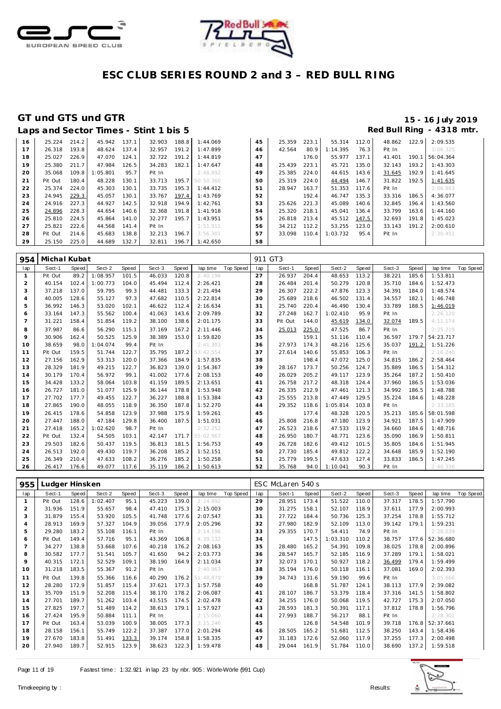



|    |         |       |          |       | Laps and Sector Times - Stint 1 bis 5 |       |                 |    |        |       |          |       |        |       | Red Bull Ring - 4318 mtr. |
|----|---------|-------|----------|-------|---------------------------------------|-------|-----------------|----|--------|-------|----------|-------|--------|-------|---------------------------|
| 16 | 25.224  | 214.2 | 45.942   | 137.1 | 32.903                                | 188.8 | 1:44.069        | 45 | 25.359 | 223.1 | 55.314   | 112.0 | 48.862 | 122.9 | 2:09.535                  |
| 17 | 26.318  | 193.8 | 48.624   | 137.4 | 32.957                                | 191.2 | 1:47.899        | 46 | 42.564 | 80.9  | 1:14.395 | 76.3  | Pit In |       | 3:06.325                  |
| 18 | 25.027  | 226.9 | 47.070   | 124.1 | 32.722                                | 191.2 | 1:44.819        | 47 |        | 176.0 | 55.977   | 137.1 | 41.401 | 190.1 | 56:04.364                 |
| 19 | 25.380  | 211.7 | 47.984   | 126.5 | 34.283                                | 182.1 | 1:47.647        | 48 | 25.439 | 223.1 | 45.721   | 135.0 | 32.143 | 193.2 | 1:43.303                  |
| 20 | 35.068  | 109.8 | : 05.801 | 95.7  | Pit In                                |       | 2:48.892        | 49 | 25.385 | 224.0 | 44.615   | 143.6 | 31.645 | 192.9 | 1:41.645                  |
| 21 | Pit Out | 180.4 | 48.228   | 130.1 | 33.713                                |       | 195.7 50:50.360 | 50 | 25.319 | 224.0 | 44.494   | 146.7 | 31.822 | 192.5 | 1:41.635                  |
| 22 | 25.374  | 224.0 | 45.303   | 130.1 | 33.735                                | 195.3 | 1:44.412        | 51 | 28.947 | 163.7 | 51.353   | 117.6 | Pit In |       | 2:06.983                  |
| 23 | 24.945  | 229.3 | 45.057   | 130.1 | 33.767                                | 197.4 | 1:43.769        | 52 |        | 192.4 | 46.747   | 135.3 | 33.316 | 186.5 | 4:36.077                  |
| 24 | 24.916  | 227.3 | 44.927   | 142.5 | 32.918                                | 194.9 | 1:42.761        | 53 | 25.626 | 221.3 | 45.089   | 140.6 | 32.845 | 196.4 | 1:43.560                  |
| 25 | 24.896  | 228.3 | 44.654   | 140.6 | 32.368                                | 191.8 | 1:41.918        | 54 | 25.320 | 218.1 | 45.041   | 136.4 | 33.799 | 163.6 | 1:44.160                  |
| 26 | 25.810  | 224.5 | 45.864   | 141.0 | 32.277                                | 195.7 | 1:43.951        | 55 | 26.818 | 213.4 | 45.512   | 147.5 | 32.693 | 191.8 | 1:45.023                  |
| 27 | 25.821  | 222.6 | 44.568   | 141.4 | Pit In                                |       | 1:51.911        | 56 | 34.212 | 112.2 | 53.255   | 123.0 | 33.143 | 191.2 | 2:00.610                  |
| 28 | Pit Out | 214.6 | 45.683   | 138.8 | 32.213                                | 196.7 | 3:56.301        | 57 | 33.098 | 110.4 | 1:03.732 | 95.4  | Pit In |       | 2:30.451                  |
| 29 | 25.150  | 225.0 | 44.689   | 132.7 | 32.811                                | 196.7 | 1:42.650        | 58 |        |       |          |       |        |       |                           |

| 954            | Michal Kubat |       |          |       |        |       |           |           | 911 GT3 |         |       |          |       |        |       |           |           |
|----------------|--------------|-------|----------|-------|--------|-------|-----------|-----------|---------|---------|-------|----------|-------|--------|-------|-----------|-----------|
| lap            | Sect-1       | Speed | Sect-2   | Speed | Sect-3 | Speed | lap time  | Top Speed | lap     | Sect-1  | Speed | Sect-2   | Speed | Sect-3 | Speed | lap time  | Top Speed |
| $\mathbf{1}$   | Pit Out      | 89.2  | 1:08.957 | 101.5 | 46.033 | 120.8 | 2:40.196  |           | 27      | 26.937  | 204.4 | 48.653   | 113.2 | 38.221 | 185.6 | 1:53.811  |           |
| 2              | 40.154       | 102.4 | 1:00.773 | 104.0 | 45.494 | 112.4 | 2:26.421  |           | 28      | 26.484  | 201.4 | 50.279   | 120.8 | 35.710 | 184.6 | 1:52.473  |           |
| 3              | 37.218       | 137.0 | 59.795   | 99.3  | 44.481 | 133.3 | 2:21.494  |           | 29      | 26.307  | 222.2 | 47.876   | 123.3 | 34.391 | 184.0 | 1:48.574  |           |
| $\overline{4}$ | 40.005       | 128.6 | 55.127   | 97.3  | 47.682 | 110.5 | 2:22.814  |           | 30      | 25.689  | 218.6 | 46.502   | 131.4 | 34.557 | 182.1 | 1:46.748  |           |
| 5              | 36.992       | 146.3 | 53.020   | 102.1 | 46.622 | 112.4 | 2:16.634  |           | 31      | 25.740  | 220.4 | 46.490   | 130.4 | 33.789 | 188.5 | 1:46.019  |           |
| 6              | 33.164       | 147.3 | 55.562   | 100.4 | 41.063 | 143.6 | 2:09.789  |           | 32      | 27.248  | 162.7 | 1:02.410 | 95.9  | Pit In |       | 2:26.120  |           |
| $\overline{7}$ | 31.221       | 158.4 | 51.854   | 119.2 | 38.100 | 138.6 | 2:01.175  |           | 33      | Pit Out | 144.0 | 45.619   | 134.0 | 32.074 | 189.5 | 4:11.174  |           |
| 8              | 37.987       | 86.6  | 56.290   | 115.1 | 37.169 | 167.2 | 2:11.446  |           | 34      | 25.013  | 225.0 | 47.525   | 86.7  | Pit In |       | 2:25.219  |           |
| 9              | 30.906       | 162.4 | 50.525   | 125.9 | 38.389 | 153.0 | 1:59.820  |           | 35      |         | 159.1 | 51.116   | 110.4 | 36.597 | 179.7 | 54:23.717 |           |
| 10             | 38.659       | 98.0  | 1:04.074 | 99.4  | Pit In |       | 2:41.303  |           | 36      | 27.973  | 174.3 | 48.216   | 125.6 | 35.037 | 191.2 | 1:51.226  |           |
| 11             | Pit Out      | 159.5 | 51.744   | 122.7 | 35.795 | 187.2 | 53:42.554 |           | 37      | 27.614  | 140.6 | 55.853   | 106.3 | Pit In |       | 2:16.240  |           |
| 12             | 27.156       | 162.9 | 53.313   | 120.0 | 37.366 | 184.9 | 1:57.835  |           | 38      |         | 198.4 | 47.072   | 125.0 | 34.815 | 186.2 | 2:58.464  |           |
| 13             | 28.329       | 181.9 | 49.215   | 122.7 | 36.823 | 139.0 | 1:54.367  |           | 39      | 28.167  | 173.7 | 50.256   | 124.7 | 35.889 | 186.5 | 1:54.312  |           |
| 14             | 30.179       | 170.4 | 56.972   | 99.1  | 41.002 | 177.6 | 2:08.153  |           | 40      | 26.029  | 205.2 | 49.117   | 123.9 | 35.264 | 187.2 | 1:50.410  |           |
| 15             | 34.428       | 133.2 | 58.064   | 103.8 | 41.159 | 189.5 | 2:13.651  |           | 41      | 26.758  | 217.2 | 48.318   | 124.4 | 37.960 | 186.5 | 1:53.036  |           |
| 16             | 26.727       | 181.0 | 51.077   | 125.9 | 36.144 | 178.8 | 1:53.948  |           | 42      | 26.335  | 212.9 | 47.461   | 121.3 | 34.992 | 186.5 | 1:48.788  |           |
| 17             | 27.702       | 177.7 | 49.455   | 122.7 | 36.227 | 188.8 | 1:53.384  |           | 43      | 25.555  | 213.8 | 47.449   | 129.5 | 35.224 | 184.6 | 1:48.228  |           |
| 18             | 27.865       | 190.0 | 48.055   | 118.9 | 36.350 | 187.8 | 1:52.270  |           | 44      | 29.352  | 118.6 | 1:05.814 | 103.8 | Pit In |       | 2:33.185  |           |
| 19             | 26.415       | 178.6 | 54.858   | 123.9 | 37.988 | 175.9 | 1:59.261  |           | 45      |         | 177.4 | 48.328   | 120.5 | 35.213 | 185.6 | 58:01.598 |           |
| 20             | 27.447       | 188.0 | 47.184   | 129.8 | 36.400 | 187.5 | 1:51.031  |           | 46      | 25.808  | 216.8 | 47.180   | 123.9 | 34.921 | 187.5 | 1:47.909  |           |
| 21             | 27.418       | 165.2 | 1:02.620 | 98.7  | Pit In |       | 2:32.252  |           | 47      | 26.523  | 218.6 | 47.533   | 119.2 | 34.660 | 184.6 | 1:48.716  |           |
| 22             | Pit Out      | 132.4 | 54.505   | 103.1 | 42.147 | 171.7 | 55:02.967 |           | 48      | 26.950  | 180.7 | 48.771   | 123.6 | 35.090 | 186.9 | 1:50.811  |           |
| 23             | 29.503       | 182.6 | 50.437   | 119.5 | 36.813 | 181.5 | 1:56.753  |           | 49      | 26.728  | 182.6 | 49.412   | 101.5 | 35.805 | 184.6 | 1:51.945  |           |
| 24             | 26.513       | 192.0 | 49.430   | 119.7 | 36.208 | 185.2 | 1:52.151  |           | 50      | 27.730  | 185.4 | 49.812   | 122.2 | 34.648 | 185.9 | 1:52.190  |           |
| 25             | 26.349       | 210.4 | 47.633   | 108.2 | 36.276 | 185.2 | 1:50.258  |           | 51      | 25.779  | 199.5 | 47.633   | 127.4 | 33.833 | 186.5 | 1:47.245  |           |
| 26             | 26.417       | 176.6 | 49.077   | 117.6 | 35.119 | 186.2 | 1:50.613  |           | 52      | 35.768  | 94.0  | 1:10.041 | 90.3  | Pit In |       | 2:40.336  |           |

| 955            | Ludger Hinsken |       |         |       |        |       |           |           |     | ESC McLaren 540 s |       |          |       |        |       |           |           |
|----------------|----------------|-------|---------|-------|--------|-------|-----------|-----------|-----|-------------------|-------|----------|-------|--------|-------|-----------|-----------|
| lap            | Sect-1         | Speed | Sect-2  | Speed | Sect-3 | Speed | lap time  | Top Speed | lap | Sect-1            | Speed | Sect-2   | Speed | Sect-3 | Speed | lap time  | Top Speed |
| $\mathbf{1}$   | Pit Out        | 128.6 | :02.407 | 95.1  | 45.223 | 139.0 | 2:24.892  |           | 29  | 28.951            | 173.4 | 51.522   | 110.0 | 37.317 | 178.5 | 1:57.790  |           |
| 2              | 31.936         | 151.9 | 55.657  | 98.4  | 47.410 | 175.3 | 2:15.003  |           | 30  | 31.275            | 158.1 | 52.107   | 118.9 | 37.611 | 177.9 | 2:00.993  |           |
| 3              | 31.879         | 155.4 | 53.920  | 105.5 | 41.748 | 177.6 | 2:07.547  |           | 31  | 27.722            | 184.4 | 50.736   | 125.3 | 37.254 | 178.8 | 1:55.712  |           |
| 4              | 28.913         | 169.9 | 57.327  | 104.9 | 39.056 | 177.9 | 2:05.296  |           | 32  | 27.980            | 182.9 | 52.109   | 113.0 | 39.142 | 179.1 | 1:59.231  |           |
| 5              | 29.280         | 183.2 | 55.108  | 116.1 | Pit In |       | 2:14.196  |           | 33  | 29.355            | 170.7 | 54.411   | 74.9  | Pit In |       | 2:28.039  |           |
| 6              | Pit Out        | 149.4 | 57.716  | 95.1  | 43.369 | 106.8 | 4:39.132  |           | 34  |                   | 147.5 | 1:03.310 | 110.2 | 38.757 | 177.6 | 52:36.680 |           |
| $\overline{7}$ | 34.277         | 138.8 | 53.668  | 107.6 | 40.218 | 176.2 | 2:08.163  |           | 35  | 28.480            | 165.2 | 54.391   | 109.8 | 38.025 | 178.8 | 2:00.896  |           |
| 8              | 30.582         | 177.7 | 51.541  | 105.7 | 41.650 | 94.2  | 2:03.773  |           | 36  | 28.547            | 165.7 | 52.185   | 116.9 | 37.289 | 179.1 | 1:58.021  |           |
| 9              | 40.315         | 172.1 | 52.529  | 109.1 | 38.190 | 164.9 | 2:11.034  |           | 37  | 32.073            | 170.1 | 50.927   | 118.2 | 36.499 | 179.4 | 1:59.499  |           |
| 10             | 31.218         | 183.5 | 55.367  | 91.2  | Pit In |       | 2:40.963  |           | 38  | 35.194            | 176.0 | 50.118   | 116.1 | 37.081 | 169.0 | 2:02.393  |           |
| 11             | Pit Out        | 139.8 | 55.366  | 116.6 | 40.290 | 176.2 | 51:48.878 |           | 39  | 34.743            | 131.6 | 59.190   | 99.6  | Pit In |       | 3:05.666  |           |
| 12             | 28.280         | 172.9 | 51.857  | 115.4 | 37.621 | 177.3 | 1:57.758  |           | 40  |                   | 168.8 | 51.787   | 124.1 | 38.113 | 177.9 | 2:39.082  |           |
| 13             | 35.709         | 151.9 | 52.208  | 115.4 | 38.170 | 178.2 | 2:06.087  |           | 41  | 28.107            | 186.7 | 53.379   | 118.4 | 37.316 | 141.5 | 1:58.802  |           |
| 14             | 27.701         | 189.7 | 51.262  | 103.4 | 43.515 | 174.5 | 2:02.478  |           | 42  | 34.255            | 176.0 | 50.068   | 119.5 | 42.727 | 175.3 | 2:07.050  |           |
| 15             | 27.825         | 197.7 | 51.489  | 114.2 | 38.613 | 179.1 | 1:57.927  |           | 43  | 28.593            | 181.3 | 50.391   | 117.1 | 37.812 | 178.8 | 1:56.796  |           |
| 16             | 27.424         | 195.9 | 50.884  | 111.1 | Pit In |       | 2:15.060  |           | 44  | 27.993            | 188.7 | 56.217   | 88.1  | Pit In |       | 2:28.301  |           |
| 17             | Pit Out        | 163.4 | 53.039  | 100.9 | 38.005 | 177.3 | 3:15.246  |           | 45  |                   | 126.8 | 54.548   | 101.9 | 39.718 | 176.8 | 52:37.661 |           |
| 18             | 28.158         | 156.1 | 55.749  | 122.2 | 37.387 | 177.0 | 2:01.294  |           | 46  | 28.505            | 165.2 | 51.681   | 112.5 | 38.250 | 143.4 | 1:58.436  |           |
| 19             | 27.670         | 183.8 | 51.491  | 133.3 | 39.174 | 158.8 | 1:58.335  |           | 47  | 31.183            | 172.6 | 52.060   | 117.9 | 37.255 | 177.3 | 2:00.498  |           |
| 20             | 27.940         | 189.7 | 52.915  | 123.9 | 38.623 | 122.3 | 1:59.478  |           | 48  | 29.044            | 161.9 | 51.784   | 110.0 | 38.690 | 137.2 | 1:59.518  |           |

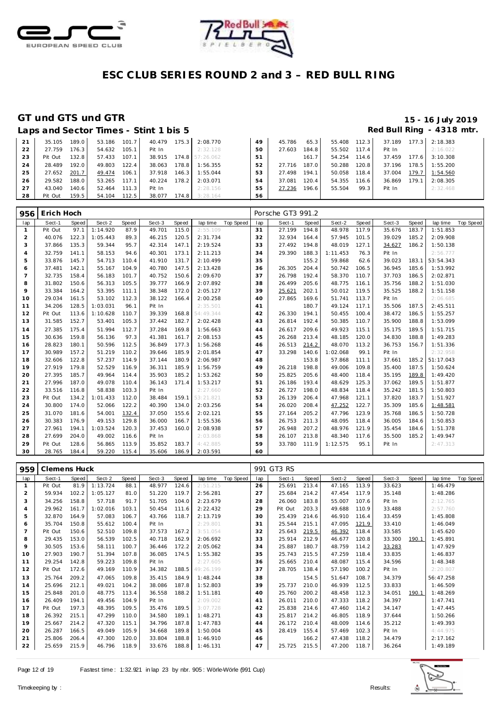



|    |         |       |        |       | Laps and Sector Times - Stint 1 bis 5 |                  |                 |    |        |       |              |       |        |       | Red Bull Ring - 4318 mtr |  |
|----|---------|-------|--------|-------|---------------------------------------|------------------|-----------------|----|--------|-------|--------------|-------|--------|-------|--------------------------|--|
| 21 | 35.105  | 189.0 | 53.186 | 101.7 | 40.479                                | $175.3 \text{ }$ | 2:08.770        | 49 | 45.786 | 65.3  | 55.408       | 112.3 | 37.189 | 177.3 | 2:18.383                 |  |
| 22 | 27.759  | 176.3 | 54.632 | 105.1 | Pit In                                |                  | 2:32.128        | 50 | 27.603 | 184.8 | 55.502 117.4 |       | Pit In |       | 2:16.022                 |  |
| 23 | Pit Out | 132.8 | 57.433 | 107.1 | 38.915                                |                  | 174.8 57:26.062 | 51 |        | 161.7 | 54.254       | 114.6 | 37.459 | 177.6 | 3:10.308                 |  |
| 24 | 28.489  | 192.0 | 49.803 | 122.4 | 38.063                                | 178.8            | 1:56.355        | 52 | 27.716 | 187.0 | 50.288       | 120.8 | 37.196 | 178.5 | 1:55.200                 |  |
| 25 | 27.652  | 201.7 | 49.474 | 106.1 | 37.918                                | 146.3            | 1:55.044        | 53 | 27.498 | 194.1 | 50.058       | 118.4 | 37.004 | 179.7 | 1:54.560                 |  |
| 26 | 29.582  | 188.0 | 53.265 | 117.1 | 40.224                                | 178.2            | 2:03.071        | 54 | 37.081 | 120.4 | 54.355       | 116.6 | 36.869 | 179.1 | 2:08.305                 |  |
| 27 | 43.040  | 140.6 | 52.464 | 111.3 | Pit In                                |                  | 2:28.156        | 55 | 27.236 | 196.6 | 55.504       | 99.3  | Pit In |       | 2:32.468                 |  |
| 28 | Pit Out | 159.5 | 54.104 | 112.5 | 38.077                                | 174.8            | 3:28.164        | 56 |        |       |              |       |        |       |                          |  |

| 956            | Erich Hoch |              |          |       |        |       |           |           |     | Porsche GT3 991.2 |       |          |       |        |       |           |           |
|----------------|------------|--------------|----------|-------|--------|-------|-----------|-----------|-----|-------------------|-------|----------|-------|--------|-------|-----------|-----------|
| lap            | Sect-1     | <b>Speed</b> | Sect-2   | Speed | Sect-3 | Speed | lap time  | Top Speed | lap | Sect-1            | Speed | Sect-2   | Speed | Sect-3 | Speed | lap time  | Top Speed |
| -1             | Pit Out    | 97.1         | 1:14.920 | 87.9  | 49.701 | 115.0 | 2:55.109  |           | 31  | 27.199            | 194.8 | 48.978   | 117.9 | 35.676 | 183.7 | 1:51.853  |           |
| $\overline{2}$ | 40.076     | 122.3        | 1:05.443 | 89.3  | 46.215 | 120.5 | 2:31.734  |           | 32  | 32.934            | 164.4 | 57.945   | 101.5 | 39.029 | 185.2 | 2:09.908  |           |
| 3              | 37.866     | 135.3        | 59.344   | 95.7  | 42.314 | 147.1 | 2:19.524  |           | 33  | 27.492            | 194.8 | 48.019   | 127.1 | 34.627 | 186.2 | 1:50.138  |           |
| 4              | 32.759     | 141.1        | 58.153   | 94.6  | 40.301 | 173.1 | 2:11.213  |           | 34  | 29.390            | 188.3 | 1:11.453 | 76.3  | Pit In |       | 2:56.777  |           |
| 5              | 33.876     | 145.7        | 54.713   | 110.4 | 41.910 | 131.7 | 2:10.499  |           | 35  |                   | 155.2 | 59.868   | 62.6  | 39.023 | 183.1 | 53:54.343 |           |
| 6              | 37.481     | 142.1        | 55.167   | 104.9 | 40.780 | 147.5 | 2:13.428  |           | 36  | 26.305            | 204.4 | 50.742   | 106.5 | 36.945 | 185.6 | 1:53.992  |           |
| $\overline{7}$ | 32.735     | 158.4        | 56.183   | 101.7 | 40.752 | 150.6 | 2:09.670  |           | 37  | 26.798            | 192.4 | 58.370   | 110.7 | 37.703 | 186.5 | 2:02.871  |           |
| 8              | 31.802     | 150.6        | 56.313   | 105.5 | 39.777 | 166.9 | 2:07.892  |           | 38  | 26.499            | 205.6 | 48.775   | 116.1 | 35.756 | 188.2 | 1:51.030  |           |
| 9              | 33.384     | 164.2        | 53.395   | 111.1 | 38.348 | 172.0 | 2:05.127  |           | 39  | 25.621            | 202.1 | 50.012   | 119.5 | 35.525 | 188.2 | 1:51.158  |           |
| 10             | 29.034     | 161.5        | 53.102   | 112.3 | 38.122 | 166.4 | 2:00.258  |           | 40  | 27.865            | 169.6 | 51.741   | 113.7 | Pit In |       | 2:06.685  |           |
| 11             | 34.206     | 128.5        | 1:03.031 | 96.1  | Pit In |       | 2:35.501  |           | 41  |                   | 180.7 | 49.124   | 117.1 | 35.506 | 187.5 | 2:45.511  |           |
| 12             | Pit Out    | 113.6        | 1:10.628 | 110.7 | 39.339 | 168.8 | 54:49.344 |           | 42  | 26.330            | 194.1 | 50.455   | 100.4 | 38.472 | 186.5 | 1:55.257  |           |
| 13             | 31.585     | 152.7        | 53.401   | 105.3 | 37.442 | 182.7 | 2:02.428  |           | 43  | 26.814            | 192.4 | 50.385   | 110.7 | 35.900 | 188.8 | 1:53.099  |           |
| 14             | 27.385     | 175.4        | 51.994   | 112.7 | 37.284 | 169.8 | 1:56.663  |           | 44  | 26.617            | 209.6 | 49.923   | 115.1 | 35.175 | 189.5 | 1:51.715  |           |
| 15             | 30.636     | 159.8        | 56.136   | 97.3  | 41.381 | 161.7 | 2:08.153  |           | 45  | 26.268            | 213.4 | 48.185   | 120.0 | 34.830 | 188.8 | 1:49.283  |           |
| 16             | 28.823     | 180.1        | 50.596   | 112.5 | 36.849 | 177.3 | 1:56.268  |           | 46  | 26.513            | 214.2 | 48.070   | 113.2 | 36.753 | 156.7 | 1:51.336  |           |
| 17             | 30.989     | 157.2        | 51.219   | 110.2 | 39.646 | 185.9 | 2:01.854  |           | 47  | 33.298            | 140.6 | 1:02.068 | 99.1  | Pit In |       | 2:32.958  |           |
| 18             | 32.606     | 122.8        | 57.237   | 114.9 | 37.144 | 180.9 | 2:06.987  |           | 48  |                   | 153.8 | 57.868   | 111.1 | 37.661 | 185.2 | 51:17.043 |           |
| 19             | 27.919     | 179.8        | 52.529   | 116.9 | 36.311 | 185.9 | 1:56.759  |           | 49  | 26.218            | 198.8 | 49.006   | 109.8 | 35.400 | 187.5 | 1:50.624  |           |
| 20             | 27.395     | 185.7        | 49.964   | 114.4 | 35.903 | 185.2 | 1:53.262  |           | 50  | 25.825            | 205.6 | 48.400   | 118.4 | 35.195 | 189.8 | 1:49.420  |           |
| 21             | 27.996     | 187.0        | 49.078   | 110.4 | 36.143 | 171.4 | 1:53.217  |           | 51  | 26.186            | 193.4 | 48.629   | 125.3 | 37.062 | 189.5 | 1:51.877  |           |
| 22             | 33.516     | 116.8        | 58.838   | 103.3 | Pit In |       | 2:27.660  |           | 52  | 26.727            | 198.0 | 48.834   | 118.4 | 35.242 | 181.5 | 1:50.803  |           |
| 23             | Pit Out    | 134.2        | 1:01.433 | 112.0 | 38.484 | 159.1 | 53:21.821 |           | 53  | 26.139            | 206.4 | 47.968   | 121.1 | 37.820 | 183.7 | 1:51.927  |           |
| 24             | 30.800     | 174.0        | 52.066   | 122.2 | 40.390 | 134.0 | 2:03.256  |           | 54  | 26.020            | 208.4 | 47.252   | 122.7 | 35.309 | 185.6 | 1:48.581  |           |
| 25             | 31.070     | 181.6        | 54.001   | 132.4 | 37.050 | 155.6 | 2:02.121  |           | 55  | 27.164            | 205.2 | 47.796   | 123.9 | 35.768 | 186.5 | 1:50.728  |           |
| 26             | 30.383     | 176.9        | 49.153   | 129.8 | 36.000 | 166.7 | 1:55.536  |           | 56  | 26.753            | 211.3 | 48.095   | 118.4 | 36.005 | 184.6 | 1:50.853  |           |
| 27             | 27.961     | 194.1        | 1:03.524 | 120.3 | 37.453 | 160.0 | 2:08.938  |           | 57  | 26.948            | 207.2 | 48.976   | 121.9 | 35.454 | 184.6 | 1:51.378  |           |
| 28             | 27.699     | 204.0        | 49.002   | 116.6 | Pit In |       | 2:03.868  |           | 58  | 26.107            | 213.8 | 48.340   | 117.6 | 35.500 | 185.2 | 1:49.947  |           |
| 29             | Pit Out    | 128.6        | 56.865   | 113.9 | 35.852 | 183.7 | 4:42.885  |           | 59  | 33.780            | 111.9 | 1:12.575 | 95.1  | Pit In |       | 2:47.313  |           |
| 30             | 28.765     | 184.4        | 59.220   | 115.4 | 35.606 | 186.9 | 2:03.591  |           | 60  |                   |       |          |       |        |       |           |           |

| 959            | Clemens Huck |       |          |       |        |       |           |           |     | 991 GT3 RS |       |        |       |        |       |           |           |
|----------------|--------------|-------|----------|-------|--------|-------|-----------|-----------|-----|------------|-------|--------|-------|--------|-------|-----------|-----------|
| lap            | Sect-1       | Speed | Sect-2   | Speed | Sect-3 | Speed | lap time  | Top Speed | lap | Sect-1     | Speed | Sect-2 | Speed | Sect-3 | Speed | lap time  | Top Speed |
|                | Pit Out      | 81.9  | 1:13.724 | 88.1  | 48.977 | 124.6 | 2:51.215  |           | 26  | 25.691     | 213.4 | 47.165 | 113.9 | 33.623 |       | 1:46.479  |           |
| 2              | 59.934       | 102.2 | 1:05.127 | 81.0  | 51.220 | 119.7 | 2:56.281  |           | 27  | 25.684     | 214.2 | 47.454 | 117.9 | 35.148 |       | 1:48.286  |           |
| 3              | 34.256       | 158.8 | 57.718   | 91.7  | 51.705 | 104.0 | 2:23.679  |           | 28  | 26.060     | 183.8 | 55.007 | 107.6 | Pit In |       | 2:12.765  |           |
| $\overline{4}$ | 29.962       | 161.7 | 1:02.016 | 103.1 | 50.454 | 111.6 | 2:22.432  |           | 29  | Pit Out    | 203.3 | 49.688 | 110.9 | 33.488 |       | 2:57.760  |           |
| 5              | 32.870       | 164.9 | 57.083   | 106.7 | 43.766 | 118.7 | 2:13.719  |           | 30  | 25.439     | 214.6 | 46.910 | 116.4 | 33.459 |       | 1:45.808  |           |
| 6              | 35.704       | 150.8 | 55.612   | 100.4 | Pit In |       | 2:29.801  |           | 31  | 25.544     | 215.1 | 47.095 | 121.9 | 33.410 |       | 1:46.049  |           |
|                | Pit Out      | 150.6 | 52.510   | 109.8 | 37.573 | 167.2 | 3:51.054  |           | 32  | 25.643     | 219.5 | 46.392 | 118.4 | 33.585 |       | 1:45.620  |           |
| 8              | 29.435       | 153.0 | 56.539   | 102.5 | 40.718 | 162.9 | 2:06.692  |           | 33  | 25.914     | 212.9 | 46.677 | 120.8 | 33.300 | 190.1 | 1:45.891  |           |
| 9              | 30.505       | 153.6 | 58.111   | 100.7 | 36.446 | 172.2 | 2:05.062  |           | 34  | 25.887     | 180.7 | 48.759 | 114.2 | 33.283 |       | 1:47.929  |           |
| 10             | 27.903       | 190.7 | 51.394   | 107.8 | 36.085 | 174.5 | 1:55.382  |           | 35  | 25.743     | 215.5 | 47.259 | 118.4 | 33.835 |       | 1:46.837  |           |
| 11             | 29.254       | 142.8 | 59.223   | 109.8 | Pit In |       | 2:27.605  |           | 36  | 25.665     | 210.4 | 48.087 | 115.4 | 34.596 |       | 1:48.348  |           |
| 12             | Pit Out      | 172.6 | 49.169   | 110.9 | 34.382 | 188.5 | 49:26.199 |           | 37  | 28.705     | 138.4 | 57.190 | 100.2 | Pit In |       | 2:20.807  |           |
| 13             | 25.764       | 209.2 | 47.065   | 109.8 | 35.415 | 184.9 | 1:48.244  |           | 38  |            | 154.5 | 51.647 | 108.7 | 34.379 |       | 56:47.258 |           |
| 14             | 25.696       | 212.1 | 49.021   | 104.2 | 38.086 | 187.8 | 1:52.803  |           | 39  | 25.737     | 210.0 | 46.939 | 112.5 | 33.833 |       | 1:46.509  |           |
| 15             | 25.848       | 201.0 | 48.775   | 113.4 | 36.558 | 188.2 | 1:51.181  |           | 40  | 25.760     | 200.2 | 48.458 | 112.3 | 34.051 | 190.1 | 1:48.269  |           |
| 16             | 26.409       | 194.1 | 49.456   | 104.9 | Pit In |       | 2:09.002  |           | 41  | 26.011     | 210.0 | 47.333 | 118.2 | 34.397 |       | 1:47.741  |           |
| 17             | Pit Out      | 197.3 | 48.395   | 109.5 | 35.476 | 189.5 | 3:07.728  |           | 42  | 25.838     | 214.6 | 47.460 | 114.2 | 34.147 |       | 1:47.445  |           |
| 18             | 26.392       | 215.1 | 47.299   | 110.0 | 34.580 | 189.1 | 1:48.271  |           | 43  | 25.817     | 214.2 | 46.805 | 118.9 | 37.644 |       | 1:50.266  |           |
| 19             | 25.667       | 214.2 | 47.320   | 115.1 | 34.796 | 187.8 | 1:47.783  |           | 44  | 26.172     | 210.4 | 48.009 | 114.6 | 35.212 |       | 1:49.393  |           |
| 20             | 26.287       | 166.5 | 49.049   | 105.9 | 34.668 | 189.8 | 1:50.004  |           | 45  | 28.419     | 155.4 | 57.469 | 102.3 | Pit In |       | 4:44.975  |           |
| 21             | 25.806       | 206.4 | 47.300   | 120.0 | 33.804 | 188.8 | 1:46.910  |           | 46  |            | 166.2 | 47.438 | 118.2 | 34.479 |       | 2:17.162  |           |
| 22             | 25.659       | 215.9 | 46.796   | 118.9 | 33.676 | 188.8 | 1:46.131  |           | 47  | 25.725     | 215.5 | 47.200 | 118.7 | 36.264 |       | 1:49.189  |           |

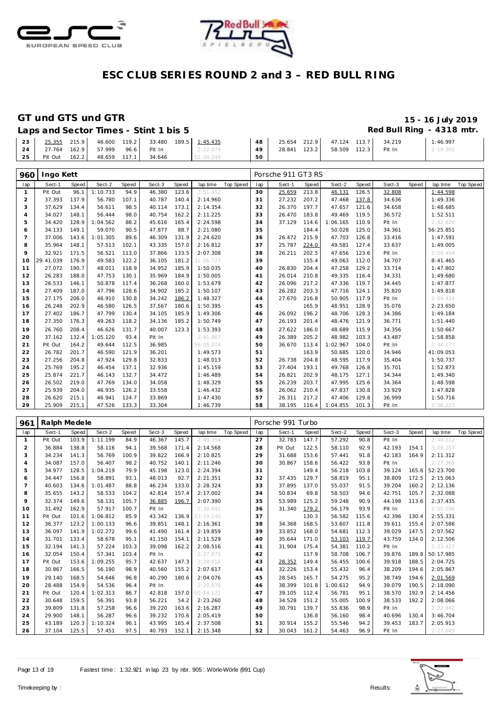



### **GT und GTS und GTR 15 - 16 July 2019**

| Laps and Sector Times - Stint 1 bis 5 | Red Bull Ring - 4318 mtr. |  |
|---------------------------------------|---------------------------|--|

| 23 | 25.355 215.9 46.600 119.2 33.480 189.5 1:45.435 |  |  |           | 48 |  | 25.654 212.9 47.124 113.7 34.219 |        | 1:46.997 |
|----|-------------------------------------------------|--|--|-----------|----|--|----------------------------------|--------|----------|
| 24 | 27.764 162.9 57.999 96.6 Pit In                 |  |  | 2:22.074  | 49 |  | 28.841 123.2 58.509 112.3        | Pit In | 2:19.302 |
| 25 | Pit Out 162.2 48.659 117.1 34.646               |  |  | 52:00.249 | 50 |  |                                  |        |          |

| 960            | Ingo Kett |       |          |       |        |       |           |           |     | Porsche 911 GT3 RS |       |          |       |        |       |           |           |
|----------------|-----------|-------|----------|-------|--------|-------|-----------|-----------|-----|--------------------|-------|----------|-------|--------|-------|-----------|-----------|
| lap            | Sect-1    | Speed | Sect-2   | Speed | Sect-3 | Speed | lap time  | Top Speed | lap | Sect-1             | Speed | Sect-2   | Speed | Sect-3 | Speed | lap time  | Top Speed |
| $\mathbf{1}$   | Pit Out   | 96.1  | 1:10.733 | 94.9  | 46.380 | 123.6 | 2:51.452  |           | 30  | 25.659             | 213.8 | 46.131   | 126.5 | 32.808 |       | 1:44.598  |           |
| 2              | 37.393    | 137.9 | 56.780   | 107.1 | 40.787 | 140.4 | 2:14.960  |           | 31  | 27.232             | 207.2 | 47.468   | 137.8 | 34.636 |       | 1:49.336  |           |
| 3              | 37.629    | 134.4 | 56.611   | 98.5  | 40.114 | 173.1 | 2:14.354  |           | 32  | 26.370             | 197.7 | 47.657   | 121.6 | 34.658 |       | 1:48.685  |           |
| $\overline{4}$ | 34.027    | 148.1 | 56.444   | 98.0  | 40.754 | 162.2 | 2:11.225  |           | 33  | 26.470             | 183.8 | 49.469   | 119.5 | 36.572 |       | 1:52.511  |           |
| 5              | 34.420    | 128.9 | 1:04.562 | 88.2  | 45.616 | 165.4 | 2:24.598  |           | 34  | 37.129             | 114.6 | 1:06.165 | 110.9 | Pit In |       | 2:42.820  |           |
| 6              | 34.133    | 149.1 | 59.070   | 90.5  | 47.877 | 88.7  | 2:21.080  |           | 35  |                    | 184.4 | 50.028   | 125.0 | 34.361 |       | 56:25.851 |           |
| 7              | 37.006    | 143.6 | 1:01.305 | 89.6  | 46.309 | 131.9 | 2:24.620  |           | 36  | 26.472             | 215.9 | 47.703   | 126.8 | 33.416 |       | 1:47.591  |           |
| 8              | 35.964    | 148.1 | 57.513   | 102.1 | 43.335 | 157.0 | 2:16.812  |           | 37  | 25.787             | 224.0 | 49.581   | 127.4 | 33.637 |       | 1:49.005  |           |
| 9              | 32.921    | 171.5 | 56.521   | 113.0 | 37.866 | 133.5 | 2:07.308  |           | 38  | 26.211             | 202.5 | 47.656   | 123.6 | Pit In |       | 2:09.454  |           |
| 10             | 29:41.039 | 176.9 | 49.583   | 122.2 | 36.105 | 181.2 | 31:06.727 |           | 39  |                    | 155.4 | 49.063   | 112.0 | 34.707 |       | 8:41.465  |           |
| 11             | 27.072    | 190.7 | 48.011   | 118.9 | 34.952 | 185.9 | 1:50.035  |           | 40  | 26.830             | 204.4 | 47.258   | 129.2 | 33.714 |       | 1:47.802  |           |
| 12             | 26.283    | 188.0 | 47.753   | 130.1 | 35.969 | 184.9 | 1:50.005  |           | 41  | 26.014             | 210.8 | 49.335   | 116.4 | 34.331 |       | 1:49.680  |           |
| 13             | 26.533    | 146.1 | 50.878   | 117.4 | 36.268 | 160.0 | 1:53.679  |           | 42  | 26.096             | 217.2 | 47.336   | 119.7 | 34.445 |       | 1:47.877  |           |
| 14             | 27.409    | 187.0 | 47.796   | 128.6 | 34.902 | 185.2 | 1:50.107  |           | 43  | 26.282             | 203.3 | 47.716   | 124.1 | 35.820 |       | 1:49.818  |           |
| 15             | 27.175    | 206.0 | 46.910   | 130.8 | 34.242 | 186.2 | 1:48.327  |           | 44  | 27.670             | 216.8 | 50.905   | 117.9 | Pit In |       | 2:04.434  |           |
| 16             | 26.248    | 202.9 | 46.580   | 126.5 | 37.567 | 180.6 | 1:50.395  |           | 45  |                    | 165.9 | 48.951   | 128.9 | 35.076 |       | 2:23.650  |           |
| 17             | 27.402    | 186.7 | 47.799   | 130.4 | 34.105 | 185.9 | 1:49.306  |           | 46  | 26.092             | 196.2 | 48.706   | 128.3 | 34.386 |       | 1:49.184  |           |
| 18             | 27.350    | 176.3 | 49.263   | 118.2 | 34.136 | 185.2 | 1:50.749  |           | 47  | 26.193             | 201.4 | 48.476   | 121.9 | 36.771 |       | 1:51.440  |           |
| 19             | 26.760    | 208.4 | 46.626   | 131.7 | 40.007 | 123.3 | 1:53.393  |           | 48  | 27.622             | 186.0 | 48.689   | 115.9 | 34.356 |       | 1:50.667  |           |
| 20             | 37.162    | 132.4 | 1:05.120 | 93.4  | Pit In |       | 2:41.867  |           | 49  | 26.389             | 205.2 | 48.982   | 103.3 | 43.487 |       | 1:58.858  |           |
| 21             | Pit Out   | 164.2 | 49.644   | 112.5 | 36.985 |       | 56:05.074 |           | 50  | 36.670             | 113.4 | 1:02.967 | 104.0 | Pit In |       | 2:44.177  |           |
| 22             | 26.782    | 201.7 | 46.590   | 121.9 | 36.201 |       | 1:49.573  |           | 51  |                    | 163.9 | 50.685   | 120.0 | 34.946 |       | 41:09.053 |           |
| 23             | 27.256    | 204.8 | 47.924   | 129.8 | 32.833 |       | 1:48.013  |           | 52  | 26.738             | 204.8 | 48.595   | 117.9 | 35.404 |       | 1:50.737  |           |
| 24             | 25.769    | 195.2 | 46.454   | 137.1 | 32.936 |       | 1:45.159  |           | 53  | 27.404             | 193.1 | 49.768   | 126.8 | 35.701 |       | 1:52.873  |           |
| 25             | 25.874    | 221.7 | 46.143   | 132.7 | 34.472 |       | 1:46.489  |           | 54  | 26.821             | 202.9 | 48.175   | 127.1 | 34.344 |       | 1:49.340  |           |
| 26             | 26.502    | 219.0 | 47.769   | 134.0 | 34.058 |       | 1:48.329  |           | 55  | 26.239             | 203.7 | 47.995   | 125.6 | 34.364 |       | 1:48.598  |           |
| 27             | 25.939    | 204.0 | 46.935   | 126.2 | 33.558 |       | 1:46.432  |           | 56  | 26.062             | 210.4 | 47.837   | 130.8 | 33.929 |       | 1:47.828  |           |
| 28             | 26.620    | 215.1 | 46.941   | 124.7 | 33.869 |       | 1:47.430  |           | 57  | 26.311             | 217.2 | 47.406   | 129.8 | 36.999 |       | 1:50.716  |           |
| 29             | 25.909    | 215.1 | 47.526   | 133.3 | 33.304 |       | 1:46.739  |           | 58  | 38.195             | 116.4 | 1:04.855 | 101.3 | Pit In |       | 2:36.227  |           |

| 961            | Ralph Medele |       |          |       |        |       |           |                  |     | Porsche 991 Turbo |       |          |       |        |       |           |           |
|----------------|--------------|-------|----------|-------|--------|-------|-----------|------------------|-----|-------------------|-------|----------|-------|--------|-------|-----------|-----------|
| lap            | Sect-1       | Speed | Sect-2   | Speed | Sect-3 | Speed | lap time  | <b>Top Speed</b> | lap | Sect-1            | Speed | Sect-2   | Speed | Sect-3 | Speed | lap time  | Top Speed |
| $\mathbf{1}$   | Pit Out      | 103.9 | 1:11.199 | 84.9  | 46.367 | 145.7 | 2:49.354  |                  | 27  | 32.783            | 147.7 | 57.292   | 90.8  | Pit In |       | 2:40.222  |           |
| $\overline{2}$ | 36.884       | 138.8 | 58.116   | 94.1  | 39.568 | 171.4 | 2:14.568  |                  | 28  | Pit Out           | 122.5 | 58.110   | 92.9  | 42.193 | 154.1 | 3:08.257  |           |
| 3              | 34.234       | 141.3 | 56.769   | 100.9 | 39.822 | 166.9 | 2:10.825  |                  | 29  | 31.688            | 153.6 | 57.441   | 91.8  | 42.183 | 164.9 | 2:11.312  |           |
| $\overline{4}$ | 34.087       | 157.0 | 56.407   | 98.2  | 40.752 | 140.1 | 2:11.246  |                  | 30  | 30.867            | 158.6 | 56.422   | 93.8  | Pit In |       | 2:27.365  |           |
| 5              | 34.977       | 128.5 | 1:04.219 | 79.9  | 45.198 | 123.0 | 2:24.394  |                  | 31  |                   | 149.4 | 56.218   | 103.8 | 39.124 | 165.6 | 52:23.700 |           |
| 6              | 34.447       | 156.8 | 58.891   | 93.1  | 48.013 | 92.7  | 2:21.351  |                  | 32  | 37.435            | 129.7 | 58.819   | 95.1  | 38.809 | 172.5 | 2:15.063  |           |
| $\overline{7}$ | 40.603       | 134.6 | 1:01.487 | 88.8  | 46.234 | 133.0 | 2:28.324  |                  | 33  | 37.895            | 137.0 | 55.037   | 91.5  | 39.204 | 160.2 | 2:12.136  |           |
| 8              | 35.655       | 143.2 | 58.533   | 104.2 | 42.814 | 157.4 | 2:17.002  |                  | 34  | 50.834            | 69.8  | 58.503   | 94.6  | 42.751 | 105.7 | 2:32.088  |           |
| 9              | 32.374       | 149.6 | 58.131   | 105.7 | 36.885 | 196.7 | 2:07.390  |                  | 35  | 53.989            | 125.2 | 59.248   | 90.9  | 44.198 | 113.6 | 2:37.435  |           |
| 10             | 31.492       | 162.9 | 57.917   | 100.7 | Pit In |       | 2:30.691  |                  | 36  | 31.340            | 179.2 | 56.179   | 93.9  | Pit In |       | 2:50.596  |           |
| 11             | Pit Out      | 101.6 | 1:06.812 | 85.9  | 43.342 | 136.9 | 53:19.140 |                  | 37  |                   | 130.3 | 56.582   | 115.6 | 42.396 | 130.4 | 2:55.331  |           |
| 12             | 36.377       | 123.2 | 1:00.133 | 96.6  | 39.851 | 148.1 | 2:16.361  |                  | 38  | 34.368            | 168.5 | 53.607   | 111.8 | 39.611 | 155.4 | 2:07.586  |           |
| 13             | 36.097       | 141.9 | 1:02.272 | 99.6  | 41.490 | 161.4 | 2:19.859  |                  | 39  | 33.852            | 168.0 | 54.681   | 112.3 | 39.029 | 147.5 | 2:07.562  |           |
| 14             | 31.701       | 133.4 | 58.678   | 95.1  | 41.150 | 154.1 | 2:11.529  |                  | 40  | 35.644            | 171.0 | 53.103   | 119.7 | 43.759 | 134.0 | 2:12.506  |           |
| 15             | 32.194       | 141.3 | 57.224   | 103.3 | 39.098 | 162.2 | 2:08.516  |                  | 41  | 31.904            | 175.4 | 54.381   | 110.2 | Pit In |       | 2:23.427  |           |
| 16             | 32.054       | 150.4 | 57.341   | 103.4 | Pit In |       | 2:27.871  |                  | 42  |                   | 117.9 | 58.708   | 106.7 | 39.876 | 189.8 | 50:17.985 |           |
| 17             | Pit Out      | 153.6 | 1:09.255 | 95.7  | 42.637 | 147.3 | 3:38.916  |                  | 43  | 28.352            | 149.4 | 56.455   | 100.6 | 39.918 | 188.5 | 2:04.725  |           |
| 18             | 30.867       | 166.5 | 56.190   | 98.9  | 40.560 | 155.2 | 2:07.617  |                  | 44  | 32.226            | 153.4 | 55.432   | 96.4  | 38.209 | 194.6 | 2:05.867  |           |
| 19             | 29.140       | 168.5 | 54.646   | 96.8  | 40.290 | 180.6 | 2:04.076  |                  | 45  | 28.545            | 165.7 | 54.275   | 95.2  | 38.749 | 194.6 | 2:01.569  |           |
| 20             | 28.488       | 154.9 | 54.536   | 96.4  | Pit In |       | 2:20.876  |                  | 46  | 38.399            | 101.8 | 1:00.612 | 94.9  | 39.079 | 190.5 | 2:18.090  |           |
| 21             | Pit Out      | 120.4 | 1:02.313 | 86.7  | 42.818 | 157.0 | 00:14.121 |                  | 47  | 39.105            | 112.4 | 56.781   | 95.1  | 38.570 | 192.9 | 2:14.456  |           |
| 22             | 30.648       | 159.5 | 56.391   | 93.8  | 56.221 | 54.2  | 2:23.260  |                  | 48  | 34.528            | 151.2 | 55.005   | 100.9 | 38.533 | 192.2 | 2:08.066  |           |
| 23             | 39.809       | 131.8 | 57.258   | 96.6  | 39.220 | 163.6 | 2:16.287  |                  | 49  | 30.791            | 139.7 | 55.836   | 98.9  | Pit In |       | 2:22.942  |           |
| 24             | 29.900       | 148.1 | 56.287   | 96.6  | 39.232 | 170.6 | 2:05.419  |                  | 50  |                   | 136.8 | 56.160   | 98.4  | 40.696 | 130.4 | 3:46.704  |           |
| 25             | 43.189       | 120.3 | 1:10.324 | 96.1  | 43.995 | 165.4 | 2:37.508  |                  | 51  | 30.914            | 155.2 | 55.546   | 94.2  | 39.453 | 183.7 | 2:05.913  |           |
| 26             | 37.104       | 125.5 | 57.451   | 97.5  | 40.793 | 152.1 | 2:15.348  |                  | 52  | 30.043            | 161.2 | 54.463   | 96.9  | Pit In |       | 2:27.649  |           |

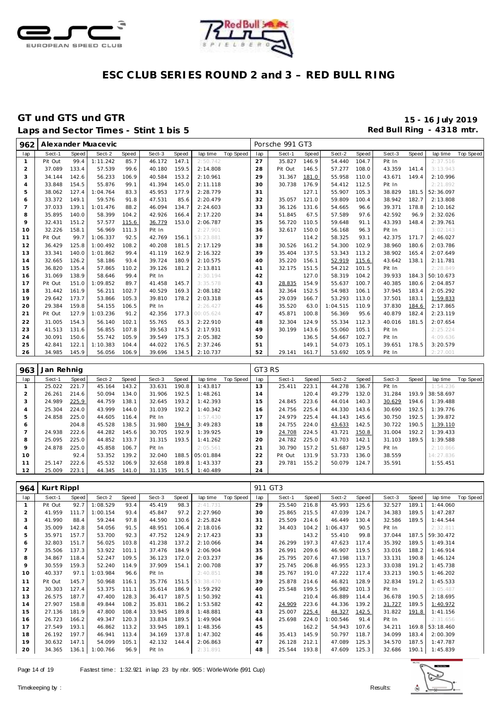



### **GT und GTS und GTR 15 - 16 July 2019** Laps and Sector Times - Stint 1 bis 5

| 962            |            |              | Alexander Muacevic |       |        |       |           |                  |        | Porsche 991 GT3 |       |          |       |        |       |           |                  |
|----------------|------------|--------------|--------------------|-------|--------|-------|-----------|------------------|--------|-----------------|-------|----------|-------|--------|-------|-----------|------------------|
| lap            | Sect-1     | <b>Speed</b> | Sect-2             | Speed | Sect-3 | Speed | lap time  | Top Speed        | lap    | Sect-1          | Speed | Sect-2   | Speed | Sect-3 | Speed | lap time  | <b>Top Speed</b> |
| $\mathbf{1}$   | Pit Out    | 99.4         | 1:11.242           | 85.7  | 46.172 | 147.1 | 2:50.742  |                  | 27     | 35.827          | 146.9 | 54.440   | 104.7 | Pit In |       | 2:37.516  |                  |
| $\sqrt{2}$     | 37.089     | 133.4        | 57.539             | 99.6  | 40.180 | 159.5 | 2:14.808  |                  | 28     | Pit Out         | 146.5 | 57.277   | 108.0 | 43.359 | 141.4 | 3:13.943  |                  |
| 3              | 34.144     | 142.6        | 56.233             | 106.9 | 40.584 | 153.2 | 2:10.961  |                  | 29     | 31.367          | 181.0 | 55.958   | 110.0 | 43.671 | 149.4 | 2:10.996  |                  |
| $\overline{4}$ | 33.848     | 154.5        | 55.876             | 99.1  | 41.394 | 145.0 | 2:11.118  |                  | 30     | 30.738          | 176.9 | 54.412   | 112.5 | Pit In |       | 2:21.892  |                  |
| 5              | 38.062     | 127.4        | 1:04.764           | 83.3  | 45.953 | 177.9 | 2:28.779  |                  | 31     |                 | 127.1 | 55.907   | 105.3 | 38.829 | 181.5 | 52:36.097 |                  |
| 6              | 33.372     | 149.1        | 59.576             | 91.8  | 47.531 | 85.6  | 2:20.479  |                  | 32     | 35.057          | 121.0 | 59.809   | 100.4 | 38.942 | 182.7 | 2:13.808  |                  |
| $\overline{7}$ | 37.033     | 139.1        | 1:01.476           | 88.2  | 46.094 | 134.7 | 2:24.603  |                  | 33     | 36.126          | 131.6 | 54.665   | 96.6  | 39.371 | 178.8 | 2:10.162  |                  |
| 8              | 35.895     | 140.0        | 58.399             | 104.2 | 42.926 | 166.4 | 2:17.220  |                  | 34     | 51.845          | 67.5  | 57.589   | 97.6  | 42.592 | 96.9  | 2:32.026  |                  |
| 9              | 32.431     | 151.2        | 57.577             | 115.6 | 36.779 | 153.0 | 2:06.787  |                  | 35     | 56.720          | 110.5 | 59.648   | 91.1  | 43.393 | 148.4 | 2:39.761  |                  |
| 10             | 32.226     | 158.1        | 56.969             | 111.3 | Pit In |       | 2:27.901  |                  | 36     | 32.617          | 150.0 | 56.168   | 96.3  | Pit In |       | 3:02.143  |                  |
| 11             | Pit Out    | 99.7         | 1:06.337           | 92.5  | 42.769 | 156.1 | 53:23.881 |                  | 37     |                 | 114.2 | 58.325   | 93.1  | 42.375 | 171.7 | 2:46.027  |                  |
| 12             | 36.429     | 125.8        | 1:00.492           | 108.2 | 40.208 | 181.5 | 2:17.129  |                  | 38     | 30.526          | 161.2 | 54.300   | 102.9 | 38.960 | 180.6 | 2:03.786  |                  |
| 13             | 33.341     | 140.0        | 1:01.862           | 99.4  | 41.119 | 162.9 | 2:16.322  |                  | 39     | 35.404          | 137.5 | 53.343   | 113.2 | 38.902 | 165.4 | 2:07.649  |                  |
| 14             | 32.665     | 126.2        | 58.186             | 93.4  | 39.724 | 180.9 | 2:10.575  |                  | 40     | 35.220          | 156.1 | 52.919   | 115.6 | 43.642 | 138.1 | 2:11.781  |                  |
| 15             | 36.820     | 135.4        | 57.865             | 110.2 | 39.126 | 181.2 | 2:13.811  |                  | 41     | 32.175          | 151.5 | 54.212   | 101.5 | Pit In |       | 2:28.849  |                  |
| 16             | 31.069     | 138.9        | 58.646             | 99.4  | Pit In |       | 2:30.194  |                  | 42     |                 | 127.0 | 58.319   | 104.2 | 39.933 | 184.3 | 50:10.673 |                  |
| 17             | Pit Out    | 151.0        | 1:09.852           | 89.7  | 41.458 | 145.7 | 3:35.578  |                  | 43     | 28.835          | 154.9 | 55.637   | 100.7 | 40.385 | 180.6 | 2:04.857  |                  |
| 18             | 31.442     | 161.9        | 56.211             | 102.7 | 40.529 | 169.3 | 2:08.182  |                  | 44     | 32.364          | 152.5 | 54.983   | 106.1 | 37.945 | 183.4 | 2:05.292  |                  |
| 19             | 29.642     | 173.7        | 53.866             | 105.3 | 39.810 | 178.2 | 2:03.318  |                  | 45     | 29.039          | 166.7 | 53.293   | 113.0 | 37.501 | 183.1 | 1:59.833  |                  |
| 20             | 29.384     | 159.8        | 54.155             | 106.5 | Pit In |       | 2:26.427  |                  | 46     | 35.520          | 63.0  | 1:04.515 | 110.9 | 37.830 | 184.6 | 2:17.865  |                  |
| 21             | Pit Out    | 127.9        | 1:03.236           | 91.2  | 42.356 | 177.3 | 00:05.624 |                  | 47     | 45.871          | 100.8 | 56.369   | 95.6  | 40.879 | 182.4 | 2:23.119  |                  |
| 22             | 31.005     | 154.3        | 56.140             | 102.1 | 55.765 | 65.3  | 2:22.910  |                  | 48     | 32.304          | 124.9 | 55.334   | 112.3 | 40.016 | 181.5 | 2:07.654  |                  |
| 23             | 41.513     | 131.6        | 56.855             | 107.8 | 39.563 | 174.5 | 2:17.931  |                  | 49     | 30.199          | 143.6 | 55.060   | 105.1 | Pit In |       | 2:25.224  |                  |
| 24             | 30.091     | 150.6        | 55.742             | 105.9 | 39.549 | 175.3 | 2:05.382  |                  | 50     |                 | 136.5 | 54.667   | 102.7 | Pit In |       | 4:09.636  |                  |
| 25             | 42.841     | 122.1        | 1:10.383           | 104.4 | 44.022 | 176.5 | 2:37.246  |                  | 51     |                 | 149.1 | 54.073   | 105.1 | 39.651 | 178.5 | 3:20.579  |                  |
| 26             | 34.985     | 145.9        | 56.056             | 106.9 | 39.696 | 134.5 | 2:10.737  |                  | 52     | 29.141          | 161.7 | 53.692   | 105.9 | Pit In |       | 2:27.001  |                  |
|                |            |              |                    |       |        |       |           |                  |        |                 |       |          |       |        |       |           |                  |
| 963            | Jan Rehnig |              |                    |       |        |       |           |                  | GT3 RS |                 |       |          |       |        |       |           |                  |
| lap            | Sect-1     | <b>Speed</b> | Sect-2             | Speed | Sect-3 | Speed | lap time  | <b>Top Speed</b> | lap    | Sect-1          | Speed | Sect-2   | Speed | Sect-3 | Speed | lap time  | Top Speed        |
| $\mathbf{1}$   | 25.022     | 221.7        | 45.164             | 143.2 | 33.631 | 190.8 | 1:43.817  |                  | 13     | 25.411          | 223.1 | 44.278   | 136.7 | Pit In |       | 1:54.236  |                  |
| $\overline{2}$ | 26.261     | 214.6        | 50.094             | 134.0 | 31.906 | 192.5 | 1:48.261  |                  | 14     |                 | 120.4 | 49.279   | 132.0 | 31.284 | 193.9 | 38:58.697 |                  |
| 3              | 24.989     | 225.9        | 44.759             | 138.1 | 32.645 | 193.2 | 1:42.393  |                  | 15     | 24.845          | 223.6 | 44.014   | 140.3 | 30.629 | 194.6 | 1:39.488  |                  |
| $\overline{4}$ | 25.304     | 224.0        | 43.999             | 144.0 | 31.039 | 192.2 | 1:40.342  |                  | 16     | 24.756          | 225.4 | 44.330   | 143.6 | 30.690 | 192.5 | 1:39.776  |                  |
| 5              | 24.858     | 225.0        | 44.605             | 116.4 | Pit In |       | 1:57.430  |                  | 17     | 24.979          | 225.4 | 44.143   | 145.6 | 30.750 | 192.5 | 1:39.872  |                  |
| 6              |            | 204.8        | 45.528             | 138.5 | 31.980 | 194.9 | 3:49.283  |                  | 18     | 24.755          | 224.0 | 43.633   | 142.5 | 30.722 | 190.5 | 1:39.110  |                  |
| $\overline{7}$ | 24.938     | 222.6        | 44.282             | 145.6 | 30.705 | 192.9 | 1:39.925  |                  | 19     | 24.708          | 224.5 | 43.721   | 150.8 | 31.004 | 192.2 | 1:39.433  |                  |
| 8              | 25.095     | 225.0        | 44.852             | 133.7 | 31.315 | 193.5 | 1:41.262  |                  | 20     | 24.782          | 225.0 | 43.703   | 142.1 | 31.103 | 189.5 | 1:39.588  |                  |
| 9              | 24.878     | 225.0        | 45.858             | 106.7 | Pit In |       | 2:05.561  |                  | 21     | 30.790          | 157.2 | 51.687   | 129.5 | Pit In |       | 2:10.866  |                  |
| 10             |            | 92.4         | 53.352             | 139.2 | 32.040 | 188.5 | 05:01.884 |                  | 22     | Pit Out         | 131.9 | 53.733   | 136.0 | 38.559 |       | 14:27.836 |                  |
| 11             | 25.147     | 222.6        | 45.532             | 106.9 | 32.658 | 189.8 | 1:43.337  |                  | 23     | 29.781          | 155.2 | 50.079   | 124.7 | 35.591 |       | 1:55.451  |                  |
| 12             | 25.009     | 223.1        | 44.345             | 141.0 | 31.135 | 191.5 | 1:40.489  |                  | 24     |                 |       |          |       |        |       |           |                  |
|                |            |              |                    |       |        |       |           |                  |        |                 |       |          |       |        |       |           |                  |
| 964            | Kurt Rippl |              |                    |       |        |       |           |                  |        | 911 GT3         |       |          |       |        |       |           |                  |

| lap | Sect-1  | Speed | Sect-2         | Speed | Sect-3 | Speed | lap time  | Top Speed | lap | Sect-1 | Speed | Sect-2   | Speed | Sect-3 | Speed | lap time  | Top Speed |
|-----|---------|-------|----------------|-------|--------|-------|-----------|-----------|-----|--------|-------|----------|-------|--------|-------|-----------|-----------|
|     | Pit Out | 92.7  | 1:08.529       | 93.4  | 45.419 | 98.3  | 2:41.731  |           | 29  | 25.540 | 216.8 | 45.993   | 125.6 | 32.527 | 189.1 | 1:44.060  |           |
|     | 41.959  | 111.7 | 1:00.154       | 93.4  | 45.847 | 97.2  | 2:27.960  |           | 30  | 25.865 | 215.5 | 47.039   | 124.7 | 34.383 | 189.5 | 1:47.287  |           |
| 3   | 41.990  | 88.4  | 59.244         | 97.8  | 44.590 | 130.6 | 2:25.824  |           | 31  | 25.509 | 214.6 | 46.449   | 130.4 | 32.586 | 189.5 | 1:44.544  |           |
| 4   | 35.009  | 142.8 | 54.056         | 91.5  | 48.951 | 106.4 | 2:18.016  |           | 32  | 34.403 | 104.2 | 1:06.437 | 90.5  | Pit In |       | 2:32.811  |           |
| 5   | 35.971  | 157.7 | 53.700         | 92.3  | 47.752 | 124.9 | 2:17.423  |           | 33  |        | 143.2 | 55.410   | 99.8  | 37.044 | 187.5 | 59:30.472 |           |
| 6   | 32.803  | 151.7 | 56.025         | 103.8 | 41.238 | 137.2 | 2:10.066  |           | 34  | 26.299 | 197.3 | 47.623   | 117.4 | 35.392 | 189.5 | 1:49.314  |           |
|     | 35.506  | 137.3 | 53.922         | 101.1 | 37.476 | 184.9 | 2:06.904  |           | 35  | 26.991 | 209.6 | 46.907   | 119.5 | 33.016 | 188.2 | 1:46.914  |           |
| 8   | 34.867  | 118.4 | 52.247         | 109.5 | 36.123 | 172.0 | 2:03.237  |           | 36  | 25.795 | 207.6 | 47.198   | 113.7 | 33.131 | 190.8 | 1:46.124  |           |
| 9   | 30.559  | 159.3 | 52.240         | 114.9 | 37.909 | 154.1 | 2:00.708  |           | 37  | 25.745 | 206.8 | 46.955   | 123.3 | 33.038 | 191.2 | 1:45.738  |           |
| 10  | 40.337  | 97.1  | 1:03.984       | 96.6  | Pit In |       | 2:40.851  |           | 38  | 25.767 | 191.0 | 47.222   | 117.4 | 33.213 | 190.5 | 1:46.202  |           |
| 11  | Pit Out | 145.7 | 50.968         | 116.1 | 35.776 | 151.5 | 53:38.470 |           | 39  | 25.878 | 214.6 | 46.821   | 128.9 | 32.834 | 191.2 | 1:45.533  |           |
| 12  | 30.303  | 127.4 | 53.375         | 111.1 | 35.614 | 186.9 | 1:59.292  |           | 40  | 25.548 | 199.5 | 56.982   | 101.3 | Pit In |       | 3:05.487  |           |
| 13  | 26.575  | 187.7 | 47.400         | 128.3 | 36.417 | 187.5 | 1:50.392  |           | 41  |        | 210.4 | 46.889   | 114.4 | 36.678 | 190.5 | 2:18.695  |           |
| 14  | 27.907  | 158.8 | 49.844         | 108.2 | 35.831 | 186.2 | 1:53.582  |           | 42  | 24.909 | 223.6 | 44.336   | 139.2 | 31.727 | 189.5 | 1:40.972  |           |
| 15  | 27.136  | 181.9 | 47.800         | 108.4 | 33.945 | 189.8 | 1:48.881  |           | 43  | 25.007 | 225.4 | 44.327   | 142.5 | 31.822 | 191.8 | 1:41.156  |           |
| 16  | 26.723  | 166.2 | 49.347         | 120.3 | 33.834 | 189.5 | 1:49.904  |           | 44  | 25.698 | 224.0 | 1:00.546 | 91.4  | Pit In |       | 2:31.656  |           |
| 17  | 27.549  | 193.1 | 46.862         | 113.2 | 33.945 | 189.1 | 1:48.356  |           | 45  |        | 162.2 | 54.943   | 107.6 | 34.211 | 169.8 | 53:18.460 |           |
| 18  | 26.192  | 197.7 | 46.941         | 113.4 | 34.169 | 137.8 | 1:47.302  |           | 46  | 35.413 | 145.9 | 50.797   | 118.7 | 34.099 | 183.4 | 2:00.309  |           |
| 19  | 30.632  | 147.1 | 54.099         | 105.1 | 42.132 | 144.4 | 2:06.863  |           | 47  | 26.128 | 212.1 | 47.089   | 125.3 | 34.570 | 187.5 | 1:47.787  |           |
| 20  | 34.365  |       | 136.1 1:00.766 | 96.9  | Pit In |       | 2:31.891  |           | 48  | 25.544 | 193.8 | 47.609   | 125.3 | 32.686 | 190.1 | 1:45.839  |           |

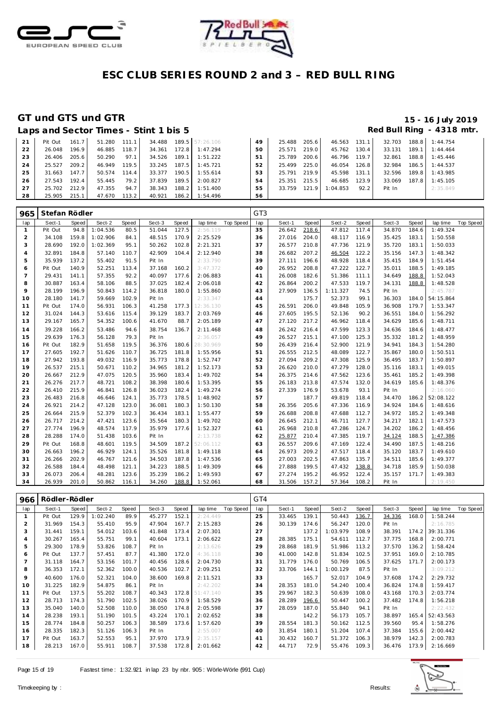



### GT und GTS und GTR

### 15 - 16 July 2019 Red Bull Ring - 4318 mtr.

|    |         |        |        |       | Laps and Sector Times - Stint 1 bis 5 |       |                 |    |        |       |              |       |        |       | Red Bull Ring - 4318 mtr |  |
|----|---------|--------|--------|-------|---------------------------------------|-------|-----------------|----|--------|-------|--------------|-------|--------|-------|--------------------------|--|
| 21 | Pit Out | 161.7  | 51.280 | 111.1 | 34.488                                |       | 189.5 57:26.106 | 49 | 25.488 | 205.6 | 46.563 131.1 |       | 32.703 |       | 188.8 1:44.754           |  |
| 22 | 26.048  | 196.9  | 46.885 | 118.7 | 34.361                                | 172.8 | 1:47.294        | 50 | 25.571 | 219.0 | 45.762       | 130.4 | 33.131 | 189.1 | 1:44.464                 |  |
| 23 | 26.406  | 205.6  | 50.290 | 97.1  | 34.526                                | 189.1 | 1:51.222        | 51 | 25.789 | 200.6 | 46.796       | 119.7 | 32.861 | 188.8 | 1:45.446                 |  |
| 24 | 25.527  | 209.2  | 46.949 | 119.5 | 33.245                                | 187.5 | 1:45.721        | 52 | 25.499 | 225.0 | 46.054       | 126.8 | 32.984 | 186.5 | 1:44.537                 |  |
| 25 | 31.663  | 147.71 | 50.574 | 114.4 | 33.377                                | 190.5 | 1:55.614        | 53 | 25.791 | 219.9 | 45.598       | 131.1 | 32.596 | 189.8 | 1:43.985                 |  |
| 26 | 27.543  | 192.4  | 55.445 | 79.2  | 37.839                                | 189.5 | 2:00.827        | 54 | 25.351 | 215.5 | 46.685       | 123.9 | 33.069 | 187.8 | 1:45.105                 |  |
| 27 | 25.702  | 212.9  | 47.355 | 94.7  | 38.343                                | 188.2 | 1:51.400        | 55 | 33.759 | 121.9 | 1:04.853     | 92.2  | Pit In |       | 2:35.849                 |  |
| 28 | 25,905  | 2151   | 47.670 | 1132  | 40.921                                |       | $1862$ 1:54.496 | 56 |        |       |              |       |        |       |                          |  |

| 965            | Stefan Rödler |       |          |       |        |       |           |           | GT <sub>3</sub> |        |       |          |       |        |       |           |                  |
|----------------|---------------|-------|----------|-------|--------|-------|-----------|-----------|-----------------|--------|-------|----------|-------|--------|-------|-----------|------------------|
| lap            | Sect-1        | Speed | Sect-2   | Speed | Sect-3 | Speed | lap time  | Top Speed | lap             | Sect-1 | Speed | Sect-2   | Speed | Sect-3 | Speed | lap time  | <b>Top Speed</b> |
| $\mathbf{1}$   | Pit Out       | 94.8  | 1:04.536 | 80.5  | 51.044 | 127.5 | 2:56.119  |           | 35              | 26.642 | 218.6 | 47.812   | 117.4 | 34.870 | 184.6 | 1:49.324  |                  |
| $\overline{2}$ | 34.108        | 159.8 | 1:02.906 | 84.1  | 48.515 | 170.9 | 2:25.529  |           | 36              | 27.016 | 204.0 | 48.117   | 116.9 | 35.425 | 183.1 | 1:50.558  |                  |
| 3              | 28.690        | 192.0 | 1:02.369 | 95.1  | 50.262 | 102.8 | 2:21.321  |           | 37              | 26.577 | 210.8 | 47.736   | 121.9 | 35.720 | 183.1 | 1:50.033  |                  |
| $\overline{4}$ | 32.891        | 184.8 | 57.140   | 110.7 | 42.909 | 104.4 | 2:12.940  |           | 38              | 26.682 | 207.2 | 46.504   | 122.2 | 35.156 | 147.3 | 1:48.342  |                  |
| 5              | 35.939        | 137.2 | 55.402   | 91.5  | Pit In |       | 2:33.790  |           | 39              | 27.111 | 196.6 | 48.928   | 118.4 | 35.415 | 184.9 | 1:51.454  |                  |
| 6              | Pit Out       | 140.9 | 52.251   | 113.4 | 37.168 | 160.2 | 3:47.372  |           | 40              | 26.952 | 208.8 | 47.222   | 122.7 | 35.011 | 188.5 | 1:49.185  |                  |
| $\overline{7}$ | 29.431        | 141.1 | 57.355   | 92.2  | 40.097 | 177.6 | 2:06.883  |           | 41              | 26.008 | 182.6 | 51.386   | 111.1 | 34.649 | 188.8 | 1:52.043  |                  |
| 8              | 30.887        | 163.4 | 58.106   | 88.5  | 37.025 | 182.4 | 2:06.018  |           | 42              | 26.864 | 200.2 | 47.533   | 119.7 | 34.131 | 188.8 | 1:48.528  |                  |
| 9              | 28.199        | 196.9 | 50.843   | 114.2 | 36.818 | 180.0 | 1:55.860  |           | 43              | 27.909 | 136.5 | 1:11.327 | 74.5  | Pit In |       | 2:45.787  |                  |
| 10             | 28.180        | 141.7 | 59.669   | 102.9 | Pit In |       | 2:33.347  |           | 44              |        | 175.7 | 52.373   | 99.1  | 36.303 | 184.0 | 54:15.864 |                  |
| 11             | Pit Out       | 174.0 | 56.931   | 106.3 | 41.258 | 177.3 | 12:36.130 |           | 45              | 26.591 | 206.0 | 49.848   | 105.9 | 36.908 | 179.7 | 1:53.347  |                  |
| 12             | 31.024        | 144.3 | 53.616   | 115.4 | 39.129 | 183.7 | 2:03.769  |           | 46              | 27.605 | 195.5 | 52.136   | 90.2  | 36.551 | 184.0 | 1:56.292  |                  |
| 13             | 29.167        | 165.7 | 54.352   | 100.6 | 41.670 | 88.7  | 2:05.189  |           | 47              | 27.120 | 217.2 | 46.962   | 118.4 | 34.629 | 185.6 | 1:48.711  |                  |
| 14             | 39.228        | 166.2 | 53.486   | 94.6  | 38.754 | 136.7 | 2:11.468  |           | 48              | 26.242 | 216.4 | 47.599   | 123.3 | 34.636 | 184.6 | 1:48.477  |                  |
| 15             | 29.639        | 176.3 | 56.128   | 79.3  | Pit In |       | 2:36.057  |           | 49              | 26.527 | 215.1 | 47.100   | 125.3 | 35.332 | 181.2 | 1:48.959  |                  |
| 16             | Pit Out       | 182.9 | 51.658   | 119.5 | 36.376 | 180.6 | 28:30.969 |           | 50              | 26.439 | 216.4 | 52.900   | 121.9 | 34.941 | 184.3 | 1:54.280  |                  |
| 17             | 27.605        | 192.7 | 51.626   | 110.7 | 36.725 | 181.8 | 1:55.956  |           | 51              | 26.555 | 212.5 | 48.089   | 122.7 | 35.867 | 180.0 | 1:50.511  |                  |
| 18             | 27.942        | 193.8 | 49.032   | 116.9 | 35.773 | 178.8 | 1:52.747  |           | 52              | 27.094 | 209.2 | 47.308   | 125.9 | 36.495 | 183.7 | 1:50.897  |                  |
| 19             | 26.537        | 215.1 | 50.671   | 110.2 | 34.965 | 181.2 | 1:52.173  |           | 53              | 26.620 | 210.0 | 47.279   | 128.0 | 35.116 | 183.1 | 1:49.015  |                  |
| 20             | 26.667        | 212.9 | 47.075   | 120.5 | 35.960 | 183.4 | 1:49.702  |           | 54              | 26.375 | 214.6 | 47.562   | 123.6 | 35.461 | 185.2 | 1:49.398  |                  |
| 21             | 26.276        | 217.7 | 48.721   | 108.2 | 38.398 | 180.6 | 1:53.395  |           | 55              | 26.183 | 213.8 | 47.574   | 132.0 | 34.619 | 185.6 | 1:48.376  |                  |
| 22             | 26.410        | 215.9 | 46.841   | 126.8 | 36.023 | 182.4 | 1:49.274  |           | 56              | 27.339 | 176.9 | 53.678   | 93.1  | Pit In |       | 2:16.060  |                  |
| 23             | 26.483        | 216.8 | 46.646   | 124.1 | 35.773 | 178.5 | 1:48.902  |           | 57              |        | 187.7 | 49.819   | 118.4 | 34.470 | 186.2 | 52:08.122 |                  |
| 24             | 26.921        | 214.2 | 47.128   | 123.0 | 36.081 | 180.3 | 1:50.130  |           | 58              | 26.356 | 205.6 | 47.336   | 116.9 | 34.924 | 184.6 | 1:48.616  |                  |
| 25             | 26.664        | 215.9 | 52.379   | 102.3 | 36.434 | 183.1 | 1:55.477  |           | 59              | 26.688 | 208.8 | 47.688   | 112.7 | 34.972 | 185.2 | 1:49.348  |                  |
| 26             | 26.717        | 214.2 | 47.421   | 123.6 | 35.564 | 180.3 | 1:49.702  |           | 60              | 26.645 | 212.1 | 46.711   | 127.7 | 34.217 | 182.1 | 1:47.573  |                  |
| 27             | 27.774        | 196.9 | 48.574   | 117.9 | 35.979 | 177.6 | 1:52.327  |           | 61              | 26.968 | 210.8 | 47.286   | 124.7 | 34.202 | 186.2 | 1:48.456  |                  |
| 28             | 28.288        | 174.0 | 51.438   | 103.6 | Pit In |       | 2:13.738  |           | 62              | 25.877 | 210.4 | 47.385   | 119.7 | 34.124 | 188.5 | 1:47.386  |                  |
| 29             | Pit Out       | 168.8 | 48.601   | 119.5 | 34.509 | 187.2 | 52:06.112 |           | 63              | 26.557 | 209.6 | 47.169   | 122.4 | 34.490 | 187.5 | 1:48.216  |                  |
| 30             | 26.663        | 196.2 | 46.929   | 124.1 | 35.526 | 181.8 | 1:49.118  |           | 64              | 26.973 | 209.2 | 47.517   | 118.4 | 35.120 | 183.7 | 1:49.610  |                  |
| 31             | 26.266        | 202.9 | 46.767   | 121.6 | 34.503 | 187.8 | 1:47.536  |           | 65              | 27.003 | 202.5 | 47.863   | 135.7 | 34.511 | 185.6 | 1:49.377  |                  |
| 32             | 26.588        | 184.4 | 48.498   | 121.1 | 34.223 | 188.5 | 1:49.309  |           | 66              | 27.888 | 199.5 | 47.432   | 138.8 | 34.718 | 185.9 | 1:50.038  |                  |
| 33             | 26.073        | 206.4 | 48.281   | 123.6 | 35.239 | 186.2 | 1:49.593  |           | 67              | 27.274 | 195.2 | 46.952   | 122.4 | 35.157 | 171.7 | 1:49.383  |                  |
| 34             | 26.939        | 201.0 | 50.862   | 116.1 | 34.260 | 188.8 | 1:52.061  |           | 68              | 31.506 | 157.2 | 57.364   | 108.2 | Pit In |       | 2:19.450  |                  |

| 966            | Rödler-Rödler |       |          |       |        |       |           |           | GT4 |        |       |          |       |        |       |           |           |
|----------------|---------------|-------|----------|-------|--------|-------|-----------|-----------|-----|--------|-------|----------|-------|--------|-------|-----------|-----------|
| lap            | Sect-1        | Speed | Sect-2   | Speed | Sect-3 | Speed | lap time  | Top Speed | lap | Sect-1 | Speed | Sect-2   | Speed | Sect-3 | Speed | lap time  | Top Speed |
| -1             | Pit Out       | 129.9 | 1:02.240 | 89.9  | 45.277 | 152.1 | 2:24.449  |           | 25  | 33.465 | 139.1 | 50.443   | 136.7 | 34.336 | 168.0 | 1:58.244  |           |
| $\overline{2}$ | 31.969        | 154.3 | 55.410   | 95.9  | 47.904 | 167.7 | 2:15.283  |           | 26  | 30.139 | 174.6 | 56.247   | 120.0 | Pit In |       | 2:16.785  |           |
| 3              | 31.441        | 159.1 | 54.012   | 103.6 | 41.848 | 173.4 | 2:07.301  |           | 27  |        | 137.2 | 1:03.979 | 108.9 | 38.391 | 174.2 | 39:31.336 |           |
| $\overline{4}$ | 30.267        | 165.4 | 55.751   | 99.1  | 40.604 | 173.1 | 2:06.622  |           | 28  | 28.385 | 175.1 | 54.611   | 112.7 | 37.775 | 168.8 | 2:00.771  |           |
| 5              | 29.300        | 178.9 | 53.826   | 108.7 | Pit In |       | 2:13.626  |           | 29  | 28.868 | 181.9 | 51.986   | 113.2 | 37.570 | 136.2 | 1:58.424  |           |
| 6              | Pit Out       | 137.7 | 57.451   | 87.7  | 41.380 | 172.0 | 4:36.118  |           | 30  | 41.000 | 142.8 | 51.834   | 102.5 | 37.951 | 169.0 | 2:10.785  |           |
|                | 31.118        | 164.7 | 53.156   | 101.7 | 40.456 | 128.6 | 2:04.730  |           | 31  | 31.779 | 176.0 | 50.769   | 106.5 | 37.625 | 171.7 | 2:00.173  |           |
| 8              | 36.353        | 172.1 | 52.362   | 100.0 | 40.536 | 102.7 | 2:09.251  |           | 32  | 33.706 | 144.1 | 1:00.129 | 87.5  | Pit In |       | 3:09.212  |           |
| 9              | 40.600        | 176.0 | 52.321   | 104.0 | 38.600 | 169.8 | 2:11.521  |           | 33  |        | 165.7 | 52.017   | 104.9 | 37.608 | 174.2 | 2:29.732  |           |
| 10             | 31.225        | 182.9 | 54.875   | 86.1  | Pit In |       | 2:42.202  |           | 34  | 28.353 | 181.0 | 54.240   | 100.4 | 36.824 | 174.8 | 1:59.417  |           |
| 11             | Pit Out       | 137.5 | 55.202   | 108.7 | 40.343 | 172.8 | 51:47.140 |           | 35  | 29.967 | 182.3 | 50.639   | 108.0 | 43.168 | 170.3 | 2:03.774  |           |
| 12             | 28.713        | 174.3 | 51.790   | 102.5 | 38.026 | 170.9 | 1:58.529  |           | 36  | 28.289 | 196.6 | 50.447   | 100.2 | 37.482 | 174.8 | 1:56.218  |           |
| 13             | 35.040        | 140.0 | 52.508   | 110.0 | 38.050 | 174.8 | 2:05.598  |           | 37  | 28.059 | 187.0 | 55.840   | 94.1  | Pit In |       | 2:22.432  |           |
| 14             | 28.238        | 193.1 | 51.190   | 101.5 | 43.224 | 170.1 | 2:02.652  |           | 38  |        | 142.2 | 56.173   | 105.7 | 38.897 | 165.4 | 52:43.563 |           |
| 15             | 28.774        | 184.8 | 50.257   | 106.3 | 38.589 | 173.6 | 1:57.620  |           | 39  | 28.554 | 181.3 | 50.162   | 112.5 | 39.560 | 95.4  | 1:58.276  |           |
| 16             | 28.335        | 182.3 | 51.126   | 106.3 | Pit In |       | 2:55.007  |           | 40  | 31.854 | 180.1 | 51.204   | 107.4 | 37.384 | 155.6 | 2:00.442  |           |
| 17             | Pit Out       | 163.7 | 52.553   | 95.1  | 37.970 | 173.9 | 2:35.157  |           | 41  | 30.432 | 160.7 | 51.372   | 106.3 | 38.979 | 142.3 | 2:00.783  |           |
| 18             | 28.213        | 167.0 | 55.911   | 108.7 | 37.538 | 172.8 | 2:01.662  |           | 42  | 44.717 | 72.9  | 55.476   | 109.3 | 36.476 | 173.9 | 2:16.669  |           |

Page 15 of 19

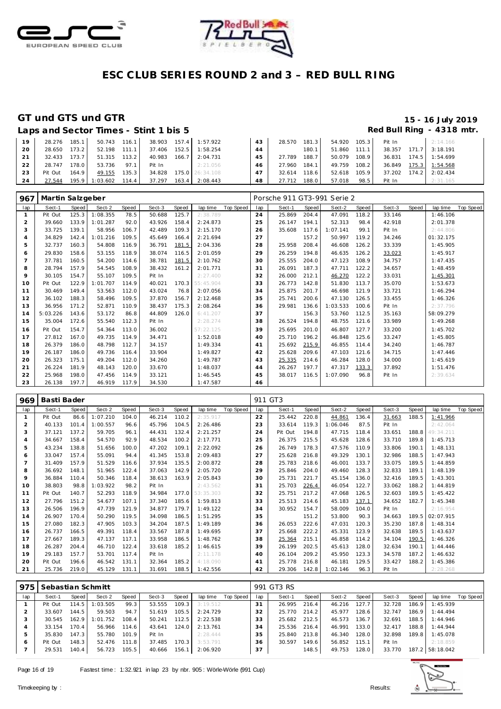



### GT und GTS und GTR

### 15 - 16 July 2019 Red Bull Ring - 4318 mtr.

|    |         |       | Laps and Sector Times - Stint 1 bis 5 |       |              |                       |    |              |       |              |       |        |       | Red Bull Ring - 4318 mtr. |
|----|---------|-------|---------------------------------------|-------|--------------|-----------------------|----|--------------|-------|--------------|-------|--------|-------|---------------------------|
| 19 | 28.276  | 185.1 | 50.743 116.1                          |       |              | 38.903 157.4 1:57.922 | 43 | 28.570 181.3 |       | 54.920 105.3 |       | Pit In |       | 2:14.166                  |
| 20 | 28.650  | 173.2 | 52.198                                | 111.1 | 37.406 152.5 | 1:58.254              | 44 |              | 180.1 | 51.860 111.1 |       | 38.357 |       | $171.7$ 3:18.191          |
| 21 | 32.433  | 173.7 | 51.315                                | 113.2 | 40.983       | $166.7$ 2:04.731      | 45 | 27.789       | 188.7 | 50.079       | 108.9 | 36.831 | 174.5 | 1:54.699                  |
| 22 | 28.747  | 178.0 | 53.736                                | 97.1  | Pit In       | 2:21.056              | 46 | 27.960 184.1 |       | 49.759       | 108.2 | 36.849 | 175.3 | 1:54.568                  |
| 23 | Pit Out | 164.9 | 49.155                                | 135.3 | 34.828       | 175.0 26:34.108       | 47 | 32.614 118.6 |       | 52.618       | 105.9 | 37.202 | 174.2 | 2:02.434                  |
| 24 | 27.544  |       | 195.9 1:03.602 114.4                  |       | 37.297       | 163.4 2:08.443        | 48 | 27.712       | 188.0 | 57.018       | 98.5  | Pit In |       | 2:31.165                  |

| 967            | Martin Salzgeber |              |          |       |        |       |           |           |     |        |       | Porsche 911 GT3-991 Serie 2 |       |        |       |           |           |
|----------------|------------------|--------------|----------|-------|--------|-------|-----------|-----------|-----|--------|-------|-----------------------------|-------|--------|-------|-----------|-----------|
| lap            | Sect-1           | <b>Speed</b> | Sect-2   | Speed | Sect-3 | Speed | lap time  | Top Speed | lap | Sect-1 | Speed | Sect-2                      | Speed | Sect-3 | Speed | lap time  | Top Speed |
|                | Pit Out          | 125.3        | 1:08.355 | 78.5  | 50.688 | 125.7 | 2:38.789  |           | 24  | 25.869 | 204.4 | 47.091                      | 118.2 | 33.146 |       | 1:46.106  |           |
| $\overline{2}$ | 39.660           | 133.9        | 1:01.287 | 92.0  | 43.926 | 158.4 | 2:24.873  |           | 25  | 26.147 | 194.1 | 52.313                      | 98.4  | 42.918 |       | 2:01.378  |           |
| 3              | 33.725           | 139.1        | 58.956   | 106.7 | 42.489 | 109.3 | 2:15.170  |           | 26  | 35.608 | 117.6 | 1:07.141                    | 99.1  | Pit In |       | 2:44.806  |           |
| 4              | 34.829           | 142.4        | 1:01.216 | 109.5 | 45.649 | 166.4 | 2:21.694  |           | 27  |        | 157.2 | 50.997                      | 119.2 | 34.246 |       | 01:32.175 |           |
| 5              | 32.737           | 160.3        | 54.808   | 116.9 | 36.791 | 181.5 | 2:04.336  |           | 28  | 25.958 | 208.4 | 46.608                      | 126.2 | 33.339 |       | 1:45.905  |           |
| 6              | 29.830           | 158.6        | 53.155   | 118.9 | 38.074 | 116.5 | 2:01.059  |           | 29  | 26.259 | 194.8 | 46.635                      | 126.2 | 33.023 |       | 1:45.917  |           |
|                | 37.781           | 160.5        | 54.200   | 114.6 | 38.781 | 181.5 | 2:10.762  |           | 30  | 25.555 | 204.0 | 47.123                      | 108.9 | 34.757 |       | 1:47.435  |           |
| 8              | 28.794           | 157.9        | 54.545   | 108.9 | 38.432 | 161.2 | 2:01.771  |           | 31  | 26.091 | 187.3 | 47.711                      | 122.2 | 34.657 |       | 1:48.459  |           |
| $\circ$        | 30.105           | 154.7        | 55.107   | 109.5 | Pit In |       | 2:27.400  |           | 32  | 26.000 | 212.1 | 46.270                      | 122.2 | 33.031 |       | 1:45.301  |           |
| 10             | Pit Out          | 122.9        | 1:01.707 | 114.9 | 40.021 | 170.3 | 55:45.904 |           | 33  | 26.773 | 142.8 | 51.830                      | 113.7 | 35.070 |       | 1:53.673  |           |
| 11             | 30.469           | 149.4        | 53.563   | 112.0 | 43.024 | 76.8  | 2:07.056  |           | 34  | 25.875 | 201.7 | 46.698                      | 121.9 | 33.721 |       | 1:46.294  |           |
| 12             | 36.102           | 188.3        | 58.496   | 109.5 | 37.870 | 156.7 | 2:12.468  |           | 35  | 25.741 | 200.6 | 47.130                      | 126.5 | 33.455 |       | 1:46.326  |           |
| 13             | 36.956           | 171.2        | 52.871   | 110.9 | 38.437 | 175.3 | 2:08.264  |           | 36  | 29.981 | 136.6 | 1:03.533                    | 100.6 | Pit In |       | 2:37.796  |           |
| 14             | 5:03.226         | 143.6        | 53.172   | 86.8  | 44.809 | 126.0 | 6: 41.207 |           | 37  |        | 156.3 | 53.760                      | 112.5 | 35.163 |       | 58:09.279 |           |
| 15             | 35.004           | 172.6        | 55.540   | 112.3 | Pit In |       | 2:28.274  |           | 38  | 26.524 | 194.8 | 48.755                      | 121.6 | 33.989 |       | 1:49.268  |           |
| 16             | Pit Out          | 154.7        | 54.364   | 113.0 | 36.002 |       | 57:22.125 |           | 39  | 25.695 | 201.0 | 46.807                      | 127.7 | 33.200 |       | 1:45.702  |           |
| 17             | 27.812           | 167.0        | 49.735   | 114.9 | 34.471 |       | 1:52.018  |           | 40  | 25.710 | 196.2 | 46.848                      | 125.6 | 33.247 |       | 1:45.805  |           |
| 18             | 26.379           | 186.0        | 48.798   | 112.7 | 34.157 |       | 1:49.334  |           | 41  | 25.692 | 215.9 | 46.855                      | 114.4 | 34.240 |       | 1:46.787  |           |
| 19             | 26.187           | 186.0        | 49.736   | 116.4 | 33.904 |       | 1:49.827  |           | 42  | 25.628 | 209.6 | 47.103                      | 121.6 | 34.715 |       | 1:47.446  |           |
| 20             | 26.323           | 175.1        | 49.204   | 112.0 | 34.260 |       | 1:49.787  |           | 43  | 25.335 | 214.6 | 46.284                      | 128.0 | 34.000 |       | 1:45.619  |           |
| 21             | 26.224           | 181.9        | 48.143   | 120.0 | 33.670 |       | 1:48.037  |           | 44  | 26.267 | 197.7 | 47.317                      | 133.3 | 37.892 |       | 1:51.476  |           |
| 22             | 25.968           | 198.0        | 47.456   | 114.9 | 33.121 |       | 1:46.545  |           | 45  | 38.017 | 116.5 | 1:07.090                    | 96.8  | Pit In |       | 2:39.634  |           |
| 23             | 26.138           | 197.7        | 46.919   | 117.9 | 34.530 |       | 1:47.587  |           | 46  |        |       |                             |       |        |       |           |           |

| 969            | Basti Bader |       |          |       |        |       |           |           |     | 911 GT3 |         |          |       |        |       |            |           |
|----------------|-------------|-------|----------|-------|--------|-------|-----------|-----------|-----|---------|---------|----------|-------|--------|-------|------------|-----------|
| lap            | Sect-1      | Speed | Sect-2   | Speed | Sect-3 | Speed | lap time  | Top Speed | lap | Sect-1  | Speed   | Sect-2   | Speed | Sect-3 | Speed | lap time   | Top Speed |
| -1             | Pit Out     | 86.6  | 1:07.210 | 104.0 | 46.214 | 110.2 | 2:35.917  |           | 22  | 25.442  | 220.8   | 44.861   | 136.4 | 31.663 | 188.5 | 1:41.966   |           |
| $\overline{2}$ | 40.133      | 101.4 | 1:00.557 | 96.6  | 45.796 | 104.5 | 2:26.486  |           | 23  | 33.614  | 119.3   | 1:06.046 | 87.5  | Pit In |       | 2:42.064   |           |
| 3              | 37.121      | 137.2 | 59.705   | 96.1  | 44.431 | 132.4 | 2:21.257  |           | 24  | Pit Out | 194.8   | 47.715   | 118.4 | 33.651 | 188.8 | 49: 34.211 |           |
| $\overline{4}$ | 34.667      | 158.4 | 54.570   | 92.9  | 48.534 | 100.2 | 2:17.771  |           | 25  | 26.375  | 215.5   | 45.628   | 128.6 | 33.710 | 189.8 | 1:45.713   |           |
| 5              | 43.234      | 138.8 | 51.656   | 100.0 | 47.202 | 109.1 | 2:22.092  |           | 26  | 26.749  | 178.3   | 47.576   | 110.9 | 33.806 | 190.1 | 1:48.131   |           |
| 6              | 33.047      | 157.4 | 55.091   | 94.4  | 41.345 | 153.8 | 2:09.483  |           | 27  | 25.628  | 216.8   | 49.329   | 130.1 | 32.986 | 188.5 | 1:47.943   |           |
|                | 31.409      | 157.9 | 51.529   | 116.6 | 37.934 | 135.5 | 2:00.872  |           | 28  | 25.783  | 218.6   | 46.001   | 133.7 | 33.075 | 189.5 | 1:44.859   |           |
| 8              | 36.692      | 148.1 | 51.965   | 122.4 | 37.063 | 142.9 | 2:05.720  |           | 29  | 25.846  | 204.0   | 49.460   | 128.3 | 32.833 | 189.1 | 1:48.139   |           |
| 9              | 36.884      | 110.4 | 50.346   | 118.4 | 38.613 | 163.9 | 2:05.843  |           | 30  | 25.731  | 221.7   | 45.154   | 136.0 | 32.416 | 189.5 | 1:43.301   |           |
| 10             | 38.803      | 98.8  | 1:03.922 | 98.2  | Pit In |       | 2:43.562  |           | 31  | 25.703  | 226.4   | 46.054   | 122.7 | 33.062 | 188.2 | 1:44.819   |           |
| 11             | Pit Out     | 140.7 | 52.293   | 118.9 | 34.984 | 177.0 | 53:35.303 |           | 32  | 25.751  | 217.2   | 47.068   | 126.5 | 32.603 | 189.5 | 1:45.422   |           |
| 12             | 27.796      | 151.2 | 54.677   | 107.1 | 37.340 | 185.6 | 1:59.813  |           | 33  | 25.513  | 214.6   | 45.183   | 137.1 | 34.652 | 182.7 | 1:45.348   |           |
| 13             | 26.506      | 196.9 | 47.739   | 121.9 | 34.877 | 179.7 | 1:49.122  |           | 34  | 30.952  | 154.7   | 58.009   | 104.0 | Pit In |       | 2:16.954   |           |
| 14             | 26.907      | 170.4 | 50.290   | 119.5 | 34.098 | 186.5 | 1:51.295  |           | 35  |         | 151.2   | 53.800   | 90.3  | 34.663 | 189.5 | 02:07.915  |           |
| 15             | 27.080      | 182.3 | 47.905   | 103.3 | 34.204 | 187.5 | 1:49.189  |           | 36  | 26.053  | 222.6   | 47.031   | 120.3 | 35.230 | 187.8 | 1:48.314   |           |
| 16             | 26.737      | 166.5 | 49.391   | 118.4 | 33.567 | 187.8 | 1:49.695  |           | 37  | 25.668  | 222.2   | 45.331   | 123.9 | 32.638 | 189.5 | 1:43.637   |           |
| 17             | 27.667      | 189.3 | 47.137   | 117.1 | 33.958 | 186.5 | 1:48.762  |           | 38  | 25.364  | 215.1   | 46.858   | 114.2 | 34.104 | 190.5 | 1:46.326   |           |
| 18             | 26.287      | 204.4 | 46.710   | 122.4 | 33.618 | 185.2 | 1:46.615  |           | 39  | 26.199  | 202.5   | 45.613   | 128.0 | 32.634 | 190.1 | 1:44.446   |           |
| 19             | 29.183      | 157.7 | 53.701   | 117.4 | Pit In |       | 2:11.178  |           | 40  | 26.104  | 209.2   | 45.950   | 123.3 | 34.578 | 187.2 | 1:46.632   |           |
| 20             | Pit Out     | 196.6 | 46.542   | 131.1 | 32.364 | 185.2 | 4:18.090  |           | 41  | 25.778  | 216.8   | 46.181   | 129.5 | 33.427 | 188.2 | 1:45.386   |           |
| 21             | 25.736      | 219.0 | 45.129   | 131.1 | 31.691 | 188.5 | 1:42.556  |           | 42  | 29.306  | $142.8$ | 1:02.146 | 96.3  | Pit In |       | 2:28.268   |           |

| 975          | Sebastian Schmitt |       |          |       |        |       |          |           |     | 991 GT3 RS |       |        |       |        |       |                 |           |
|--------------|-------------------|-------|----------|-------|--------|-------|----------|-----------|-----|------------|-------|--------|-------|--------|-------|-----------------|-----------|
| lap          | Sect-1            | Speed | Sect-2   | Speed | Sect-3 | Speed | lap time | Top Speed | lap | Sect-1     | Speed | Sect-2 | Speed | Sect-3 | Speed | lap time        | Top Speed |
|              | Pit Out           | 114.5 | :03.505  | 99.3  | 53.555 | 109.3 | 3:19.512 |           | 31  | 26.995     | 216.4 | 46.216 | 127.7 | 32.728 | 186.9 | 1:45.939        |           |
|              | 33.607            | 144.5 | 59.503   | 94.7  | 51.619 | 105.5 | 2:24.729 |           | 32  | 25.770     | 214.2 | 45.977 | 128.6 | 32.747 | 186.9 | 1:44.494        |           |
|              | 30.545            | 162.9 | 1:01.752 | 108.4 | 50.241 | 112.5 | 2:22.538 |           | 33  | 25.682     | 212.5 | 46.573 | 136.7 | 32.691 | 188.5 | 1:44.946        |           |
|              | 33.154            | 170.4 | 56.966   | 114.6 | 43.641 | 124.0 | 2:13.761 |           | 34  | 25.536     | 216.4 | 46.991 | 133.0 | 32.417 | 188.8 | 1:44.944        |           |
|              | 35.830            | 147.3 | 55.780   | 101.9 | Pit In |       | 2:28.444 |           | 35  | 25.840     | 213.8 | 46.340 | 128.0 | 32.898 | 189.8 | 1:45.078        |           |
| <sub>6</sub> | Pit Out           | 148.3 | 52.476   | 111.8 | 37.485 | 170.3 | 3:53.791 |           | 36  | 30.597     | 149.6 | 56.852 | 115.1 | Pit In |       | 2:18.859        |           |
|              | 29.531            | 140.4 | 56.723   | 105.5 | 40.666 | 156.1 | 2:06.920 |           | 37  |            | 148.5 | 49.753 | 128.0 | 33.770 |       | 187.2 58:18.042 |           |

Page 16 of 19

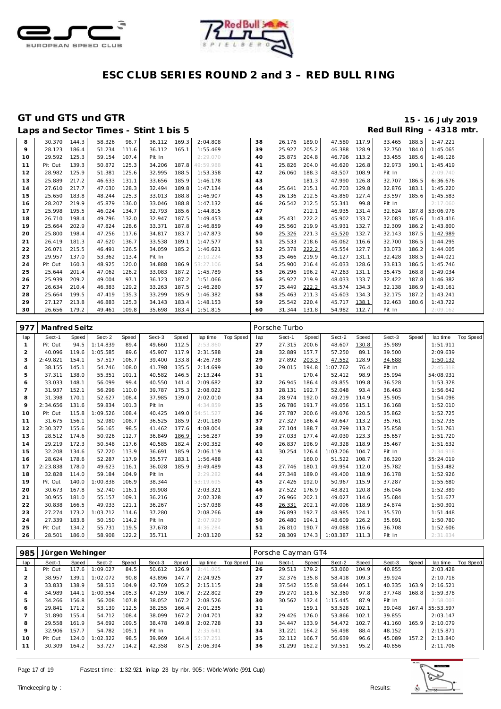



|    |         |       |        |       | Laps and Sector Times - Stint 1 bis 5 |       |                 |    |        |       |        |       |        |       | Red Bull Ring - 4318 mtr. |
|----|---------|-------|--------|-------|---------------------------------------|-------|-----------------|----|--------|-------|--------|-------|--------|-------|---------------------------|
| 8  | 30.370  | 144.3 | 58.326 | 98.7  | 36.112                                | 169.3 | 2:04.808        | 38 | 26.176 | 189.0 | 47.580 | 117.9 | 33.465 | 188.5 | 1:47.221                  |
| 9  | 28.123  | 186.4 | 51.234 | 111.6 | 36.112                                | 165.1 | 1:55.469        | 39 | 25.927 | 205.2 | 46.388 | 128.9 | 32.750 | 184.0 | 1:45.065                  |
| 10 | 29.592  | 125.3 | 59.154 | 107.4 | Pit In                                |       | 2:29.070        | 40 | 25.875 | 204.8 | 46.796 | 113.2 | 33.455 | 185.6 | 1:46.126                  |
| 11 | Pit Out | 139.3 | 50.872 | 125.3 | 34.206                                | 187.8 | 49:59.988       | 41 | 25.826 | 204.0 | 46.620 | 126.8 | 32.973 | 190.1 | 1:45.419                  |
| 12 | 28.982  | 125.9 | 51.381 | 125.6 | 32.995                                | 188.5 | 1:53.358        | 42 | 26.060 | 188.3 | 48.507 | 108.9 | Pit In |       | 2:09.740                  |
| 13 | 25.889  | 217.2 | 46.633 | 131.1 | 33.656                                | 185.9 | 1:46.178        | 43 |        | 181.3 | 47.990 | 126.8 | 32.707 | 186.5 | 6:36.676                  |
| 14 | 27.610  | 217.7 | 47.030 | 128.3 | 32.494                                | 189.8 | 1:47.134        | 44 | 25.641 | 215.1 | 46.703 | 129.8 | 32.876 | 183.1 | 1:45.220                  |
| 15 | 25.650  | 183.8 | 48.244 | 125.3 | 33.013                                | 188.8 | 1:46.907        | 45 | 26.136 | 212.5 | 45.850 | 127.4 | 33.597 | 185.6 | 1:45.583                  |
| 16 | 28.207  | 219.9 | 45.879 | 136.0 | 33.046                                | 188.8 | 1:47.132        | 46 | 26.542 | 212.5 | 55.341 | 99.8  | Pit In |       | 2:17.060                  |
| 17 | 25.998  | 195.5 | 46.024 | 134.7 | 32.793                                | 185.6 | 1:44.815        | 47 |        | 212.1 | 46.935 | 131.4 | 32.624 | 187.8 | 53:06.978                 |
| 18 | 26.710  | 198.4 | 49.796 | 132.0 | 32.947                                | 187.5 | 1:49.453        | 48 | 25.431 | 222.2 | 45.902 | 133.7 | 32.083 | 185.6 | 1:43.416                  |
| 19 | 25.664  | 202.9 | 47.824 | 128.6 | 33.371                                | 187.8 | 1:46.859        | 49 | 25.560 | 219.9 | 45.931 | 132.7 | 32.309 | 186.2 | 1:43.800                  |
| 20 | 25.800  | 198.4 | 47.256 | 117.6 | 34.817                                | 183.7 | 1:47.873        | 50 | 25.326 | 221.3 | 45.520 | 132.7 | 32.143 | 187.5 | 1:42.989                  |
| 21 | 26.419  | 181.3 | 47.620 | 136.7 | 33.538                                | 189.1 | 1:47.577        | 51 | 25.533 | 218.6 | 46.062 | 116.6 | 32.700 | 186.5 | 1:44.295                  |
| 22 | 26.071  | 215.5 | 46.491 | 126.5 | 34.059                                | 185.2 | 1:46.621        | 52 | 25.378 | 222.2 | 45.554 | 127.7 | 33.073 | 186.2 | 1:44.005                  |
| 23 | 29.957  | 137.0 | 53.362 | 113.4 | Pit In                                |       | 2:10.224        | 53 | 25.466 | 219.9 | 46.127 | 131.1 | 32.428 | 188.5 | 1:44.021                  |
| 24 | Pit Out | 160.3 | 48.925 | 120.0 | 34.888                                |       | 186.9 53:27.106 | 54 | 25.900 | 216.4 | 46.033 | 128.6 | 33.813 | 186.5 | 1:45.746                  |
| 25 | 25.644  | 201.4 | 47.062 | 126.2 | 33.083                                | 187.2 | 1:45.789        | 55 | 26.296 | 196.2 | 47.263 | 131.1 | 35.475 | 168.8 | 1:49.034                  |
| 26 | 25.939  | 209.2 | 49.004 | 97.1  | 36.123                                | 187.2 | 1:51.066        | 56 | 25.927 | 219.9 | 48.033 | 133.7 | 32.422 | 187.8 | 1:46.382                  |
| 27 | 26.634  | 210.4 | 46.383 | 129.2 | 33.263                                | 187.5 | 1:46.280        | 57 | 25.449 | 222.2 | 45.574 | 134.3 | 32.138 | 186.9 | 1:43.161                  |
| 28 | 25.664  | 199.5 | 47.419 | 135.3 | 33.299                                | 185.9 | 1:46.382        | 58 | 25.463 | 211.3 | 45.603 | 134.3 | 32.175 | 187.2 | 1:43.241                  |
| 29 | 27.127  | 213.8 | 46.883 | 125.3 | 34.143                                | 183.4 | 1:48.153        | 59 | 25.542 | 220.4 | 45.717 | 138.1 | 32.463 | 180.6 | 1:43.722                  |
| 30 | 26.656  | 179.2 | 49.461 | 109.8 | 35.698                                | 183.4 | 1:51.815        | 60 | 31.344 | 131.8 | 54.982 | 112.7 | Pit In |       | 2:09.162                  |

| 977            | <b>Manfred Seitz</b> |       |          |       |        |       |           |           |     | Porsche Turbo |       |                       |       |        |       |           |                  |
|----------------|----------------------|-------|----------|-------|--------|-------|-----------|-----------|-----|---------------|-------|-----------------------|-------|--------|-------|-----------|------------------|
| lap            | Sect-1               | Speed | Sect-2   | Speed | Sect-3 | Speed | lap time  | Top Speed | lap | Sect-1        | Speed | Sect-2                | Speed | Sect-3 | Speed | lap time  | <b>Top Speed</b> |
| $\mathbf{1}$   | Pit Out              | 94.5  | 1:14.839 | 89.4  | 49.660 | 112.5 | 2:53.860  |           | 27  | 27.315        | 200.6 | 48.607                | 130.8 | 35.989 |       | 1:51.911  |                  |
| $\overline{2}$ | 40.096               | 119.6 | 1:05.585 | 89.6  | 45.907 | 117.9 | 2:31.588  |           | 28  | 32.889        | 157.7 | 57.250                | 89.1  | 39.500 |       | 2:09.639  |                  |
| 3              | 2:49.821             | 154.1 | 57.517   | 106.7 | 39.400 | 133.8 | 4:26.738  |           | 29  | 27.892        | 203.3 | 47.552                | 128.9 | 34.688 |       | 1:50.132  |                  |
| $\overline{4}$ | 38.155               | 145.1 | 54.746   | 108.0 | 41.798 | 135.5 | 2:14.699  |           | 30  | 29.015        | 194.8 | 1:07.762              | 76.4  | Pit In |       | 2:45.318  |                  |
| 5              | 37.311               | 138.0 | 55.351   | 101.1 | 40.582 | 146.5 | 2:13.244  |           | 31  |               | 170.4 | 52.412                | 98.9  | 35.994 |       | 54:08.931 |                  |
| 6              | 33.033               | 148.1 | 56.099   | 99.4  | 40.550 | 141.4 | 2:09.682  |           | 32  | 26.945        | 186.4 | 49.855                | 109.8 | 36.528 |       | 1:53.328  |                  |
| $\overline{7}$ | 31.937               | 152.1 | 56.298   | 110.0 | 39.787 | 175.3 | 2:08.022  |           | 33  | 28.131        | 192.7 | 52.048                | 93.4  | 36.463 |       | 1:56.642  |                  |
| 8              | 31.398               | 170.1 | 52.627   | 108.4 | 37.985 | 139.0 | 2:02.010  |           | 34  | 28.974        | 192.0 | 49.219                | 114.9 | 35.905 |       | 1:54.098  |                  |
| 9              | 2:34.656             | 131.6 | 59.834   | 101.3 | Pit In |       | 4:34.859  |           | 35  | 26.786        | 191.7 | 49.056                | 115.1 | 36.168 |       | 1:52.010  |                  |
| 10             | Pit Out              | 115.8 | 1:09.526 | 108.4 | 40.425 | 149.0 | 54:51.527 |           | 36  | 27.787        | 200.6 | 49.076                | 120.5 | 35.862 |       | 1:52.725  |                  |
| 11             | 31.675               | 156.1 | 52.980   | 108.7 | 36.525 | 185.9 | 2:01.180  |           | 37  | 27.327        | 186.4 | 49.647                | 113.2 | 35.761 |       | 1:52.735  |                  |
| 12             | 2:30.377             | 155.6 | 56.165   | 98.5  | 41.462 | 177.6 | 4:08.004  |           | 38  | 27.104        | 188.7 | 48.799                | 113.7 | 35.858 |       | 1:51.761  |                  |
| 13             | 28.512               | 174.6 | 50.926   | 112.7 | 36.849 | 186.9 | 1:56.287  |           | 39  | 27.033        | 177.4 | 49.030                | 123.3 | 35.657 |       | 1:51.720  |                  |
| 14             | 29.219               | 172.3 | 50.548   | 117.6 | 40.585 | 182.4 | 2:00.352  |           | 40  | 26.837        | 196.9 | 49.328                | 118.9 | 35.467 |       | 1:51.632  |                  |
| 15             | 32.208               | 134.6 | 57.220   | 113.9 | 36.691 | 185.9 | 2:06.119  |           | 41  | 30.254        | 126.4 | 1:03.206              | 104.7 | Pit In |       | 2:34.918  |                  |
| 16             | 28.624               | 178.6 | 52.287   | 117.9 | 35.577 | 183.1 | 1:56.488  |           | 42  |               | 160.0 | 51.522                | 108.7 | 36.320 |       | 55:24.019 |                  |
| 17             | 2:23.838             | 178.0 | 49.623   | 116.1 | 36.028 | 185.9 | 3:49.489  |           | 43  | 27.746        | 180.1 | 49.954                | 112.0 | 35.782 |       | 1:53.482  |                  |
| 18             | 32.828               | 114.0 | 59.184   | 104.9 | Pit In |       | 2:29.282  |           | 44  | 27.348        | 189.0 | 49.400                | 118.9 | 36.178 |       | 1:52.926  |                  |
| 19             | Pit Out              | 140.0 | 1:00.838 | 106.9 | 38.344 |       | 53:19.695 |           | 45  | 27.426        | 192.0 | 50.967                | 115.9 | 37.287 |       | 1:55.680  |                  |
| 20             | 30.673               | 167.8 | 52.740   | 116.1 | 39.908 |       | 2:03.321  |           | 46  | 27.522        | 176.9 | 48.821                | 120.8 | 36.046 |       | 1:52.389  |                  |
| 21             | 30.955               | 181.0 | 55.157   | 109.1 | 36.216 |       | 2:02.328  |           | 47  | 26.966        | 202.1 | 49.027                | 114.6 | 35.684 |       | 1:51.677  |                  |
| 22             | 30.838               | 166.5 | 49.933   | 121.1 | 36.267 |       | 1:57.038  |           | 48  | 26.331        | 202.1 | 49.096                | 118.9 | 34.874 |       | 1:50.301  |                  |
| 23             | 27.274               | 173.2 | 1:03.712 | 114.6 | 37.280 |       | 2:08.266  |           | 49  | 26.893        | 192.7 | 48.985                | 124.1 | 35.570 |       | 1:51.448  |                  |
| 24             | 27.339               | 183.8 | 50.150   | 114.2 | Pit In |       | 2:07.929  |           | 50  | 26.480        | 194.1 | 48.609                | 126.2 | 35.691 |       | 1:50.780  |                  |
| 25             | Pit Out              | 134.2 | 55.731   | 119.5 | 37.678 |       | 4:36.284  |           | 51  | 26.810        | 190.7 | 49.088                | 116.6 | 36.708 |       | 1:52.606  |                  |
| 26             | 28.501               | 186.0 | 58.908   | 122.2 | 35.711 |       | 2:03.120  |           | 52  |               |       | 28.309 174.3 1:03.387 | 111.3 | Pit In |       | 2:31.834  |                  |

| 985 | Jürgen Wehinger |       |          |       |        |       |           |           |                | Porsche Cayman GT4 |       |          |       |        |       |           |           |
|-----|-----------------|-------|----------|-------|--------|-------|-----------|-----------|----------------|--------------------|-------|----------|-------|--------|-------|-----------|-----------|
| lap | Sect-1          | Speed | Sect-2   | Speed | Sect-3 | Speed | lap time  | Top Speed | lap            | Sect-1             | Speed | Sect-2   | Speed | Sect-3 | Speed | lap time  | Top Speed |
|     | Pit Out         | 117.6 | 1:09.027 | 84.5  | 50.612 | 126.9 | 2:41.005  |           | 26             | 29.513             | 179.2 | 53.060   | 104.9 | 40.855 |       | 2:03.428  |           |
|     | 38.957          | 139.1 | 1:02.072 | 90.8  | 43.896 | 147.7 | 2:24.925  |           | 27             | 32.376             | 135.8 | 58.418   | 109.3 | 39.924 |       | 2:10.718  |           |
| 3   | 33.833          | 138.9 | 58.513   | 104.9 | 42.769 | 105.2 | 2:15.115  |           | 28             | 37.542             | 155.8 | 58.644   | 105.1 | 40.335 | 163.9 | 2:16.521  |           |
| 4   | 34.989          | 144.1 | 1:00.554 | 105.3 | 47.259 | 106.7 | 2:22.802  |           | 29             | 29.270             | 181.6 | 52.360   | 97.8  | 37.748 | 168.8 | 1:59.378  |           |
| 5   | 34.266          | 156.8 | 56.208   | 107.8 | 38.052 | 167.2 | 2:08.526  |           | 30             | 30.562             | 132.4 | 1:15.445 | 87.9  | Pit In |       | 2:58.003  |           |
| 6   | 29.841          | 171.2 | 53.139   | 112.5 | 38.255 | 166.4 | 2:01.235  |           | 3 <sup>2</sup> |                    | 159.1 | 53.528   | 102.1 | 39.048 | 167.4 | 55:53.597 |           |
|     | 31.890          | 155.4 | 54.712   | 108.4 | 38.099 | 167.2 | 2:04.701  |           | 32             | 29.426             | 176.0 | 53.866   | 102.1 | 39.855 |       | 2:03.147  |           |
| 8   | 29.558          | 161.9 | 54.692   | 109.5 | 38.478 | 149.8 | 2:02.728  |           | 33             | 34.447             | 133.9 | 54.472   | 102.7 | 41.160 | 165.9 | 2:10.079  |           |
| 9   | 32.906          | 157.7 | 54.782   | 105.1 | Pit In |       | 2:35.641  |           | 34             | 31.221             | 164.2 | 56.498   | 88.4  | 48.152 |       | 2:15.871  |           |
| 10  | Pit Out         | 124.0 | 1:02.322 | 98.5  | 39.969 | 164.4 | 55:37.251 |           | 35             | 32.112             | 166.7 | 56.639   | 96.6  | 45.089 | 157.2 | 2:13.840  |           |
|     | 30.309          | 164.2 | 53.727   | 114.2 | 42.358 | 87.5  | 2:06.394  |           | 36             | 31.299             | 162.2 | 59.551   | 95.2  | 40.856 |       | 2:11.706  |           |

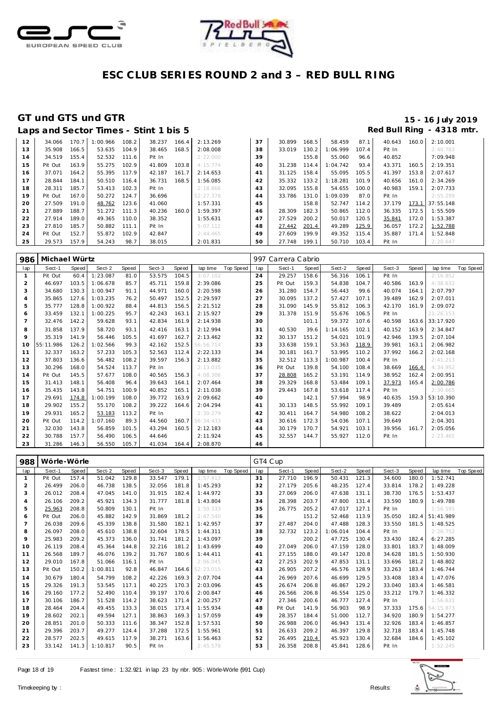



| Red Bull Ring - 4318 mtr.<br>Laps and Sector Times - Stint 1 bis 5 |         |       |          |       |        |       |           |    |        |       |          |       |        |       |           |
|--------------------------------------------------------------------|---------|-------|----------|-------|--------|-------|-----------|----|--------|-------|----------|-------|--------|-------|-----------|
| 12                                                                 | 34.066  | 170.7 | 1:00.966 | 108.2 | 38.237 | 166.4 | 2:13.269  | 37 | 30.899 | 168.5 | 58.459   | 87.1  | 40.643 | 160.0 | 2:10.001  |
| 13                                                                 | 35.908  | 166.5 | 53.635   | 104.9 | 38.465 | 168.5 | 2:08.008  | 38 | 33.019 | 130.2 | 1:06.999 | 107.4 | Pit In |       | 2:40.783  |
| 14                                                                 | 34.519  | 155.4 | 52.532   | 111.6 | Pit In |       | 2:22.000  | 39 |        | 155.8 | 55.060   | 96.6  | 40.852 |       | 7:09.948  |
| 15                                                                 | Pit Out | 163.9 | 55.275   | 102.9 | 41.809 | 103.8 | 4:15.774  | 40 | 31.238 | 114.4 | 1:04.742 | 93.4  | 43.371 | 160.5 | 2:19.351  |
| 16                                                                 | 37.071  | 164.2 | 55.395   | 117.9 | 42.187 | 161.7 | 2:14.653  | 41 | 31.125 | 158.4 | 55.095   | 105.5 | 41.397 | 153.8 | 2:07.617  |
| 17                                                                 | 28.844  | 184.1 | 50.510   | 116.4 | 36.731 | 168.5 | 1:56.085  | 42 | 35.332 | 133.2 | 1:18.281 | 101.9 | 40.656 | 161.0 | 2:34.269  |
| 18                                                                 | 28.311  | 185.7 | 53.413   | 102.3 | Pit In |       | 2:18.866  | 43 | 32.095 | 155.8 | 54.655   | 100.0 | 40.983 | 159.1 | 2:07.733  |
| 19                                                                 | Pit Out | 167.0 | 50.272   | 124.7 | 36.696 |       | 52:27.378 | 44 | 33.786 | 131.0 | 1:09.039 | 87.0  | Pit In |       | 2:55.299  |
| 20                                                                 | 27.509  | 191.0 | 48.762   | 123.6 | 41.060 |       | 1:57.331  | 45 |        | 158.8 | 52.747   | 114.2 | 37.179 | 173.1 | 37:55.148 |
| 21                                                                 | 27.889  | 188.7 | 51.272   | 111.3 | 40.236 | 160.0 | 1:59.397  | 46 | 28.309 | 182.3 | 50.865   | 112.0 | 36.335 | 172.5 | 1:55.509  |
| 22                                                                 | 27.914  | 189.0 | 49.365   | 110.0 | 38.352 |       | 1:55.631  | 47 | 27.529 | 200.2 | 50.017   | 120.5 | 35.841 | 172.0 | 1:53.387  |
| 23                                                                 | 27.810  | 185.7 | 50.882   | 111.1 | Pit In |       | 5:07.112  | 48 | 27.442 | 201.4 | 49.289   | 125.9 | 36.057 | 172.2 | 1:52.788  |
| 24                                                                 | Pit Out | 152.7 | 55.872   | 102.9 | 42.847 |       | 2: 44.465 | 49 | 27.609 | 199.9 | 49.352   | 115.4 | 35.887 | 171.4 | 1:52.848  |
| 25                                                                 | 29.573  | 157.9 | 54.243   | 98.7  | 38.015 |       | 2:01.831  | 50 | 27.748 | 199.1 | 50.710   | 103.4 | Pit In |       | 2:20.647  |

| 986            | Michael Würtz |       |          |       |        |       |            |           |     | 997 Carrera Cabrio |       |          |       |        |       |           |           |
|----------------|---------------|-------|----------|-------|--------|-------|------------|-----------|-----|--------------------|-------|----------|-------|--------|-------|-----------|-----------|
| lap            | Sect-1        | Speed | Sect-2   | Speed | Sect-3 | Speed | lap time   | Top Speed | lap | Sect-1             | Speed | Sect-2   | Speed | Sect-3 | Speed | lap time  | Top Speed |
| $\mathbf{1}$   | Pit Out       | 60.4  | 1:23.087 | 81.0  | 53.575 | 104.5 | 3:07.102   |           | 24  | 29.257             | 158.6 | 56.316   | 106.1 | Pit In |       | 2:16.852  |           |
| $\overline{2}$ | 46.697        | 103.5 | 1:06.678 | 85.7  | 45.711 | 159.8 | 2:39.086   |           | 25  | Pit Out            | 159.3 | 54.838   | 104.7 | 40.586 | 163.9 | 4:38.632  |           |
| 3              | 34.680        | 130.3 | 1:00.947 | 91.1  | 44.971 | 160.0 | 2:20.598   |           | 26  | 31.280             | 154.7 | 56.443   | 99.6  | 40.074 | 164.1 | 2:07.797  |           |
| $\overline{4}$ | 35.865        | 127.6 | 1:03.235 | 76.2  | 50.497 | 152.5 | 2:29.597   |           | 27  | 30.095             | 137.2 | 57.427   | 107.1 | 39.489 | 162.9 | 2:07.011  |           |
| 5              | 35.777        | 128.8 | 1:00.922 | 88.4  | 44.813 | 156.5 | 2:21.512   |           | 28  | 31.090             | 145.9 | 55.812   | 106.3 | 42.170 | 161.9 | 2:09.072  |           |
| 6              | 33.459        | 132.1 | 1:00.225 | 95.7  | 42.243 | 163.1 | 2:15.927   |           | 29  | 31.378             | 151.9 | 55.676   | 106.5 | Pit In |       | 21:26.153 |           |
| $\overline{7}$ | 32.476        | 142.2 | 59.628   | 93.1  | 42.834 | 161.9 | 2:14.938   |           | 30  |                    | 101.1 | 59.372   | 107.6 | 40.598 | 163.6 | 33:17.920 |           |
| 8              | 31.858        | 137.9 | 58.720   | 93.1  | 42.416 | 163.1 | 2:12.994   |           | 31  | 40.530             | 39.6  | 1:14.165 | 102.1 | 40.152 | 163.9 | 2:34.847  |           |
| $\circ$        | 35.319        | 141.9 | 56.446   | 105.5 | 41.697 | 162.7 | 2:13.462   |           | 32  | 30.137             | 151.2 | 54.021   | 101.9 | 42.946 | 139.5 | 2:07.104  |           |
| 10             | 55:11.986     | 126.2 | 1:02.566 | 99.3  | 42.162 | 152.5 | 56:56.714  |           | 33  | 33.638             | 159.1 | 53.363   | 118.9 | 39.981 | 163.1 | 2:06.982  |           |
| 11             | 32.337        | 163.2 | 57.233   | 105.3 | 52.563 | 112.4 | 2:22.133   |           | 34  | 30.181             | 161.7 | 53.995   | 110.2 | 37.992 | 166.2 | 2:02.168  |           |
| 12             | 37.803        | 136.6 | 56.482   | 108.2 | 39.597 | 156.3 | 2:13.882   |           | 35  | 32.512             | 113.3 | 1:00.987 | 100.4 | Pit In |       | 2:41.213  |           |
| 13             | 30.296        | 168.0 | 54.524   | 113.7 | Pit In |       | 2:13.035   |           | 36  | Pit Out            | 139.8 | 54.100   | 108.4 | 38.669 | 166.4 | 4:34.952  |           |
| 14             | Pit Out       | 145.5 | 57.677   | 108.0 | 40.565 | 156.3 | 4:08.306   |           | 37  | 28.808             | 165.2 | 53.191   | 114.9 | 38.952 | 162.4 | 2:00.951  |           |
| 15             | 31.413        | 148.1 | 56.408   | 96.4  | 39.643 | 164.1 | 2:07.464   |           | 38  | 29.329             | 168.8 | 53.484   | 109.1 | 37.973 | 165.4 | 2:00.786  |           |
| 16             | 35.435        | 143.8 | 54.751   | 100.9 | 40.852 | 165.1 | 2:11.038   |           | 39  | 29.443             | 167.8 | 53.618   | 117.4 | Pit In |       | 2:30.665  |           |
| 17             | 29.691        | 174.8 | 1:00.199 | 108.0 | 39.772 | 163.9 | 2:09.662   |           | 40  |                    | 142.1 | 57.994   | 98.9  | 40.635 | 159.3 | 53:10.390 |           |
| 18             | 29.902        | 155.2 | 55.170   | 108.2 | 39.222 | 164.6 | 2:04.294   |           | 41  | 30.133             | 148.5 | 55.992   | 109.1 | 39.489 |       | 2:05.614  |           |
| 19             | 29.931        | 165.2 | 53.183   | 113.2 | Pit In |       | 2:39.279   |           | 42  | 30.411             | 164.7 | 54.980   | 108.2 | 38.622 |       | 2:04.013  |           |
| 20             | Pit Out       | 114.2 | 1:07.160 | 89.3  | 44.560 | 160.7 | 56: 34.433 |           | 43  | 30.616             | 172.3 | 54.036   | 107.1 | 39.649 |       | 2:04.301  |           |
| 21             | 32.030        | 143.8 | 56.859   | 101.5 | 43.294 | 160.5 | 2:12.183   |           | 44  | 30.179             | 170.7 | 54.921   | 103.1 | 39.956 | 161.7 | 2:05.056  |           |
| 22             | 30.788        | 157.7 | 56.490   | 106.5 | 44.646 |       | 2:11.924   |           | 45  | 32.557             | 144.7 | 55.927   | 112.0 | Pit In |       | 2:23.465  |           |
| 23             | 31.286        | 146.3 | 56.550   | 105.7 | 41.034 | 164.4 | 2:08.870   |           | 46  |                    |       |          |       |        |       |           |           |

| 988            | Wörle-Wörle |       |          |       |        |       |           |                  |     | GT4 Cup |       |          |       |        |       |           |           |
|----------------|-------------|-------|----------|-------|--------|-------|-----------|------------------|-----|---------|-------|----------|-------|--------|-------|-----------|-----------|
| lap            | Sect-1      | Speed | Sect-2   | Speed | Sect-3 | Speed | lap time  | <b>Top Speed</b> | lap | Sect-1  | Speed | Sect-2   | Speed | Sect-3 | Speed | lap time  | Top Speed |
| 1              | Pit Out     | 157.4 | 51.042   | 129.8 | 33.547 | 179.1 | 1:57.413  |                  | 31  | 27.710  | 196.9 | 50.431   | 121.3 | 34.600 | 180.0 | 1:52.741  |           |
| 2              | 26.499      | 206.0 | 46.738   | 138.5 | 32.056 | 181.8 | 1:45.293  |                  | 32  | 27.179  | 205.6 | 48.235   | 127.4 | 33.814 | 178.2 | 1:49.228  |           |
| 3              | 26.012      | 208.4 | 47.045   | 141.0 | 31.915 | 182.4 | 1:44.972  |                  | 33  | 27.069  | 206.0 | 47.638   | 131.1 | 38.730 | 176.5 | 1:53.437  |           |
| $\overline{4}$ | 26.106      | 209.2 | 45.921   | 134.3 | 31.777 | 181.8 | 1:43.804  |                  | 34  | 28.398  | 203.7 | 47.800   | 131.4 | 33.590 | 180.9 | 1:49.788  |           |
| 5              | 25.963      | 208.8 | 50.809   | 130.1 | Pit In |       | 1:59.333  |                  | 35  | 26.775  | 205.2 | 47.017   | 127.1 | Pit In |       | 1:56.595  |           |
| 6              | Pit Out     | 206.0 | 45.882   | 142.9 | 31.869 | 181.2 | 2:47.540  |                  | 36  |         | 151.2 | 52.468   | 113.9 | 35.050 | 182.4 | 51:41.989 |           |
| $\overline{7}$ | 26.038      | 209.6 | 45.339   | 138.8 | 31.580 | 182.1 | 1:42.957  |                  | 37  | 27.487  | 204.0 | 47.488   | 128.3 | 33.550 | 181.5 | 1:48.525  |           |
| 8              | 26.097      | 208.0 | 45.610   | 138.8 | 32.604 | 178.5 | 1:44.311  |                  | 38  | 32.732  | 123.2 | 1:06.014 | 104.4 | Pit In |       | 2:26.752  |           |
| 9              | 25.983      | 209.2 | 45.373   | 136.0 | 31.741 | 181.2 | 1:43.097  |                  | 39  |         | 200.2 | 47.725   | 130.4 | 33.430 | 182.4 | 6:27.285  |           |
| 10             | 26.119      | 208.4 | 45.364   | 144.8 | 32.216 | 181.2 | 1:43.699  |                  | 40  | 27.049  | 206.0 | 47.159   | 128.0 | 33.801 | 183.7 | 1:48.009  |           |
| 11             | 26.568      | 189.7 | 46.076   | 139.2 | 31.767 | 180.6 | 1:44.411  |                  | 41  | 27.155  | 188.0 | 49.147   | 120.8 | 34.628 | 181.5 | 1:50.930  |           |
| 12             | 29.010      | 167.8 | 51.066   | 116.1 | Pit In |       | 2:06.045  |                  | 42  | 27.253  | 202.9 | 47.853   | 131.1 | 33.696 | 181.2 | 1:48.802  |           |
| 13             | Pit Out     | 150.2 | 1:00.811 | 92.8  | 46.847 | 164.6 | 52:23.015 |                  | 43  | 26.905  | 207.2 | 46.576   | 128.9 | 33.263 | 183.4 | 1:46.744  |           |
| 14             | 30.679      | 180.4 | 54.799   | 108.2 | 42.226 | 169.3 | 2:07.704  |                  | 44  | 26.969  | 207.6 | 46.699   | 129.5 | 33.408 | 183.4 | 1:47.076  |           |
| 15             | 29.326      | 191.3 | 53.545   | 117.1 | 40.225 | 170.3 | 2:03.096  |                  | 45  | 26.674  | 206.8 | 46.867   | 129.2 | 33.040 | 183.4 | 1:46.581  |           |
| 16             | 29.160      | 177.2 | 52.490   | 110.4 | 39.197 | 170.6 | 2:00.847  |                  | 46  | 26.566  | 206.8 | 46.554   | 125.0 | 33.212 | 179.7 | 1:46.332  |           |
| 17             | 30.106      | 186.7 | 51.528   | 114.2 | 38.623 | 171.4 | 2:00.257  |                  | 47  | 27.346  | 200.6 | 46.777   | 127.4 | Pit In |       | 1:56.631  |           |
| 18             | 28.464      | 204.4 | 49.455   | 133.3 | 38.015 | 173.4 | 1:55.934  |                  | 48  | Pit Out | 141.9 | 56.903   | 98.9  | 37.333 | 175.6 | 54:15.873 |           |
| 19             | 28.602      | 202.1 | 49.594   | 127.1 | 38.863 | 169.3 | 1:57.059  |                  | 49  | 28.357  | 184.4 | 51.000   | 112.7 | 34.920 | 180.9 | 1:54.277  |           |
| 20             | 28.851      | 201.0 | 50.333   | 111.6 | 38.347 | 152.8 | 1:57.531  |                  | 50  | 26.988  | 206.0 | 46.943   | 131.4 | 32.926 | 183.4 | 1:46.857  |           |
| 21             | 29.396      | 203.7 | 49.277   | 124.4 | 37.288 | 172.5 | 1:55.961  |                  | 51  | 26.633  | 209.2 | 46.397   | 129.8 | 32.718 | 183.4 | 1:45.748  |           |
| 22             | 28.577      | 202.5 | 49.615   | 117.9 | 38.271 | 163.6 | 1:56.463  |                  | 52  | 26.495  | 210.4 | 45.923   | 130.4 | 32.684 | 184.6 | 1:45.102  |           |
| 23             | 33.142      | 141.3 | 1:10.817 | 90.5  | Pit In |       | 2:45.578  |                  | 53  | 26.358  | 208.8 | 45.841   | 128.6 | Pit In |       | 1:52.245  |           |